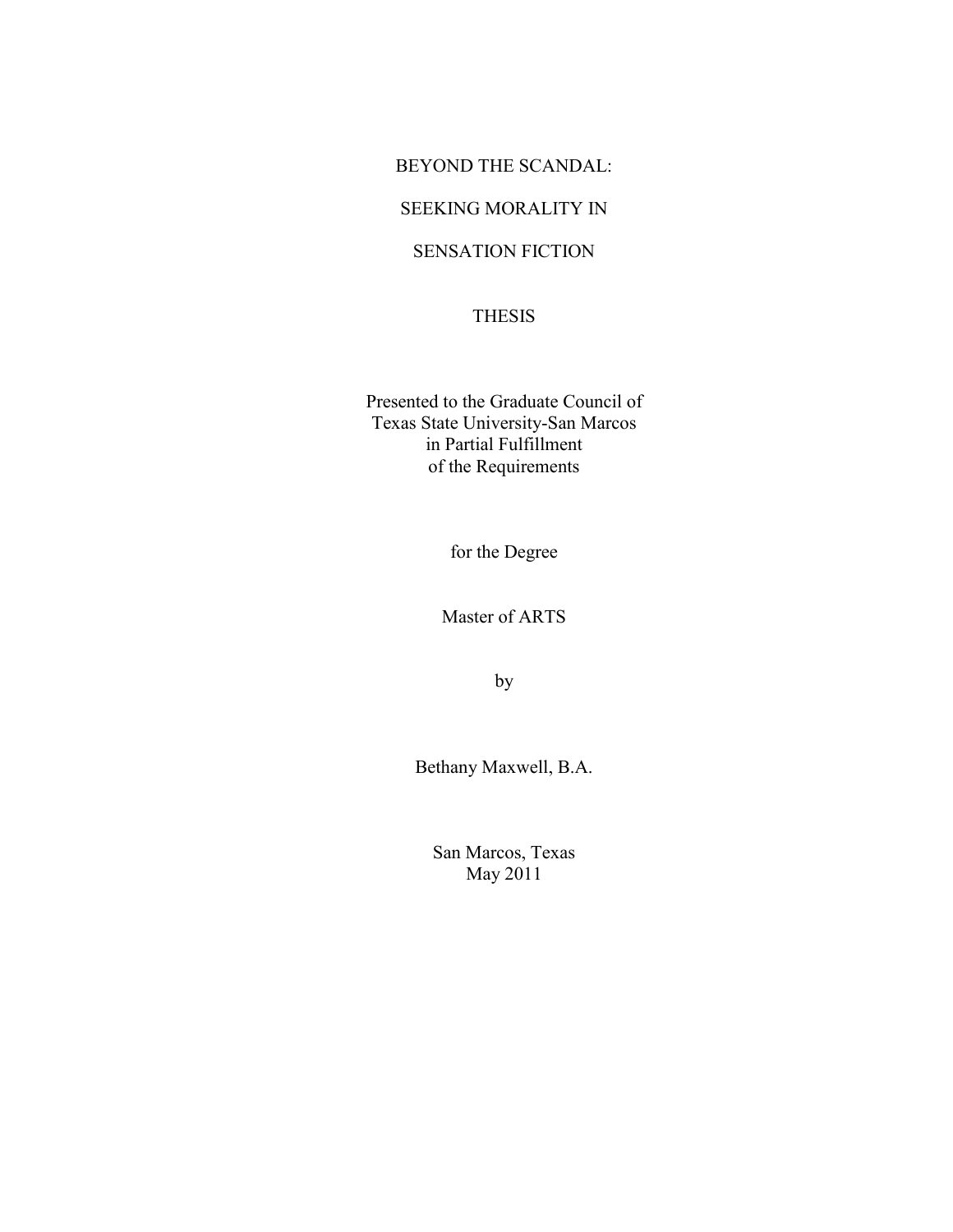### BEYOND THE SCANDAL:

## SEEKING MORALITY IN

## SENSATION FICTION

### THESIS

Presented to the Graduate Council of Texas State University-San Marcos in Partial Fulfillment of the Requirements

for the Degree

Master of ARTS

by

Bethany Maxwell, B.A.

San Marcos, Texas May 2011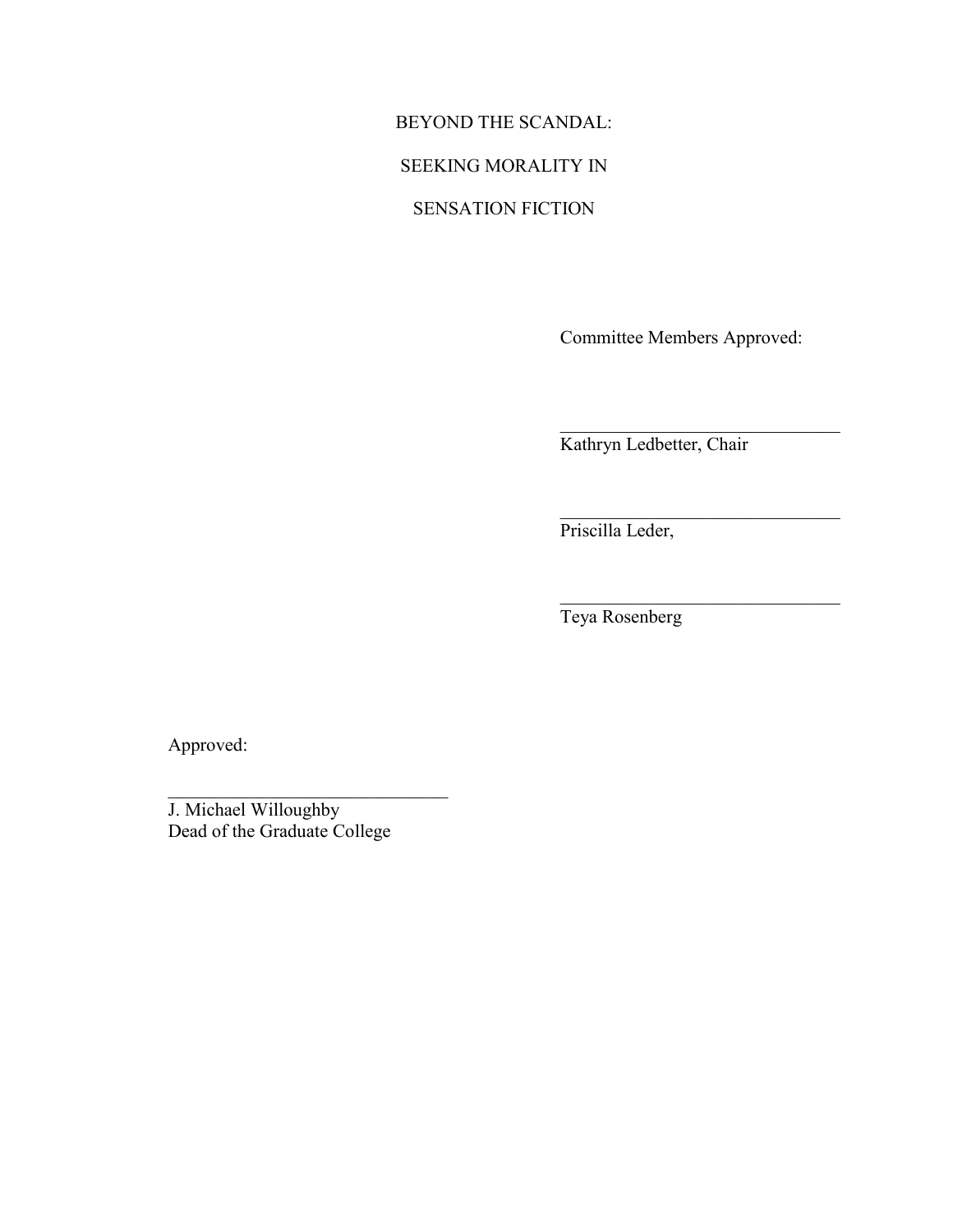## BEYOND THE SCANDAL:

## SEEKING MORALITY IN

## SENSATION FICTION

Committee Members Approved:

 $\mathcal{L}_\text{max}$  , where  $\mathcal{L}_\text{max}$  and  $\mathcal{L}_\text{max}$  and  $\mathcal{L}_\text{max}$ 

 $\mathcal{L}_\text{max}$  , where  $\mathcal{L}_\text{max}$  and  $\mathcal{L}_\text{max}$  and  $\mathcal{L}_\text{max}$ 

 $\mathcal{L}_\text{max}$ 

Kathryn Ledbetter, Chair

Priscilla Leder,

Teya Rosenberg

Approved:

J. Michael Willoughby Dead of the Graduate College

 $\mathcal{L}_\text{max}$  , where  $\mathcal{L}_\text{max}$  and  $\mathcal{L}_\text{max}$  and  $\mathcal{L}_\text{max}$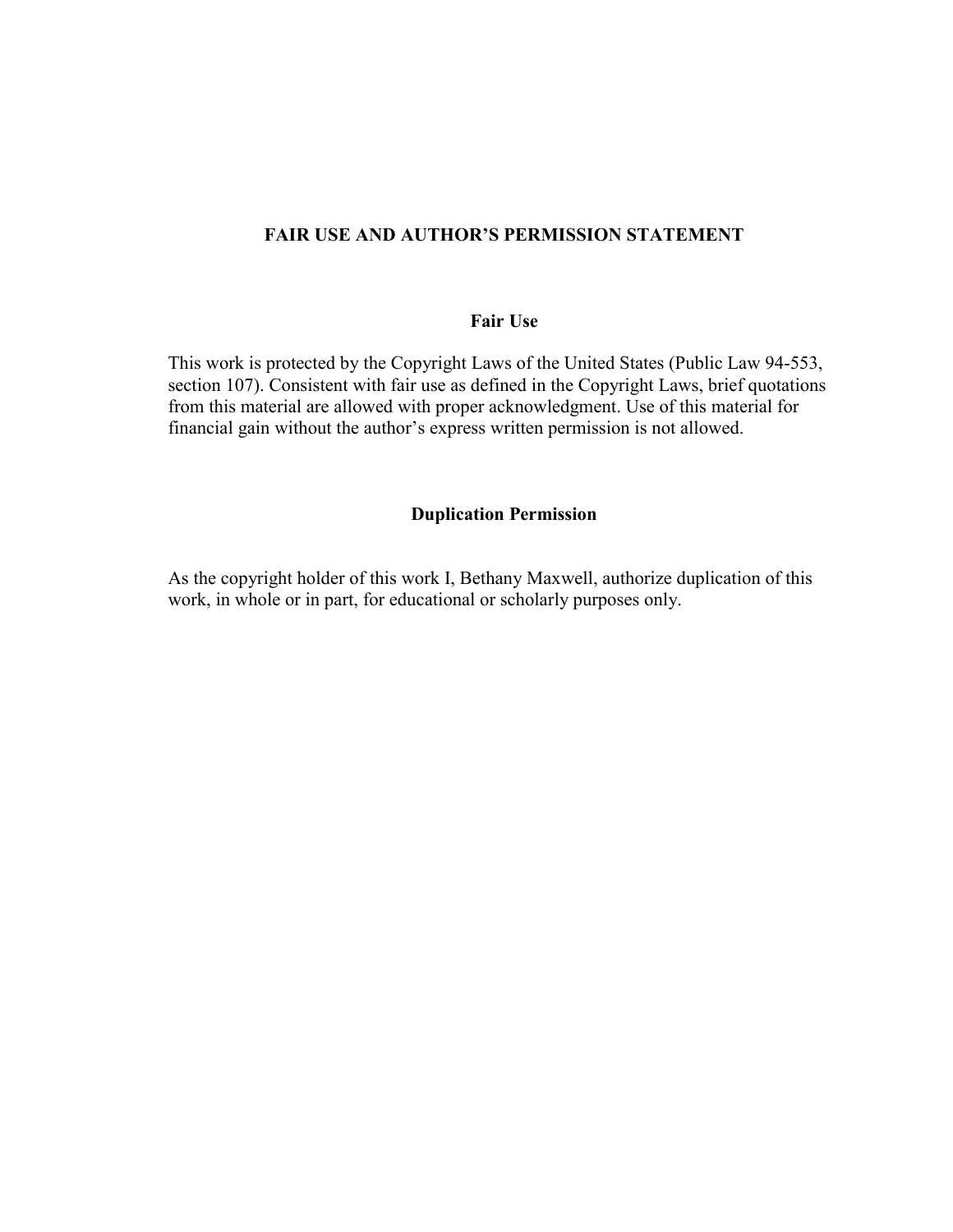### **FAIR USE AND AUTHOR'S PERMISSION STATEMENT**

### **Fair Use**

This work is protected by the Copyright Laws of the United States (Public Law 94-553, section 107). Consistent with fair use as defined in the Copyright Laws, brief quotations from this material are allowed with proper acknowledgment. Use of this material for financial gain without the author"s express written permission is not allowed.

### **Duplication Permission**

As the copyright holder of this work I, Bethany Maxwell, authorize duplication of this work, in whole or in part, for educational or scholarly purposes only.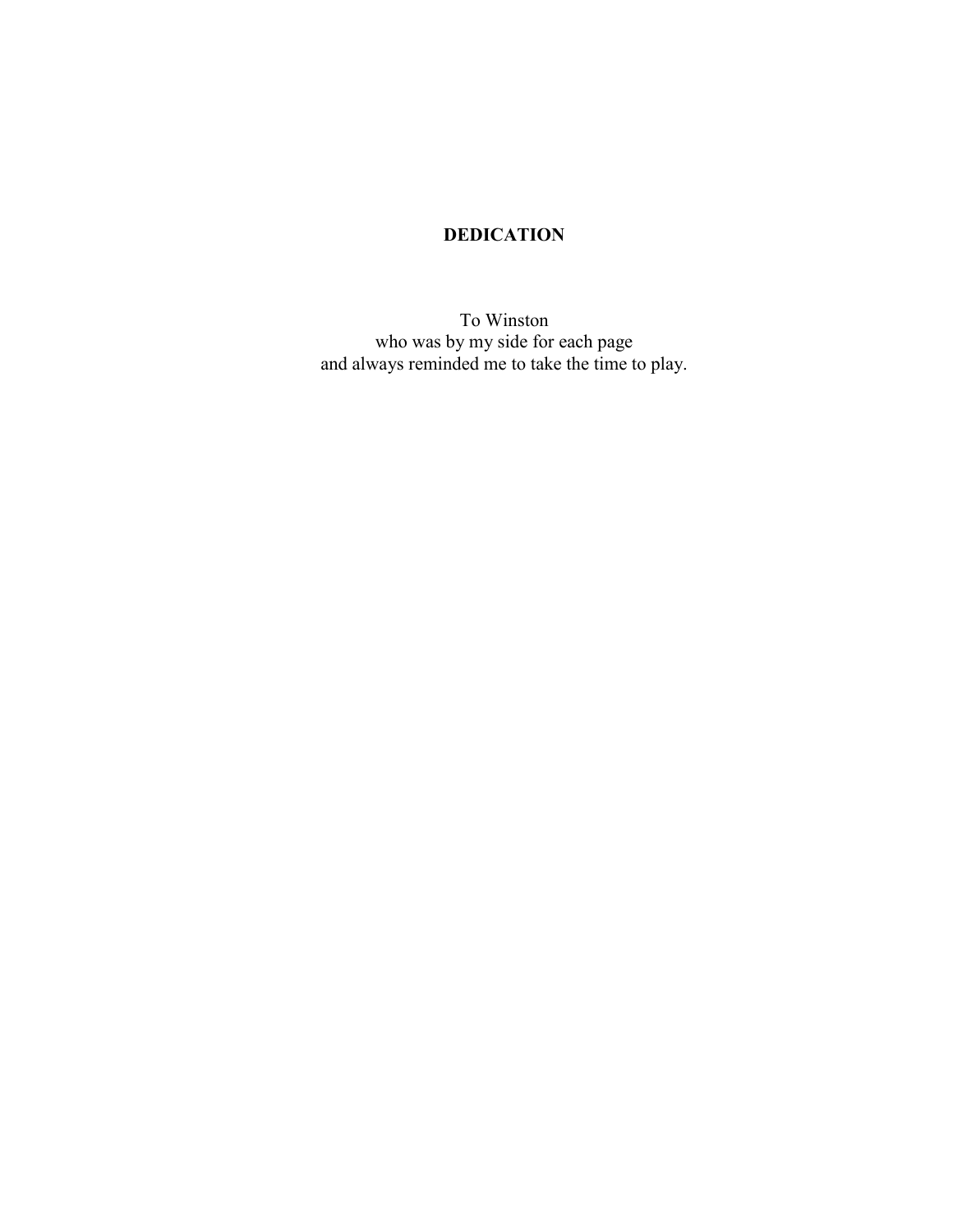## **DEDICATION**

To Winston who was by my side for each page and always reminded me to take the time to play.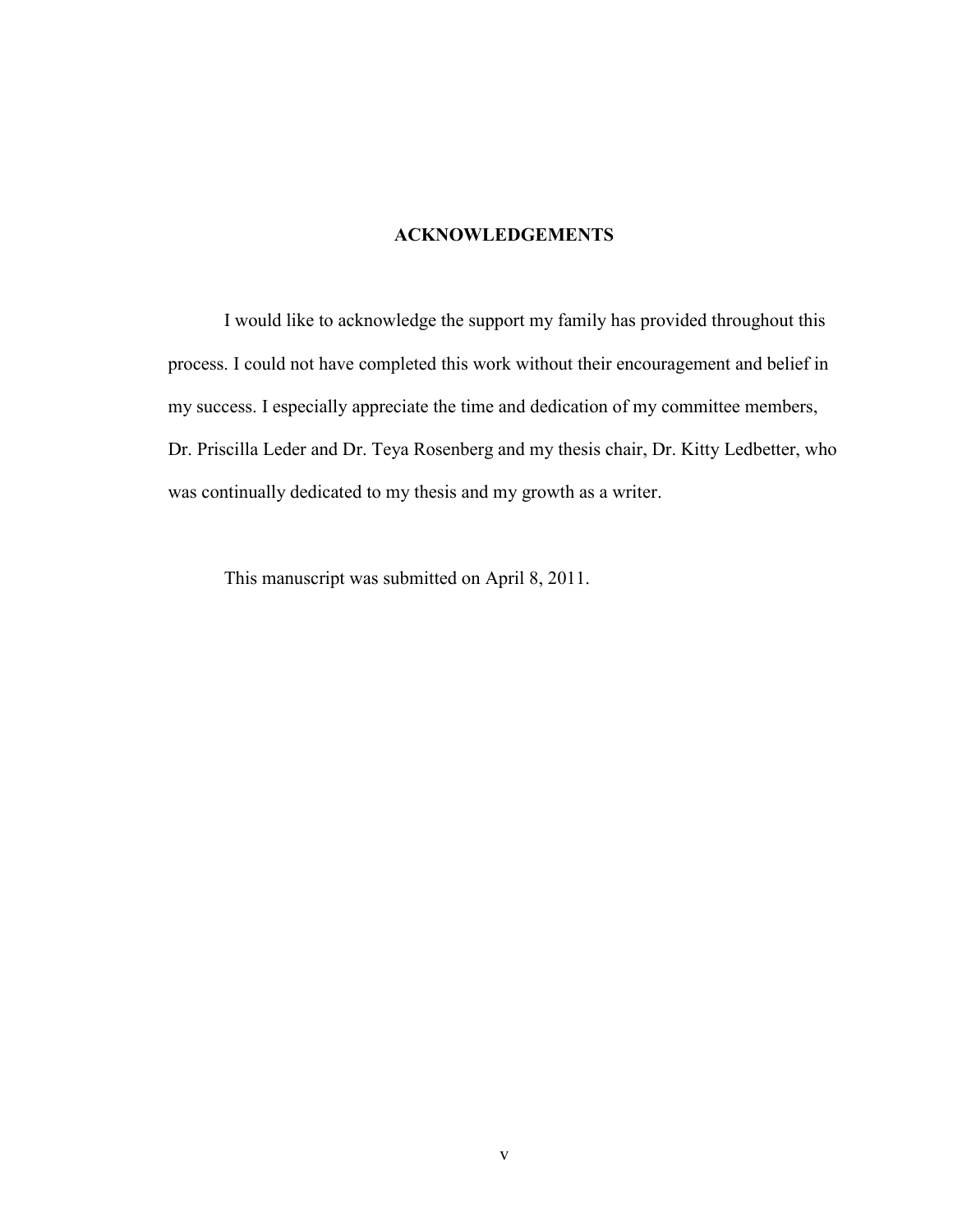### **ACKNOWLEDGEMENTS**

I would like to acknowledge the support my family has provided throughout this process. I could not have completed this work without their encouragement and belief in my success. I especially appreciate the time and dedication of my committee members, Dr. Priscilla Leder and Dr. Teya Rosenberg and my thesis chair, Dr. Kitty Ledbetter, who was continually dedicated to my thesis and my growth as a writer.

This manuscript was submitted on April 8, 2011.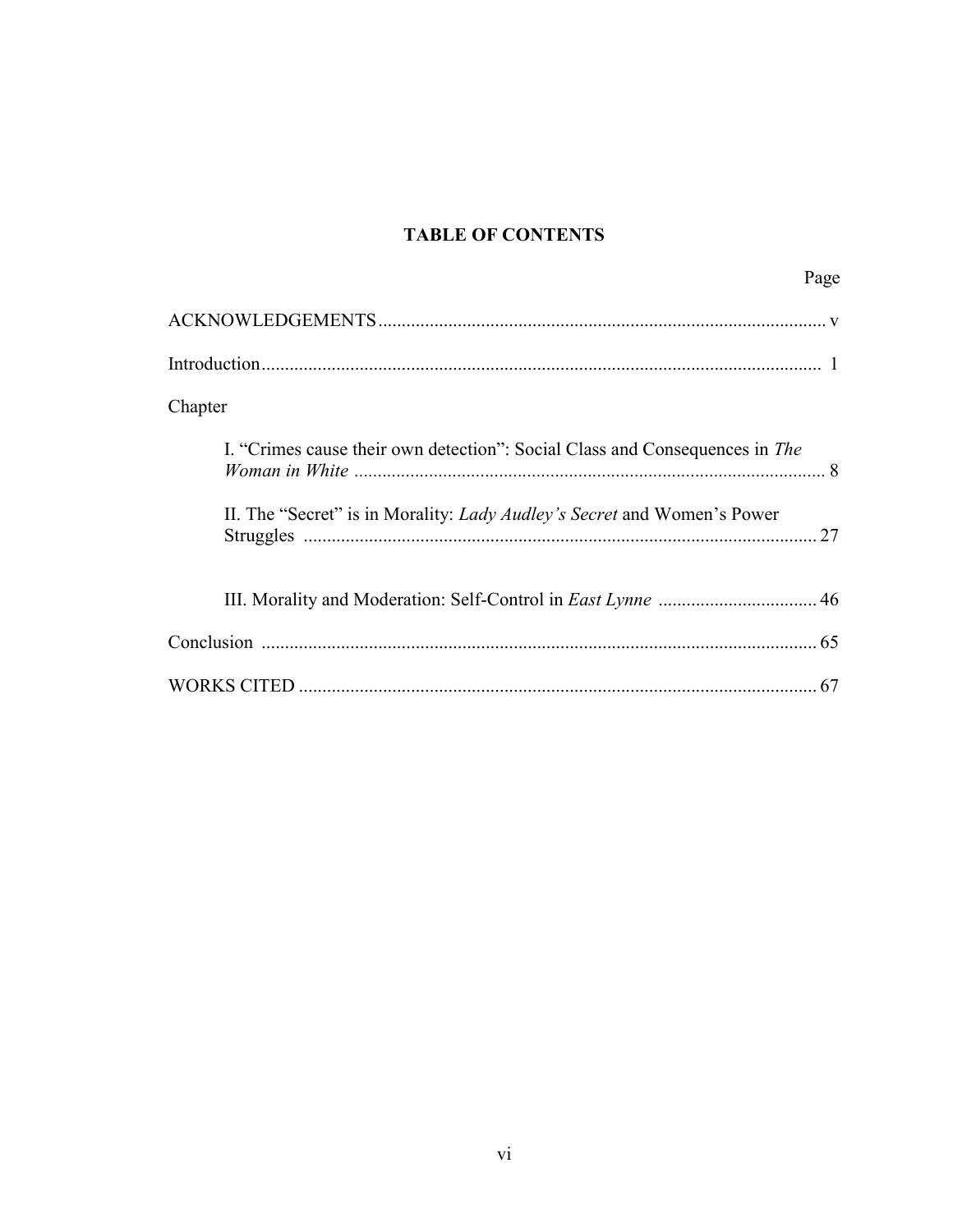## **TABLE OF CONTENTS**

|                                                                                | Page |
|--------------------------------------------------------------------------------|------|
|                                                                                |      |
|                                                                                |      |
| Chapter                                                                        |      |
| I. "Crimes cause their own detection": Social Class and Consequences in The    |      |
| II. The "Secret" is in Morality: <i>Lady Audley's Secret</i> and Women's Power |      |
|                                                                                |      |
|                                                                                |      |
|                                                                                |      |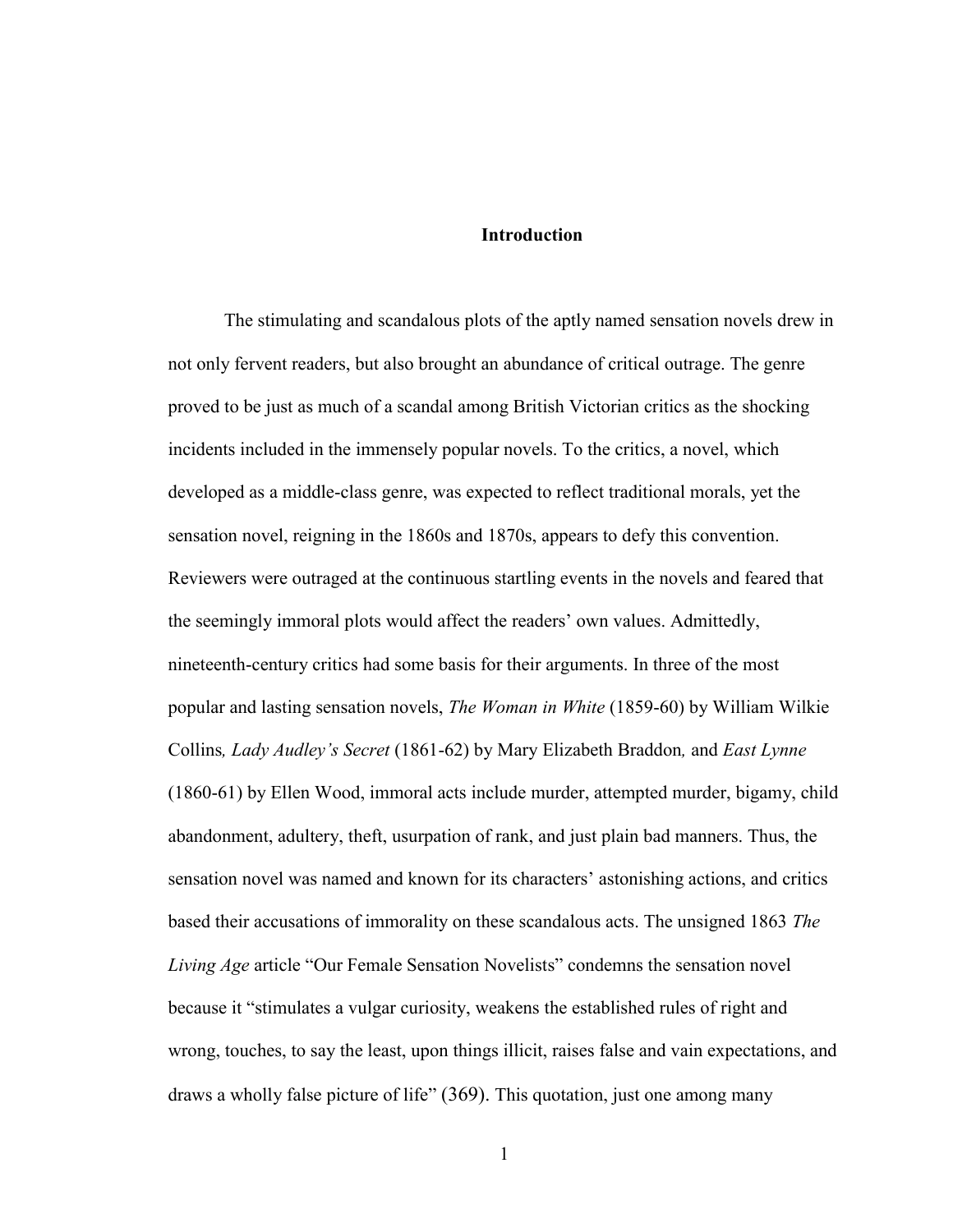#### **Introduction**

The stimulating and scandalous plots of the aptly named sensation novels drew in not only fervent readers, but also brought an abundance of critical outrage. The genre proved to be just as much of a scandal among British Victorian critics as the shocking incidents included in the immensely popular novels. To the critics, a novel, which developed as a middle-class genre, was expected to reflect traditional morals, yet the sensation novel, reigning in the 1860s and 1870s, appears to defy this convention. Reviewers were outraged at the continuous startling events in the novels and feared that the seemingly immoral plots would affect the readers" own values. Admittedly, nineteenth-century critics had some basis for their arguments. In three of the most popular and lasting sensation novels, *The Woman in White* (1859-60) by William Wilkie Collins*, Lady Audley's Secret* (1861-62) by Mary Elizabeth Braddon*,* and *East Lynne*  (1860-61) by Ellen Wood, immoral acts include murder, attempted murder, bigamy, child abandonment, adultery, theft, usurpation of rank, and just plain bad manners. Thus, the sensation novel was named and known for its characters" astonishing actions, and critics based their accusations of immorality on these scandalous acts. The unsigned 1863 *The Living Age* article "Our Female Sensation Novelists" condemns the sensation novel because it "stimulates a vulgar curiosity, weakens the established rules of right and wrong, touches, to say the least, upon things illicit, raises false and vain expectations, and draws a wholly false picture of life" (369). This quotation, just one among many

1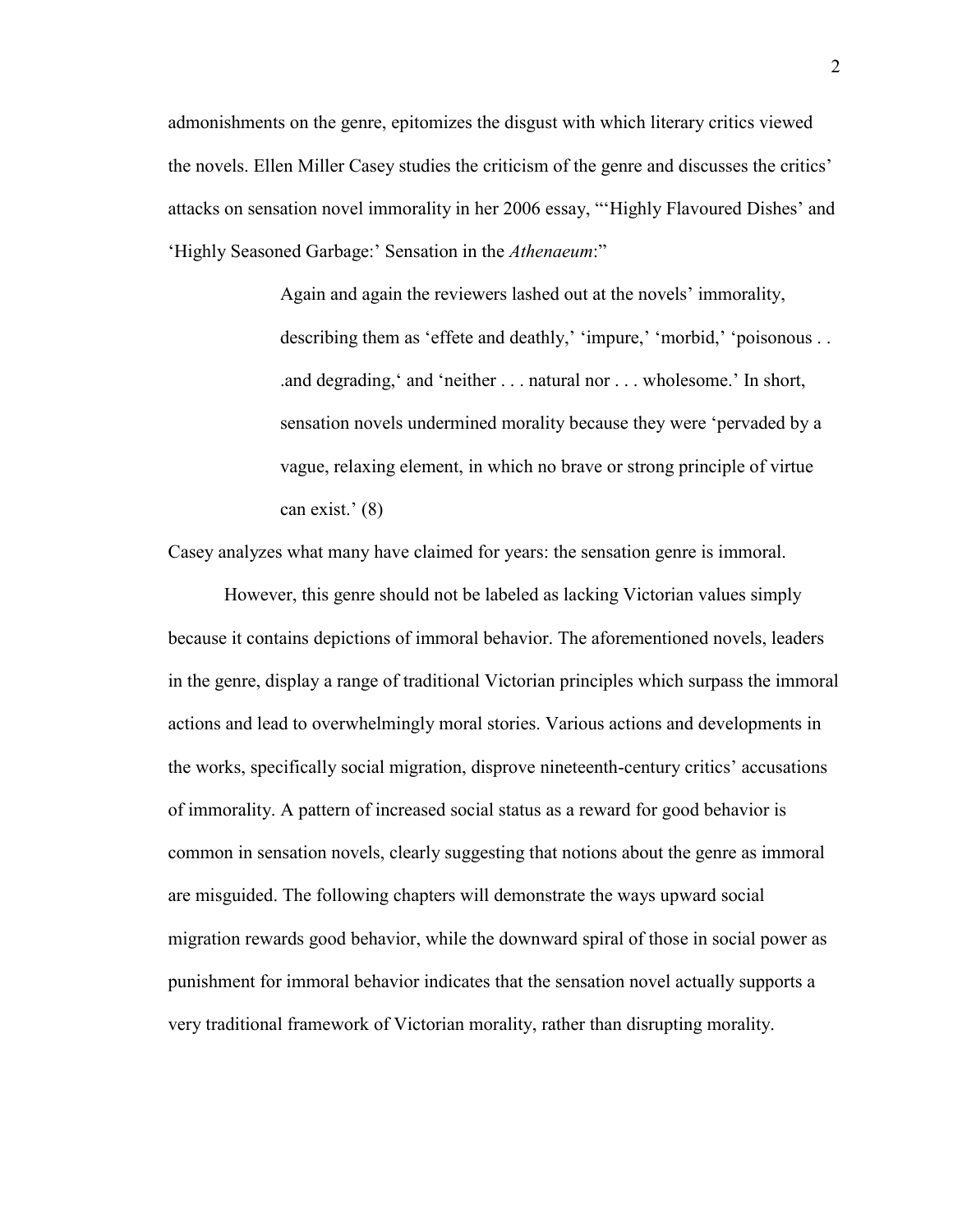admonishments on the genre, epitomizes the disgust with which literary critics viewed the novels. Ellen Miller Casey studies the criticism of the genre and discusses the critics" attacks on sensation novel immorality in her 2006 essay, ""Highly Flavoured Dishes" and "Highly Seasoned Garbage:" Sensation in the *Athenaeum*:"

> Again and again the reviewers lashed out at the novels' immorality, describing them as 'effete and deathly,' 'impure,' 'morbid,' 'poisonous . . .and degrading, and 'neither . . . natural nor . . . wholesome.' In short, sensation novels undermined morality because they were "pervaded by a vague, relaxing element, in which no brave or strong principle of virtue can exist.' $(8)$

Casey analyzes what many have claimed for years: the sensation genre is immoral.

However, this genre should not be labeled as lacking Victorian values simply because it contains depictions of immoral behavior. The aforementioned novels, leaders in the genre, display a range of traditional Victorian principles which surpass the immoral actions and lead to overwhelmingly moral stories. Various actions and developments in the works, specifically social migration, disprove nineteenth-century critics" accusations of immorality. A pattern of increased social status as a reward for good behavior is common in sensation novels, clearly suggesting that notions about the genre as immoral are misguided. The following chapters will demonstrate the ways upward social migration rewards good behavior, while the downward spiral of those in social power as punishment for immoral behavior indicates that the sensation novel actually supports a very traditional framework of Victorian morality, rather than disrupting morality.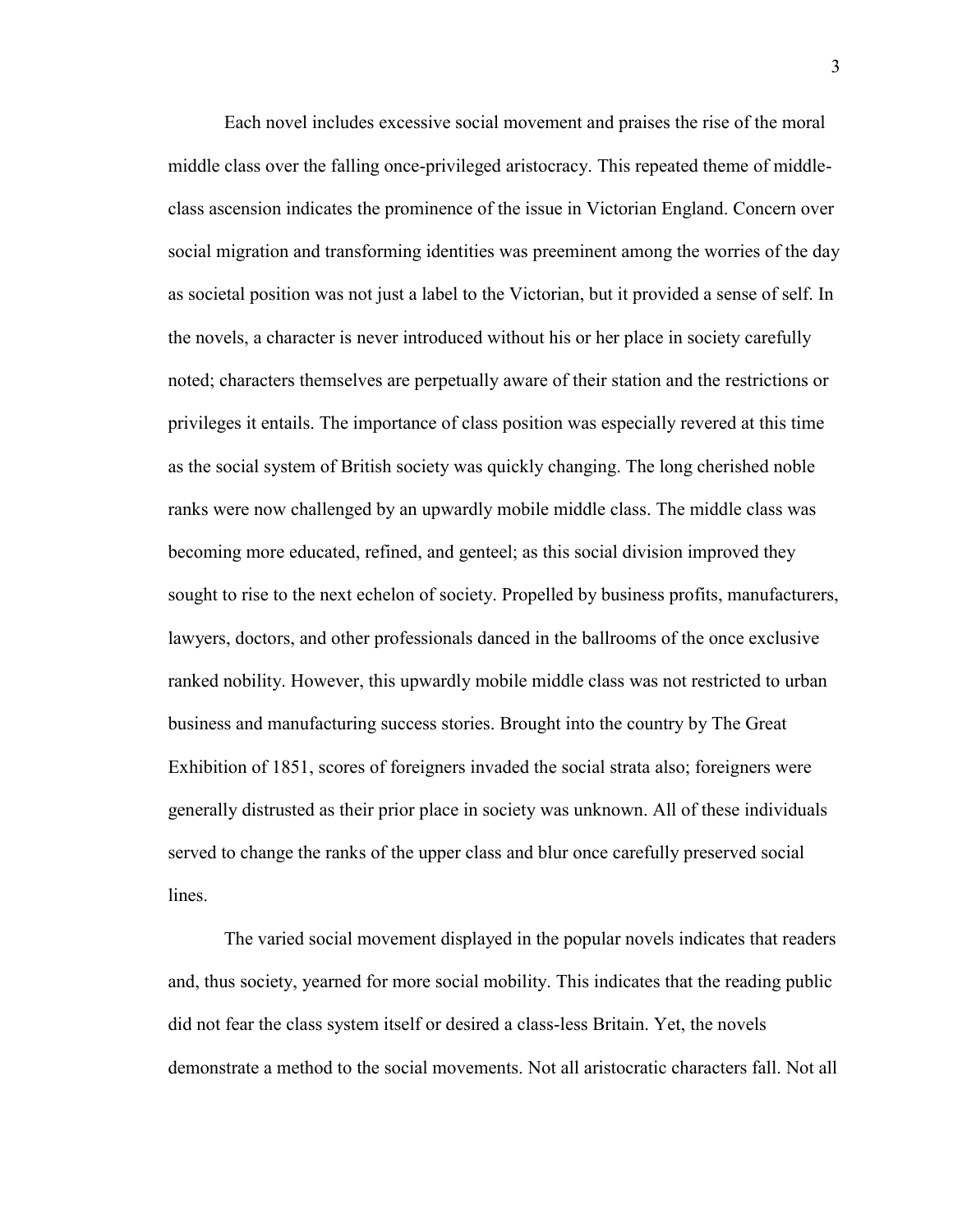Each novel includes excessive social movement and praises the rise of the moral middle class over the falling once-privileged aristocracy. This repeated theme of middleclass ascension indicates the prominence of the issue in Victorian England. Concern over social migration and transforming identities was preeminent among the worries of the day as societal position was not just a label to the Victorian, but it provided a sense of self. In the novels, a character is never introduced without his or her place in society carefully noted; characters themselves are perpetually aware of their station and the restrictions or privileges it entails. The importance of class position was especially revered at this time as the social system of British society was quickly changing. The long cherished noble ranks were now challenged by an upwardly mobile middle class. The middle class was becoming more educated, refined, and genteel; as this social division improved they sought to rise to the next echelon of society. Propelled by business profits, manufacturers, lawyers, doctors, and other professionals danced in the ballrooms of the once exclusive ranked nobility. However, this upwardly mobile middle class was not restricted to urban business and manufacturing success stories. Brought into the country by The Great Exhibition of 1851, scores of foreigners invaded the social strata also; foreigners were generally distrusted as their prior place in society was unknown. All of these individuals served to change the ranks of the upper class and blur once carefully preserved social lines.

The varied social movement displayed in the popular novels indicates that readers and, thus society, yearned for more social mobility. This indicates that the reading public did not fear the class system itself or desired a class-less Britain. Yet, the novels demonstrate a method to the social movements. Not all aristocratic characters fall. Not all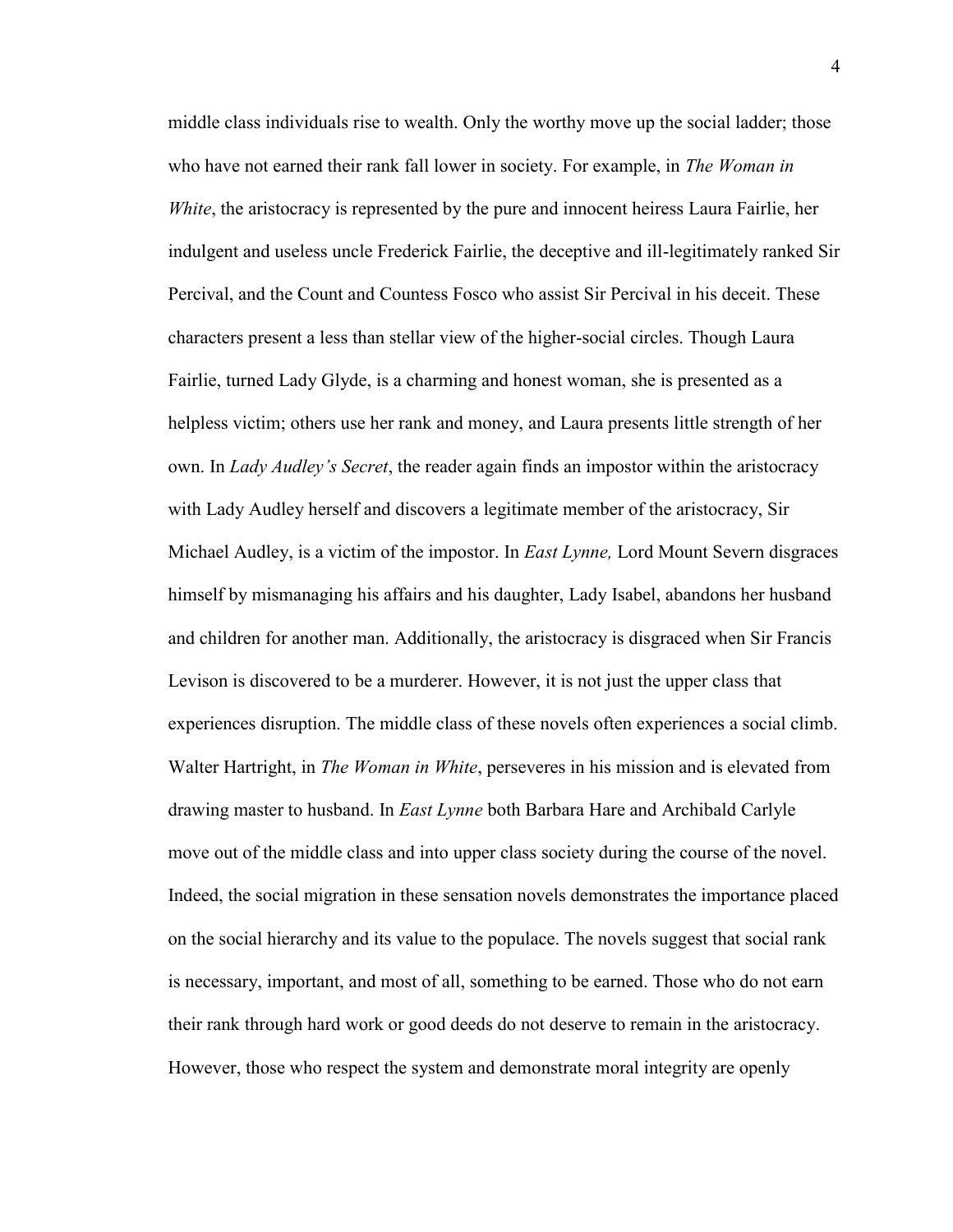middle class individuals rise to wealth. Only the worthy move up the social ladder; those who have not earned their rank fall lower in society. For example, in *The Woman in White*, the aristocracy is represented by the pure and innocent heiress Laura Fairlie, her indulgent and useless uncle Frederick Fairlie, the deceptive and ill-legitimately ranked Sir Percival, and the Count and Countess Fosco who assist Sir Percival in his deceit. These characters present a less than stellar view of the higher-social circles. Though Laura Fairlie, turned Lady Glyde, is a charming and honest woman, she is presented as a helpless victim; others use her rank and money, and Laura presents little strength of her own. In *Lady Audley's Secret*, the reader again finds an impostor within the aristocracy with Lady Audley herself and discovers a legitimate member of the aristocracy, Sir Michael Audley, is a victim of the impostor. In *East Lynne,* Lord Mount Severn disgraces himself by mismanaging his affairs and his daughter, Lady Isabel, abandons her husband and children for another man. Additionally, the aristocracy is disgraced when Sir Francis Levison is discovered to be a murderer. However, it is not just the upper class that experiences disruption. The middle class of these novels often experiences a social climb. Walter Hartright, in *The Woman in White*, perseveres in his mission and is elevated from drawing master to husband. In *East Lynne* both Barbara Hare and Archibald Carlyle move out of the middle class and into upper class society during the course of the novel. Indeed, the social migration in these sensation novels demonstrates the importance placed on the social hierarchy and its value to the populace. The novels suggest that social rank is necessary, important, and most of all, something to be earned. Those who do not earn their rank through hard work or good deeds do not deserve to remain in the aristocracy. However, those who respect the system and demonstrate moral integrity are openly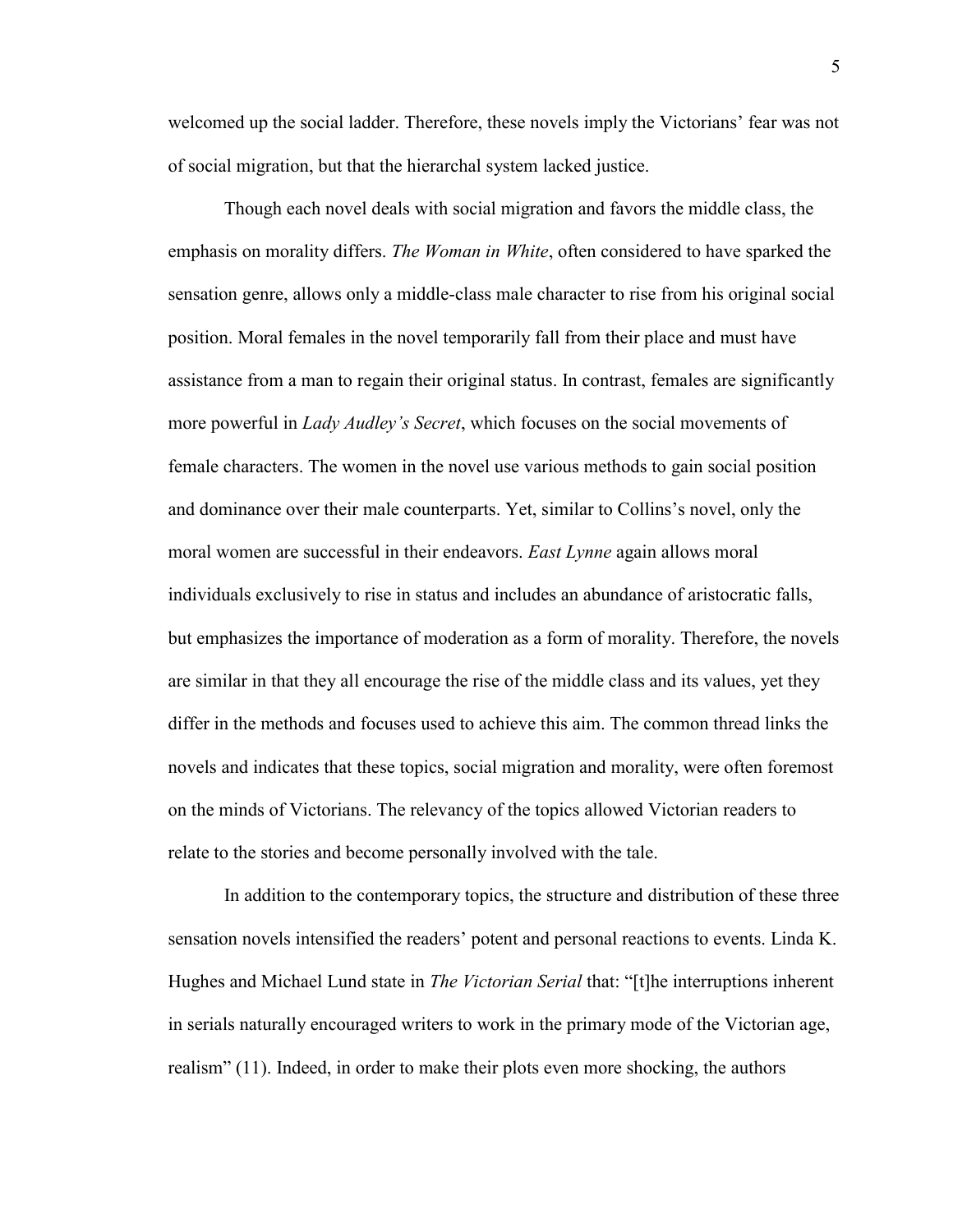welcomed up the social ladder. Therefore, these novels imply the Victorians' fear was not of social migration, but that the hierarchal system lacked justice.

Though each novel deals with social migration and favors the middle class, the emphasis on morality differs. *The Woman in White*, often considered to have sparked the sensation genre, allows only a middle-class male character to rise from his original social position. Moral females in the novel temporarily fall from their place and must have assistance from a man to regain their original status. In contrast, females are significantly more powerful in *Lady Audley's Secret*, which focuses on the social movements of female characters. The women in the novel use various methods to gain social position and dominance over their male counterparts. Yet, similar to Collins"s novel, only the moral women are successful in their endeavors. *East Lynne* again allows moral individuals exclusively to rise in status and includes an abundance of aristocratic falls, but emphasizes the importance of moderation as a form of morality. Therefore, the novels are similar in that they all encourage the rise of the middle class and its values, yet they differ in the methods and focuses used to achieve this aim. The common thread links the novels and indicates that these topics, social migration and morality, were often foremost on the minds of Victorians. The relevancy of the topics allowed Victorian readers to relate to the stories and become personally involved with the tale.

In addition to the contemporary topics, the structure and distribution of these three sensation novels intensified the readers" potent and personal reactions to events. Linda K. Hughes and Michael Lund state in *The Victorian Serial* that: "[t]he interruptions inherent in serials naturally encouraged writers to work in the primary mode of the Victorian age, realism" (11). Indeed, in order to make their plots even more shocking, the authors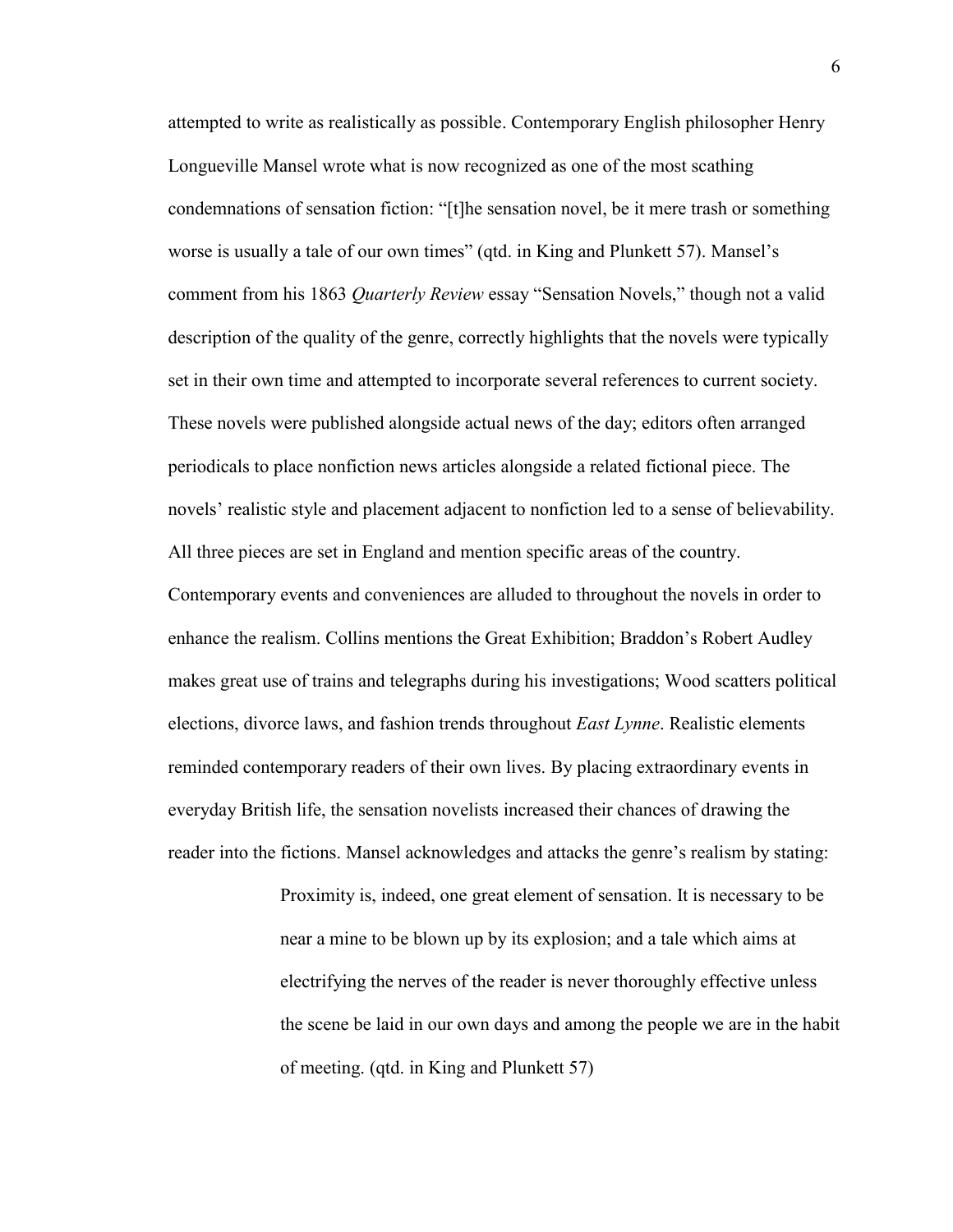attempted to write as realistically as possible. Contemporary English philosopher Henry Longueville Mansel wrote what is now recognized as one of the most scathing condemnations of sensation fiction: "[t]he sensation novel, be it mere trash or something worse is usually a tale of our own times" (qtd. in King and Plunkett 57). Mansel"s comment from his 1863 *Quarterly Review* essay "Sensation Novels," though not a valid description of the quality of the genre, correctly highlights that the novels were typically set in their own time and attempted to incorporate several references to current society. These novels were published alongside actual news of the day; editors often arranged periodicals to place nonfiction news articles alongside a related fictional piece. The novels" realistic style and placement adjacent to nonfiction led to a sense of believability. All three pieces are set in England and mention specific areas of the country. Contemporary events and conveniences are alluded to throughout the novels in order to enhance the realism. Collins mentions the Great Exhibition; Braddon"s Robert Audley makes great use of trains and telegraphs during his investigations; Wood scatters political elections, divorce laws, and fashion trends throughout *East Lynne*. Realistic elements reminded contemporary readers of their own lives. By placing extraordinary events in everyday British life, the sensation novelists increased their chances of drawing the reader into the fictions. Mansel acknowledges and attacks the genre"s realism by stating:

> Proximity is, indeed, one great element of sensation. It is necessary to be near a mine to be blown up by its explosion; and a tale which aims at electrifying the nerves of the reader is never thoroughly effective unless the scene be laid in our own days and among the people we are in the habit of meeting. (qtd. in King and Plunkett 57)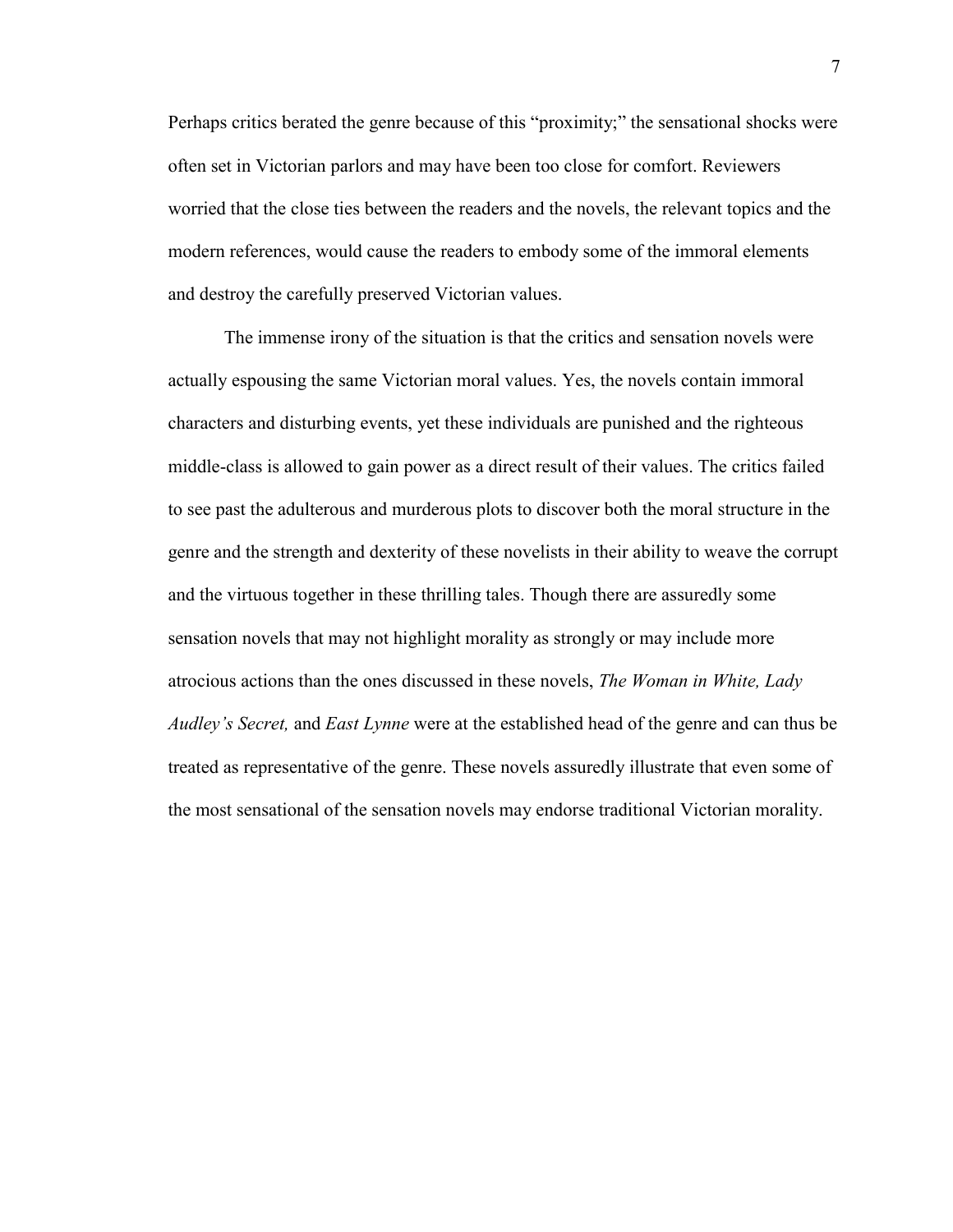Perhaps critics berated the genre because of this "proximity;" the sensational shocks were often set in Victorian parlors and may have been too close for comfort. Reviewers worried that the close ties between the readers and the novels, the relevant topics and the modern references, would cause the readers to embody some of the immoral elements and destroy the carefully preserved Victorian values.

The immense irony of the situation is that the critics and sensation novels were actually espousing the same Victorian moral values. Yes, the novels contain immoral characters and disturbing events, yet these individuals are punished and the righteous middle-class is allowed to gain power as a direct result of their values. The critics failed to see past the adulterous and murderous plots to discover both the moral structure in the genre and the strength and dexterity of these novelists in their ability to weave the corrupt and the virtuous together in these thrilling tales. Though there are assuredly some sensation novels that may not highlight morality as strongly or may include more atrocious actions than the ones discussed in these novels, *The Woman in White, Lady Audley's Secret,* and *East Lynne* were at the established head of the genre and can thus be treated as representative of the genre. These novels assuredly illustrate that even some of the most sensational of the sensation novels may endorse traditional Victorian morality.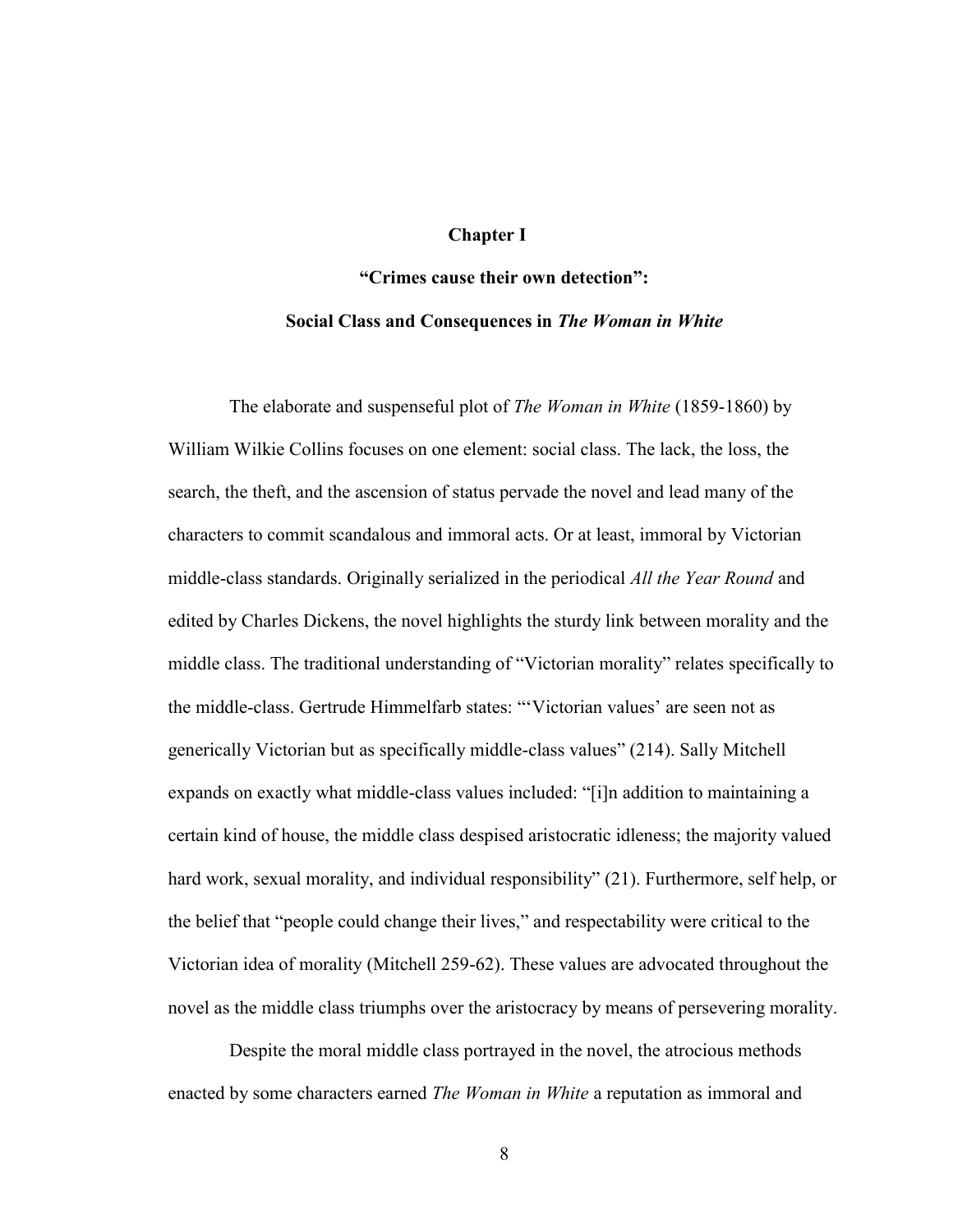### **Chapter I**

# **"Crimes cause their own detection": Social Class and Consequences in** *The Woman in White*

The elaborate and suspenseful plot of *The Woman in White* (1859-1860) by William Wilkie Collins focuses on one element: social class. The lack, the loss, the search, the theft, and the ascension of status pervade the novel and lead many of the characters to commit scandalous and immoral acts. Or at least, immoral by Victorian middle-class standards. Originally serialized in the periodical *All the Year Round* and edited by Charles Dickens, the novel highlights the sturdy link between morality and the middle class. The traditional understanding of "Victorian morality" relates specifically to the middle-class. Gertrude Himmelfarb states: ""Victorian values' are seen not as generically Victorian but as specifically middle-class values" (214). Sally Mitchell expands on exactly what middle-class values included: "[i]n addition to maintaining a certain kind of house, the middle class despised aristocratic idleness; the majority valued hard work, sexual morality, and individual responsibility" (21). Furthermore, self help, or the belief that "people could change their lives," and respectability were critical to the Victorian idea of morality (Mitchell 259-62). These values are advocated throughout the novel as the middle class triumphs over the aristocracy by means of persevering morality.

Despite the moral middle class portrayed in the novel, the atrocious methods enacted by some characters earned *The Woman in White* a reputation as immoral and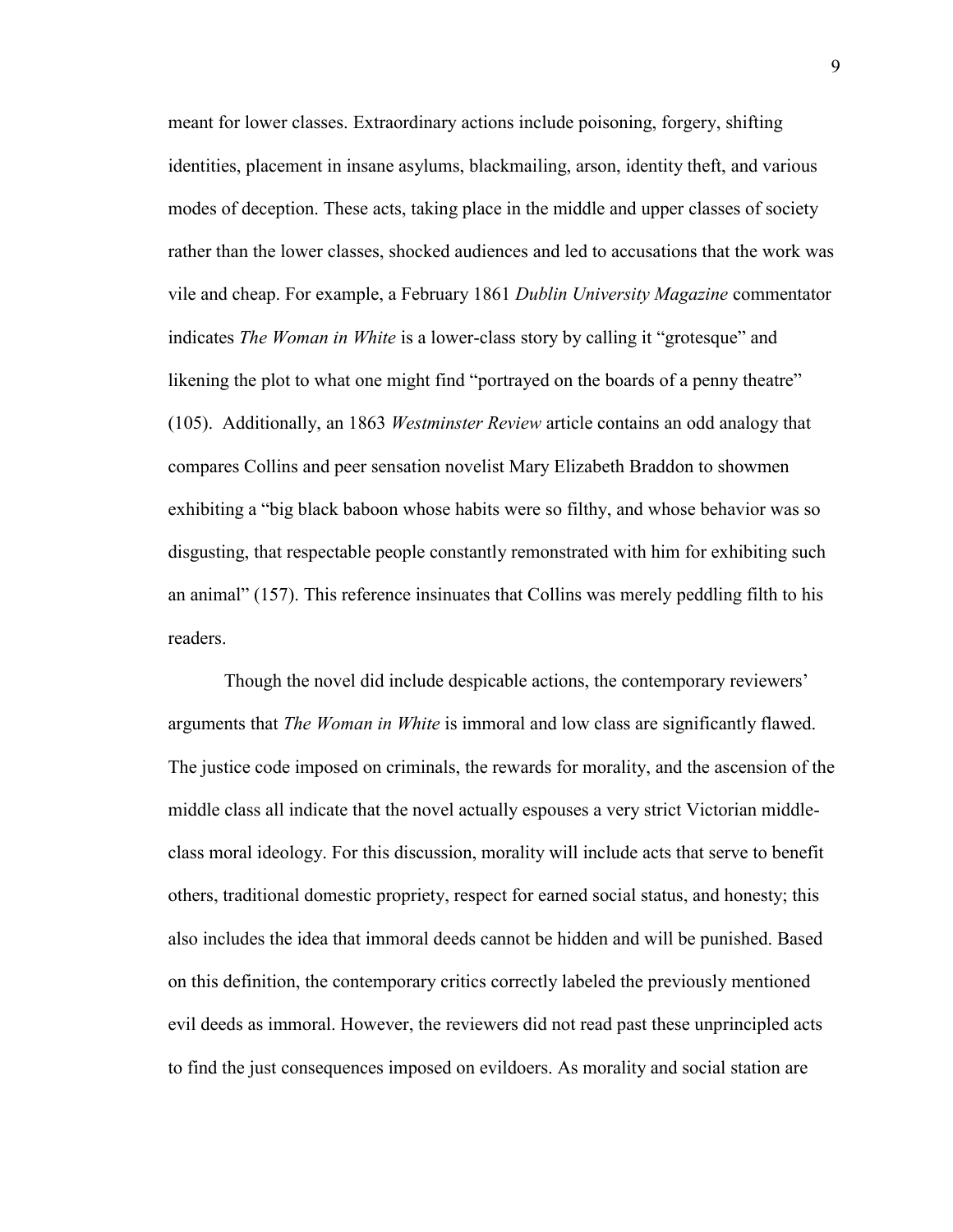meant for lower classes. Extraordinary actions include poisoning, forgery, shifting identities, placement in insane asylums, blackmailing, arson, identity theft, and various modes of deception. These acts, taking place in the middle and upper classes of society rather than the lower classes, shocked audiences and led to accusations that the work was vile and cheap. For example, a February 1861 *Dublin University Magazine* commentator indicates *The Woman in White* is a lower-class story by calling it "grotesque" and likening the plot to what one might find "portrayed on the boards of a penny theatre" (105). Additionally, an 1863 *Westminster Review* article contains an odd analogy that compares Collins and peer sensation novelist Mary Elizabeth Braddon to showmen exhibiting a "big black baboon whose habits were so filthy, and whose behavior was so disgusting, that respectable people constantly remonstrated with him for exhibiting such an animal" (157). This reference insinuates that Collins was merely peddling filth to his readers.

Though the novel did include despicable actions, the contemporary reviewers" arguments that *The Woman in White* is immoral and low class are significantly flawed. The justice code imposed on criminals, the rewards for morality, and the ascension of the middle class all indicate that the novel actually espouses a very strict Victorian middleclass moral ideology. For this discussion, morality will include acts that serve to benefit others, traditional domestic propriety, respect for earned social status, and honesty; this also includes the idea that immoral deeds cannot be hidden and will be punished. Based on this definition, the contemporary critics correctly labeled the previously mentioned evil deeds as immoral. However, the reviewers did not read past these unprincipled acts to find the just consequences imposed on evildoers. As morality and social station are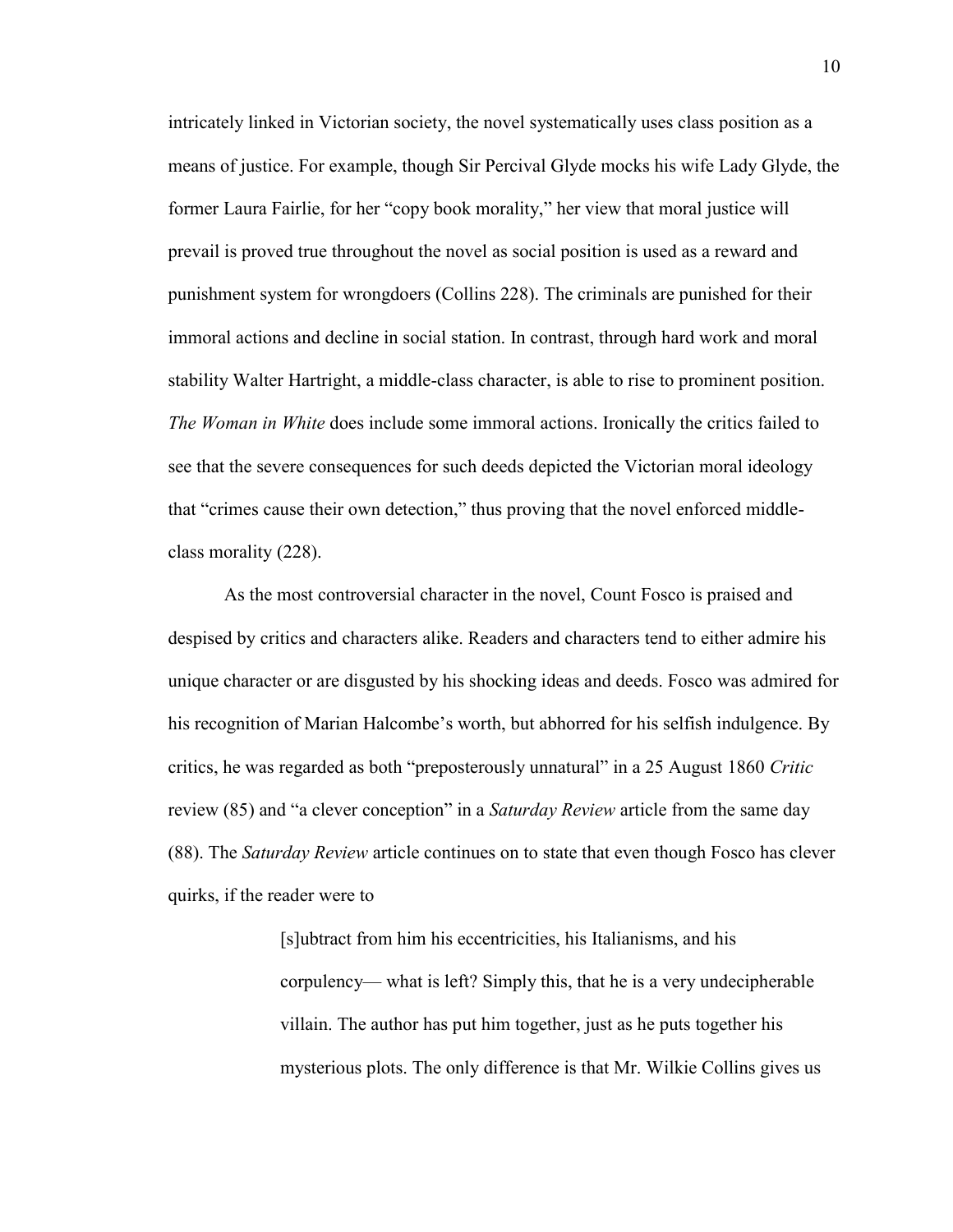intricately linked in Victorian society, the novel systematically uses class position as a means of justice. For example, though Sir Percival Glyde mocks his wife Lady Glyde, the former Laura Fairlie, for her "copy book morality," her view that moral justice will prevail is proved true throughout the novel as social position is used as a reward and punishment system for wrongdoers (Collins 228). The criminals are punished for their immoral actions and decline in social station. In contrast, through hard work and moral stability Walter Hartright, a middle-class character, is able to rise to prominent position. *The Woman in White* does include some immoral actions. Ironically the critics failed to see that the severe consequences for such deeds depicted the Victorian moral ideology that "crimes cause their own detection," thus proving that the novel enforced middleclass morality (228).

As the most controversial character in the novel, Count Fosco is praised and despised by critics and characters alike. Readers and characters tend to either admire his unique character or are disgusted by his shocking ideas and deeds. Fosco was admired for his recognition of Marian Halcombe's worth, but abhorred for his selfish indulgence. By critics, he was regarded as both "preposterously unnatural" in a 25 August 1860 *Critic*  review (85) and "a clever conception" in a *Saturday Review* article from the same day (88). The *Saturday Review* article continues on to state that even though Fosco has clever quirks, if the reader were to

> [s]ubtract from him his eccentricities, his Italianisms, and his corpulency— what is left? Simply this, that he is a very undecipherable villain. The author has put him together, just as he puts together his mysterious plots. The only difference is that Mr. Wilkie Collins gives us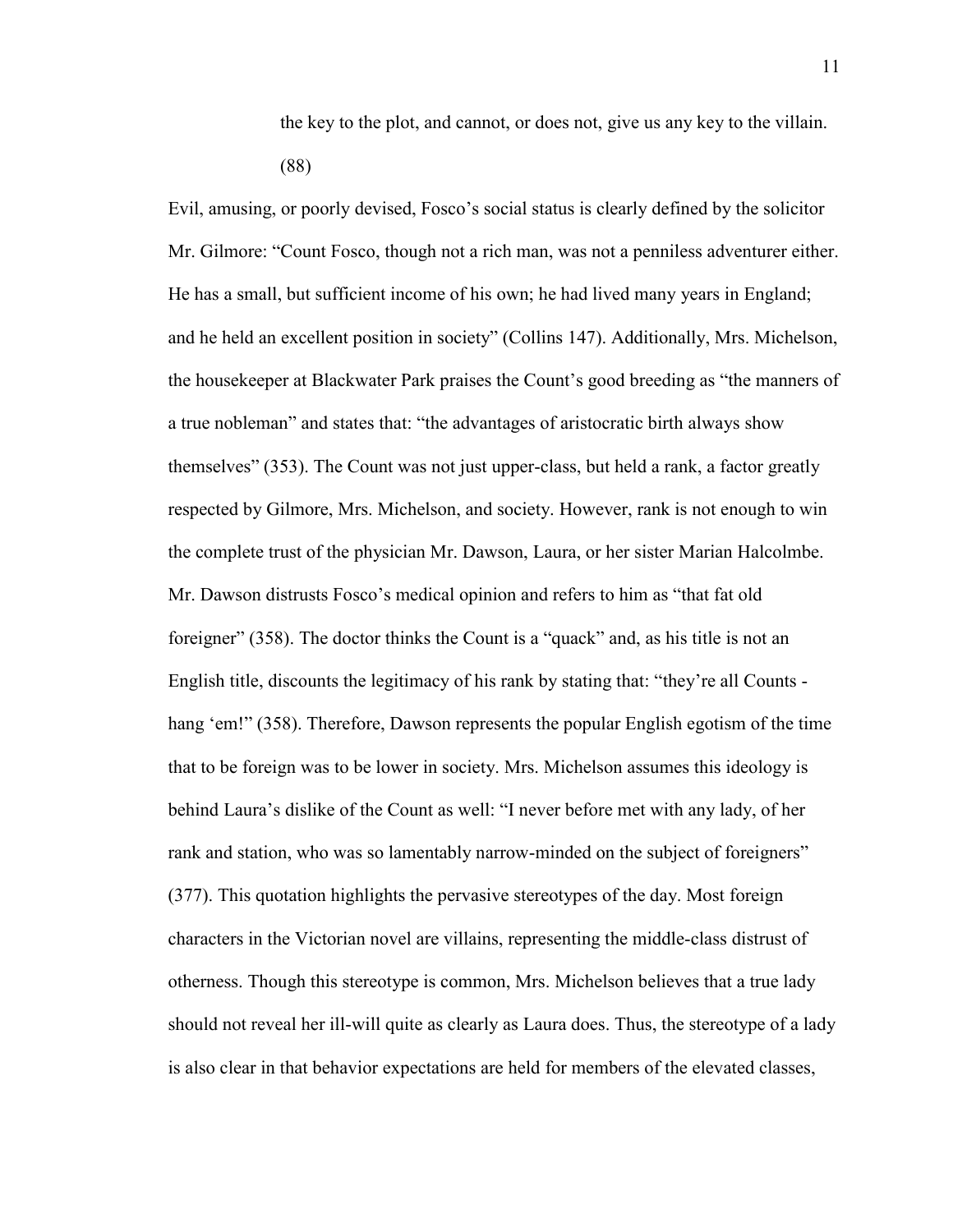the key to the plot, and cannot, or does not, give us any key to the villain. (88)

Evil, amusing, or poorly devised, Fosco"s social status is clearly defined by the solicitor Mr. Gilmore: "Count Fosco, though not a rich man, was not a penniless adventurer either. He has a small, but sufficient income of his own; he had lived many years in England; and he held an excellent position in society" (Collins 147). Additionally, Mrs. Michelson, the housekeeper at Blackwater Park praises the Count"s good breeding as "the manners of a true nobleman" and states that: "the advantages of aristocratic birth always show themselves" (353). The Count was not just upper-class, but held a rank, a factor greatly respected by Gilmore, Mrs. Michelson, and society. However, rank is not enough to win the complete trust of the physician Mr. Dawson, Laura, or her sister Marian Halcolmbe. Mr. Dawson distrusts Fosco"s medical opinion and refers to him as "that fat old foreigner" (358). The doctor thinks the Count is a "quack" and, as his title is not an English title, discounts the legitimacy of his rank by stating that: "they"re all Counts hang 'em!" (358). Therefore, Dawson represents the popular English egotism of the time that to be foreign was to be lower in society. Mrs. Michelson assumes this ideology is behind Laura"s dislike of the Count as well: "I never before met with any lady, of her rank and station, who was so lamentably narrow-minded on the subject of foreigners" (377). This quotation highlights the pervasive stereotypes of the day. Most foreign characters in the Victorian novel are villains, representing the middle-class distrust of otherness. Though this stereotype is common, Mrs. Michelson believes that a true lady should not reveal her ill-will quite as clearly as Laura does. Thus, the stereotype of a lady is also clear in that behavior expectations are held for members of the elevated classes,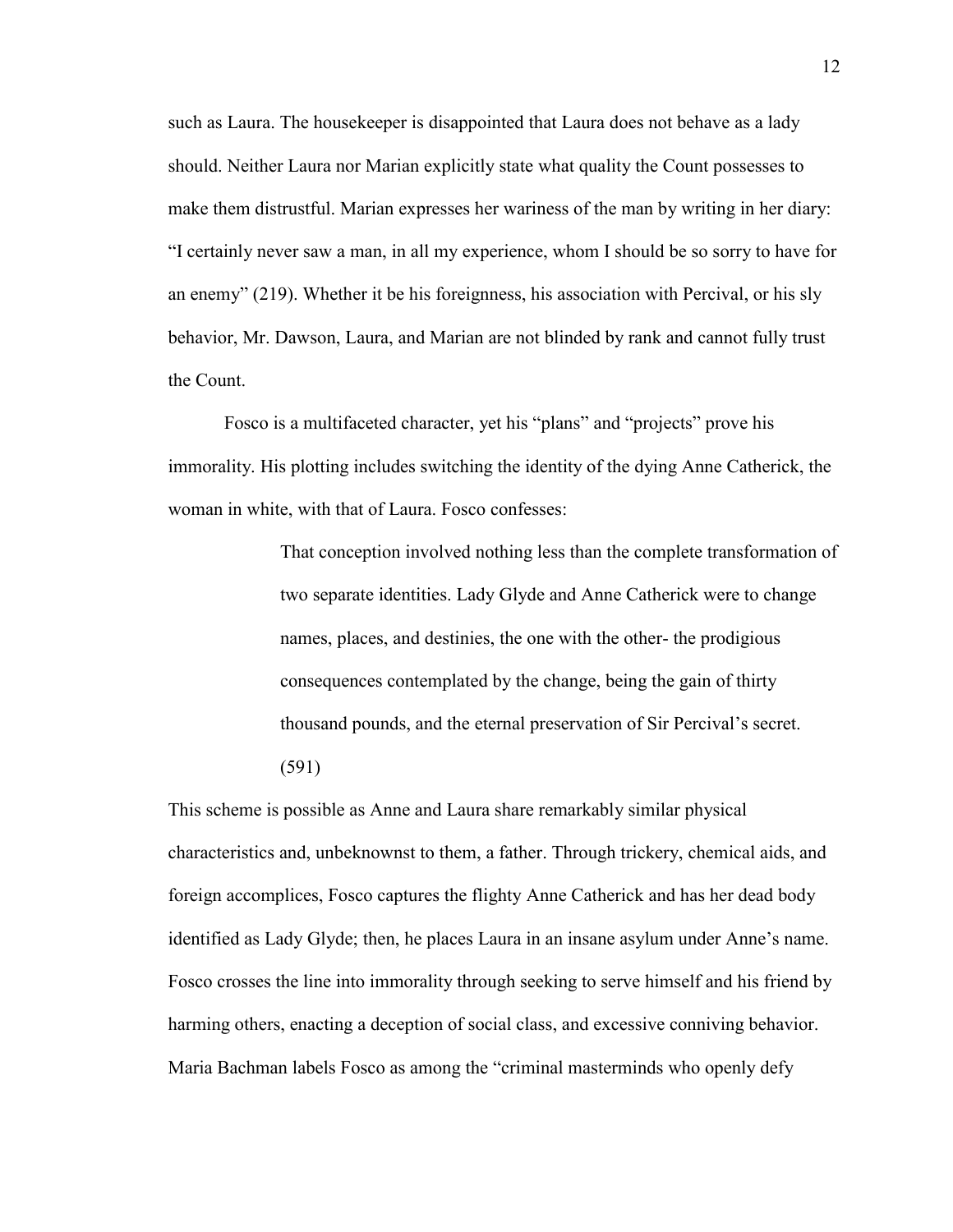such as Laura. The housekeeper is disappointed that Laura does not behave as a lady should. Neither Laura nor Marian explicitly state what quality the Count possesses to make them distrustful. Marian expresses her wariness of the man by writing in her diary: "I certainly never saw a man, in all my experience, whom I should be so sorry to have for an enemy" (219). Whether it be his foreignness, his association with Percival, or his sly behavior, Mr. Dawson, Laura, and Marian are not blinded by rank and cannot fully trust the Count.

Fosco is a multifaceted character, yet his "plans" and "projects" prove his immorality. His plotting includes switching the identity of the dying Anne Catherick, the woman in white, with that of Laura. Fosco confesses:

> That conception involved nothing less than the complete transformation of two separate identities. Lady Glyde and Anne Catherick were to change names, places, and destinies, the one with the other- the prodigious consequences contemplated by the change, being the gain of thirty thousand pounds, and the eternal preservation of Sir Percival"s secret. (591)

This scheme is possible as Anne and Laura share remarkably similar physical characteristics and, unbeknownst to them, a father. Through trickery, chemical aids, and foreign accomplices, Fosco captures the flighty Anne Catherick and has her dead body identified as Lady Glyde; then, he places Laura in an insane asylum under Anne"s name. Fosco crosses the line into immorality through seeking to serve himself and his friend by harming others, enacting a deception of social class, and excessive conniving behavior. Maria Bachman labels Fosco as among the "criminal masterminds who openly defy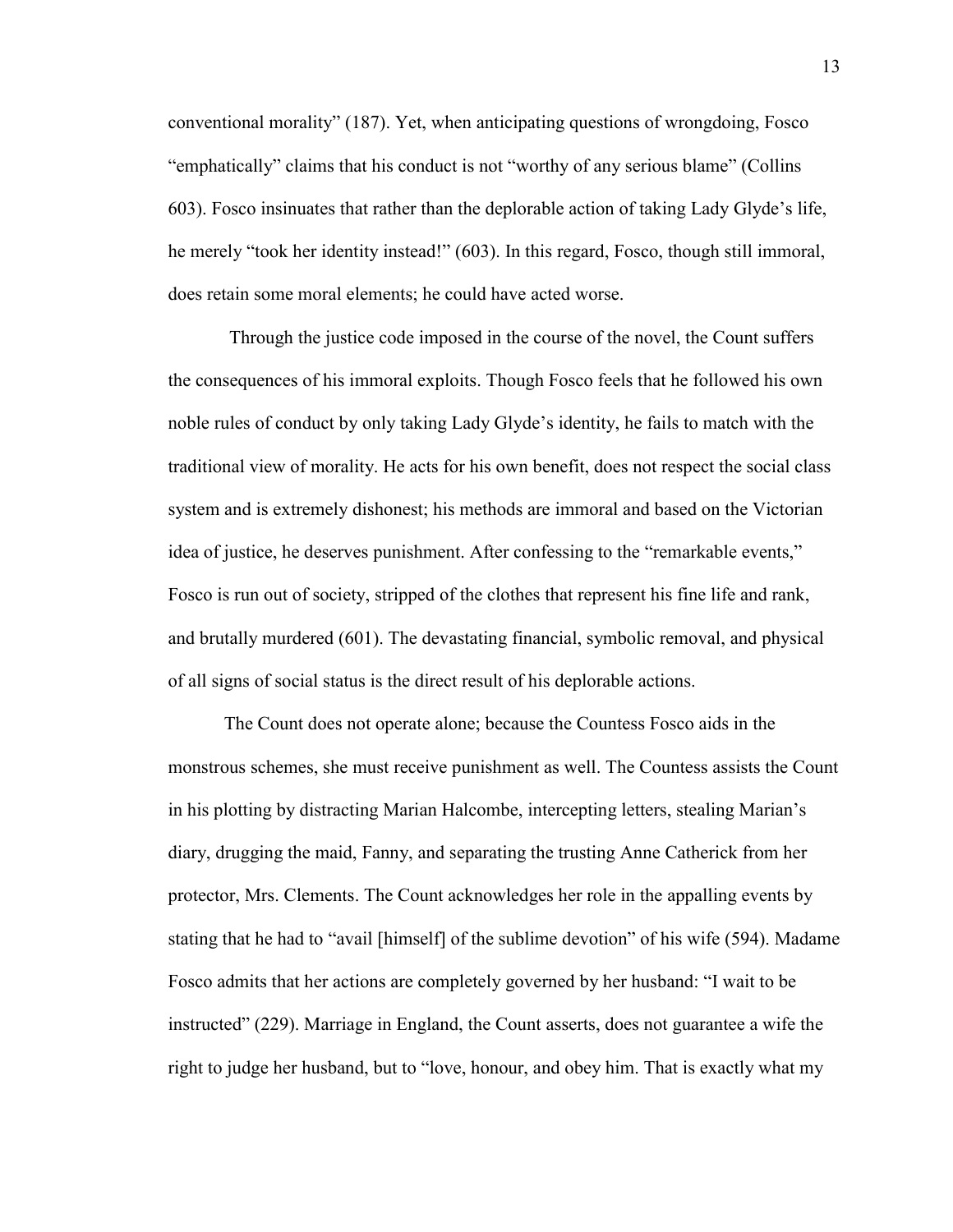conventional morality" (187). Yet, when anticipating questions of wrongdoing, Fosco "emphatically" claims that his conduct is not "worthy of any serious blame" (Collins 603). Fosco insinuates that rather than the deplorable action of taking Lady Glyde"s life, he merely "took her identity instead!" (603). In this regard, Fosco, though still immoral, does retain some moral elements; he could have acted worse.

Through the justice code imposed in the course of the novel, the Count suffers the consequences of his immoral exploits. Though Fosco feels that he followed his own noble rules of conduct by only taking Lady Glyde"s identity, he fails to match with the traditional view of morality. He acts for his own benefit, does not respect the social class system and is extremely dishonest; his methods are immoral and based on the Victorian idea of justice, he deserves punishment. After confessing to the "remarkable events," Fosco is run out of society, stripped of the clothes that represent his fine life and rank, and brutally murdered (601). The devastating financial, symbolic removal, and physical of all signs of social status is the direct result of his deplorable actions.

The Count does not operate alone; because the Countess Fosco aids in the monstrous schemes, she must receive punishment as well. The Countess assists the Count in his plotting by distracting Marian Halcombe, intercepting letters, stealing Marian"s diary, drugging the maid, Fanny, and separating the trusting Anne Catherick from her protector, Mrs. Clements. The Count acknowledges her role in the appalling events by stating that he had to "avail [himself] of the sublime devotion" of his wife (594). Madame Fosco admits that her actions are completely governed by her husband: "I wait to be instructed" (229). Marriage in England, the Count asserts, does not guarantee a wife the right to judge her husband, but to "love, honour, and obey him. That is exactly what my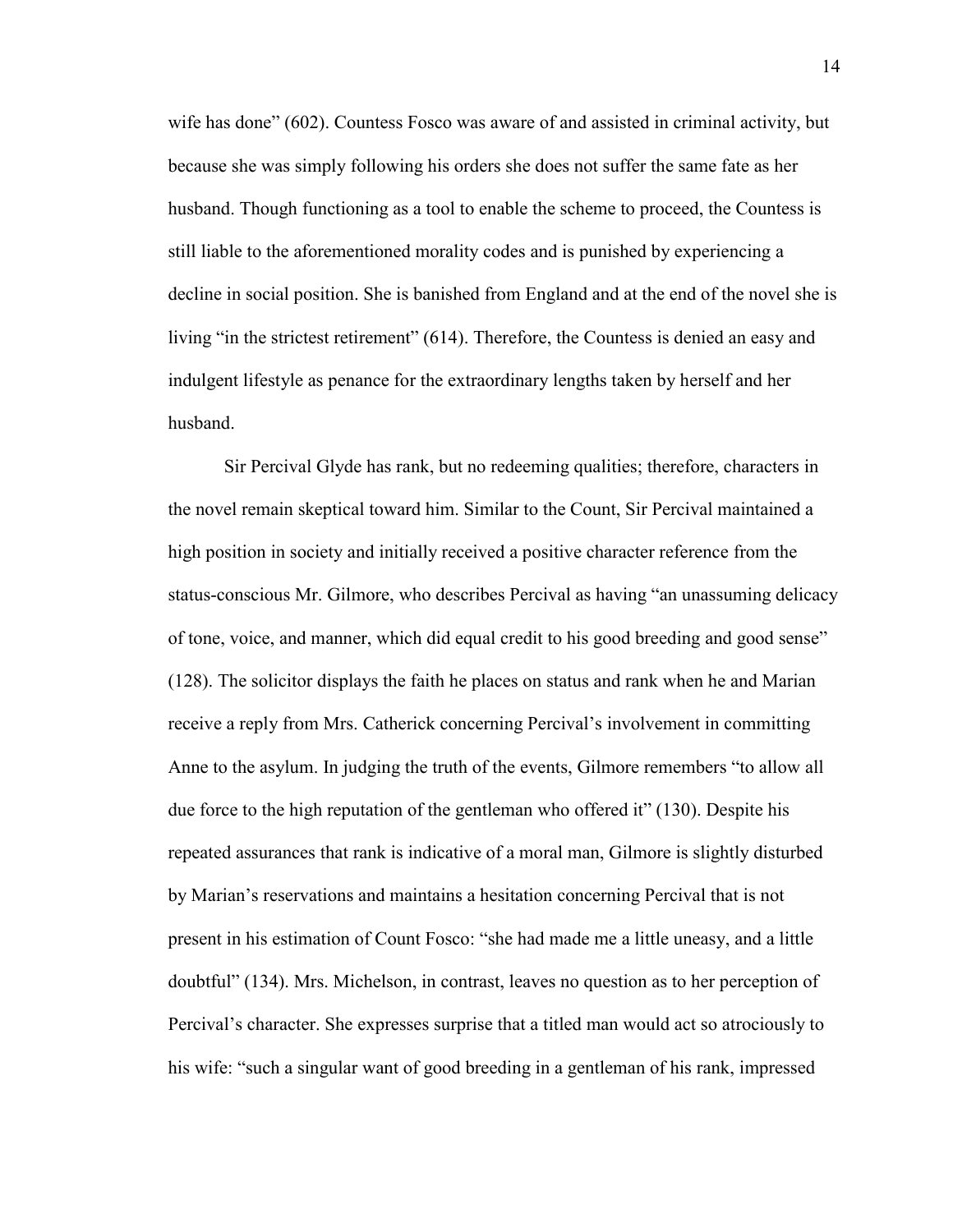wife has done" (602). Countess Fosco was aware of and assisted in criminal activity, but because she was simply following his orders she does not suffer the same fate as her husband. Though functioning as a tool to enable the scheme to proceed, the Countess is still liable to the aforementioned morality codes and is punished by experiencing a decline in social position. She is banished from England and at the end of the novel she is living "in the strictest retirement" (614). Therefore, the Countess is denied an easy and indulgent lifestyle as penance for the extraordinary lengths taken by herself and her husband.

Sir Percival Glyde has rank, but no redeeming qualities; therefore, characters in the novel remain skeptical toward him. Similar to the Count, Sir Percival maintained a high position in society and initially received a positive character reference from the status-conscious Mr. Gilmore, who describes Percival as having "an unassuming delicacy of tone, voice, and manner, which did equal credit to his good breeding and good sense" (128). The solicitor displays the faith he places on status and rank when he and Marian receive a reply from Mrs. Catherick concerning Percival's involvement in committing Anne to the asylum. In judging the truth of the events, Gilmore remembers "to allow all due force to the high reputation of the gentleman who offered it" (130). Despite his repeated assurances that rank is indicative of a moral man, Gilmore is slightly disturbed by Marian"s reservations and maintains a hesitation concerning Percival that is not present in his estimation of Count Fosco: "she had made me a little uneasy, and a little doubtful" (134). Mrs. Michelson, in contrast, leaves no question as to her perception of Percival"s character. She expresses surprise that a titled man would act so atrociously to his wife: "such a singular want of good breeding in a gentleman of his rank, impressed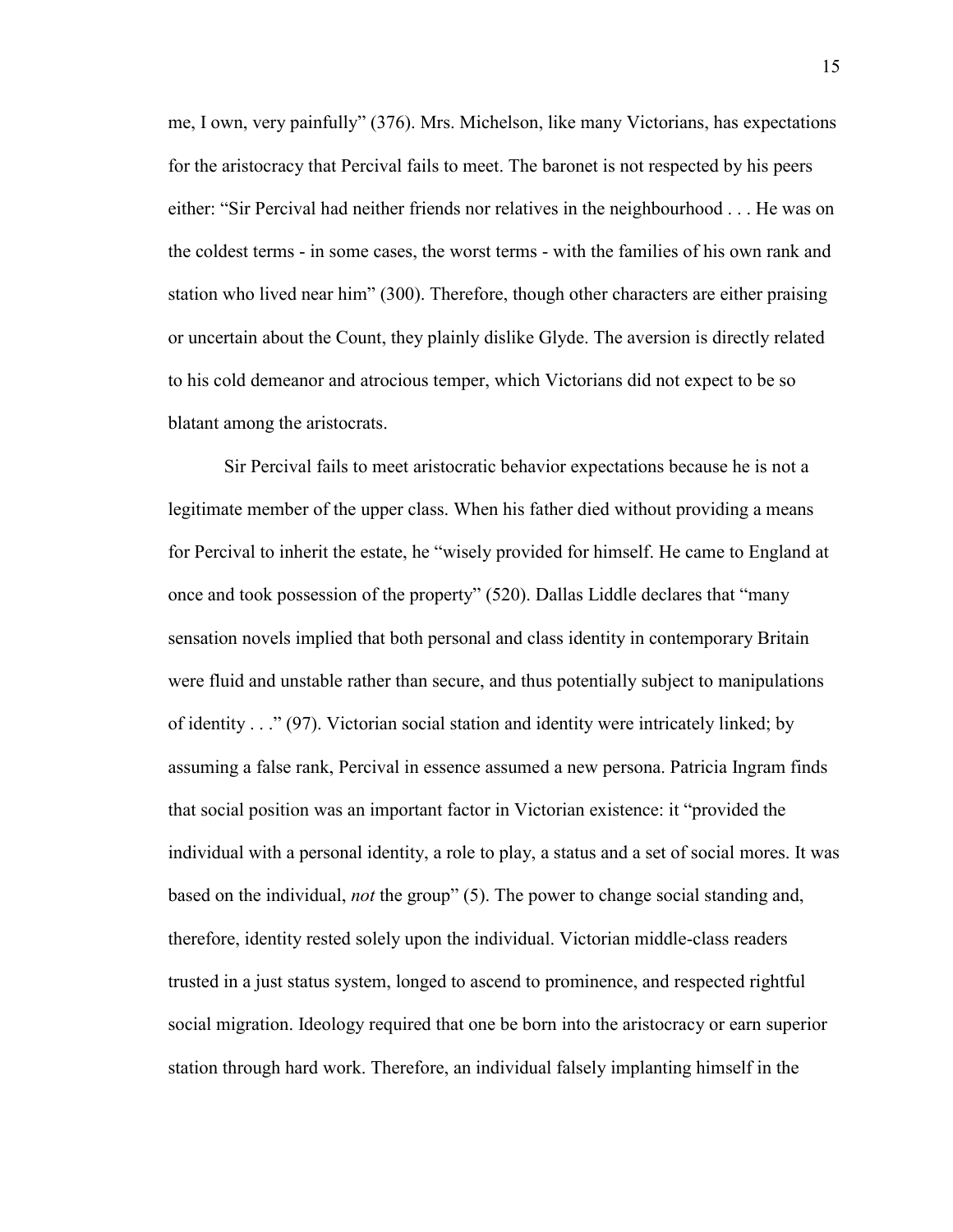me, I own, very painfully" (376). Mrs. Michelson, like many Victorians, has expectations for the aristocracy that Percival fails to meet. The baronet is not respected by his peers either: "Sir Percival had neither friends nor relatives in the neighbourhood . . . He was on the coldest terms - in some cases, the worst terms - with the families of his own rank and station who lived near him" (300). Therefore, though other characters are either praising or uncertain about the Count, they plainly dislike Glyde. The aversion is directly related to his cold demeanor and atrocious temper, which Victorians did not expect to be so blatant among the aristocrats.

Sir Percival fails to meet aristocratic behavior expectations because he is not a legitimate member of the upper class. When his father died without providing a means for Percival to inherit the estate, he "wisely provided for himself. He came to England at once and took possession of the property" (520). Dallas Liddle declares that "many sensation novels implied that both personal and class identity in contemporary Britain were fluid and unstable rather than secure, and thus potentially subject to manipulations of identity . . ." (97). Victorian social station and identity were intricately linked; by assuming a false rank, Percival in essence assumed a new persona. Patricia Ingram finds that social position was an important factor in Victorian existence: it "provided the individual with a personal identity, a role to play, a status and a set of social mores. It was based on the individual, *not* the group" (5). The power to change social standing and, therefore, identity rested solely upon the individual. Victorian middle-class readers trusted in a just status system, longed to ascend to prominence, and respected rightful social migration. Ideology required that one be born into the aristocracy or earn superior station through hard work. Therefore, an individual falsely implanting himself in the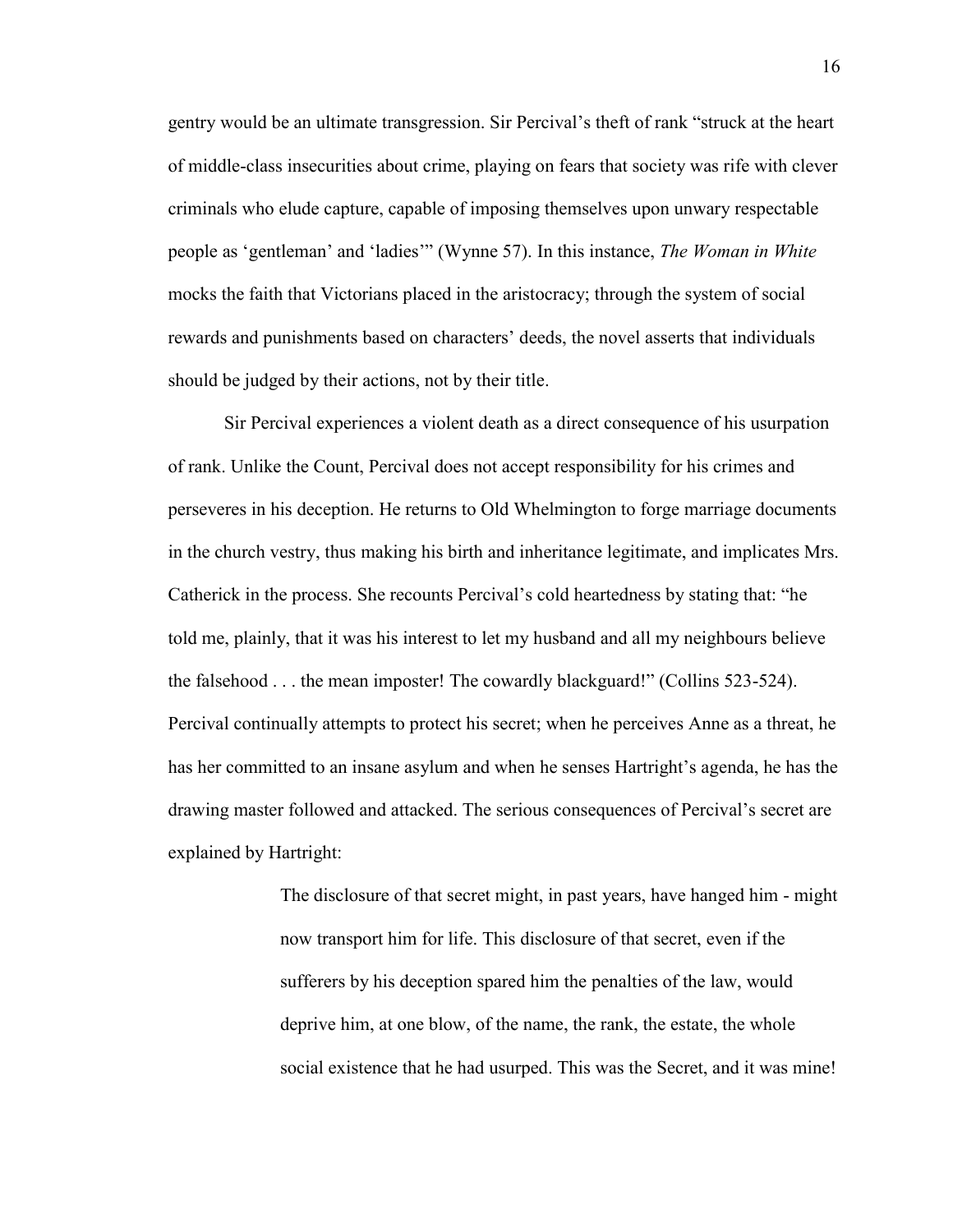gentry would be an ultimate transgression. Sir Percival"s theft of rank "struck at the heart of middle-class insecurities about crime, playing on fears that society was rife with clever criminals who elude capture, capable of imposing themselves upon unwary respectable people as "gentleman" and "ladies"" (Wynne 57). In this instance, *The Woman in White* mocks the faith that Victorians placed in the aristocracy; through the system of social rewards and punishments based on characters" deeds, the novel asserts that individuals should be judged by their actions, not by their title.

Sir Percival experiences a violent death as a direct consequence of his usurpation of rank. Unlike the Count, Percival does not accept responsibility for his crimes and perseveres in his deception. He returns to Old Whelmington to forge marriage documents in the church vestry, thus making his birth and inheritance legitimate, and implicates Mrs. Catherick in the process. She recounts Percival"s cold heartedness by stating that: "he told me, plainly, that it was his interest to let my husband and all my neighbours believe the falsehood . . . the mean imposter! The cowardly blackguard!" (Collins 523-524). Percival continually attempts to protect his secret; when he perceives Anne as a threat, he has her committed to an insane asylum and when he senses Hartright's agenda, he has the drawing master followed and attacked. The serious consequences of Percival"s secret are explained by Hartright:

> The disclosure of that secret might, in past years, have hanged him - might now transport him for life. This disclosure of that secret, even if the sufferers by his deception spared him the penalties of the law, would deprive him, at one blow, of the name, the rank, the estate, the whole social existence that he had usurped. This was the Secret, and it was mine!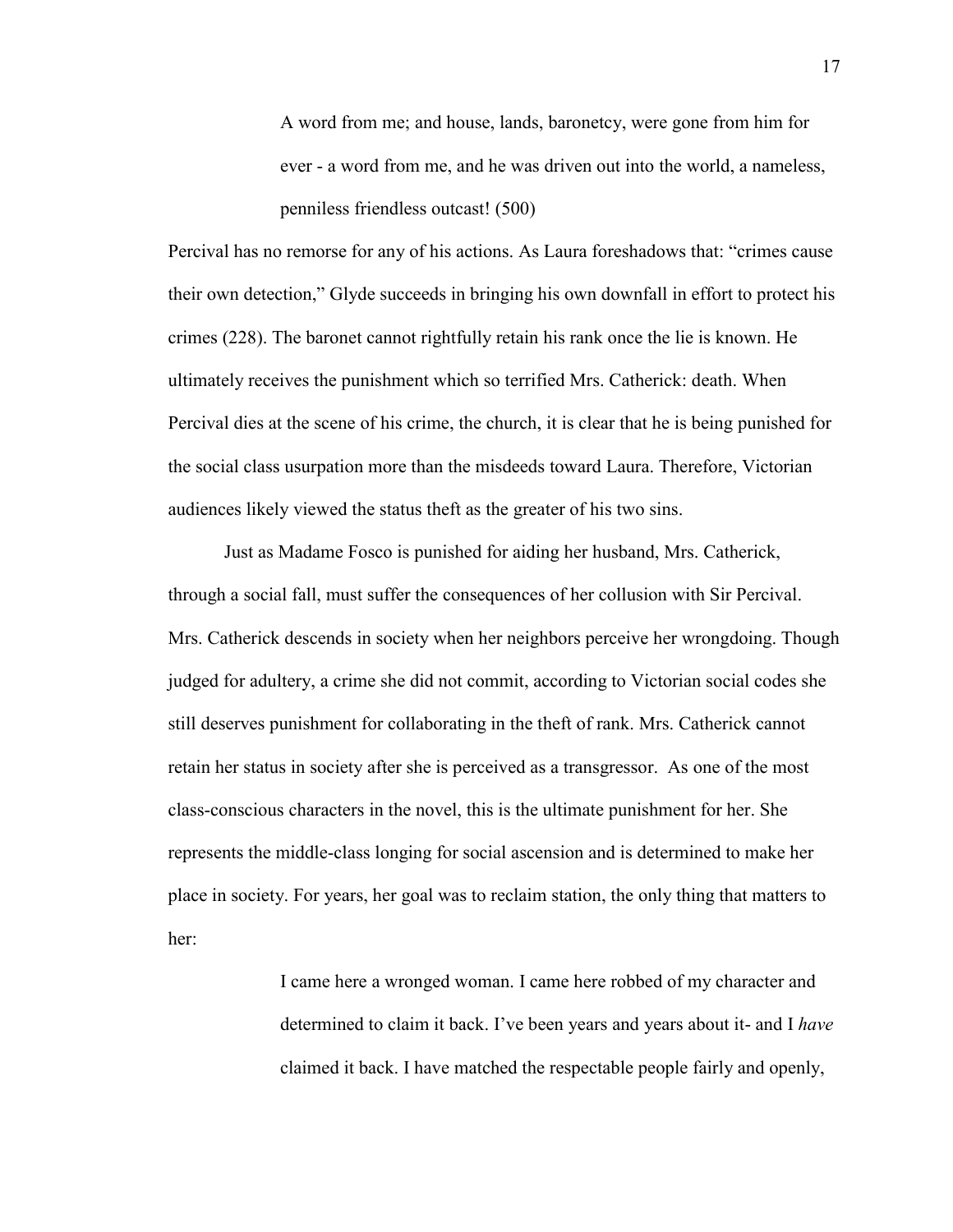A word from me; and house, lands, baronetcy, were gone from him for ever - a word from me, and he was driven out into the world, a nameless, penniless friendless outcast! (500)

Percival has no remorse for any of his actions. As Laura foreshadows that: "crimes cause their own detection," Glyde succeeds in bringing his own downfall in effort to protect his crimes (228). The baronet cannot rightfully retain his rank once the lie is known. He ultimately receives the punishment which so terrified Mrs. Catherick: death. When Percival dies at the scene of his crime, the church, it is clear that he is being punished for the social class usurpation more than the misdeeds toward Laura. Therefore, Victorian audiences likely viewed the status theft as the greater of his two sins.

Just as Madame Fosco is punished for aiding her husband, Mrs. Catherick, through a social fall, must suffer the consequences of her collusion with Sir Percival. Mrs. Catherick descends in society when her neighbors perceive her wrongdoing. Though judged for adultery, a crime she did not commit, according to Victorian social codes she still deserves punishment for collaborating in the theft of rank. Mrs. Catherick cannot retain her status in society after she is perceived as a transgressor. As one of the most class-conscious characters in the novel, this is the ultimate punishment for her. She represents the middle-class longing for social ascension and is determined to make her place in society. For years, her goal was to reclaim station, the only thing that matters to her:

> I came here a wronged woman. I came here robbed of my character and determined to claim it back. I"ve been years and years about it- and I *have*  claimed it back. I have matched the respectable people fairly and openly,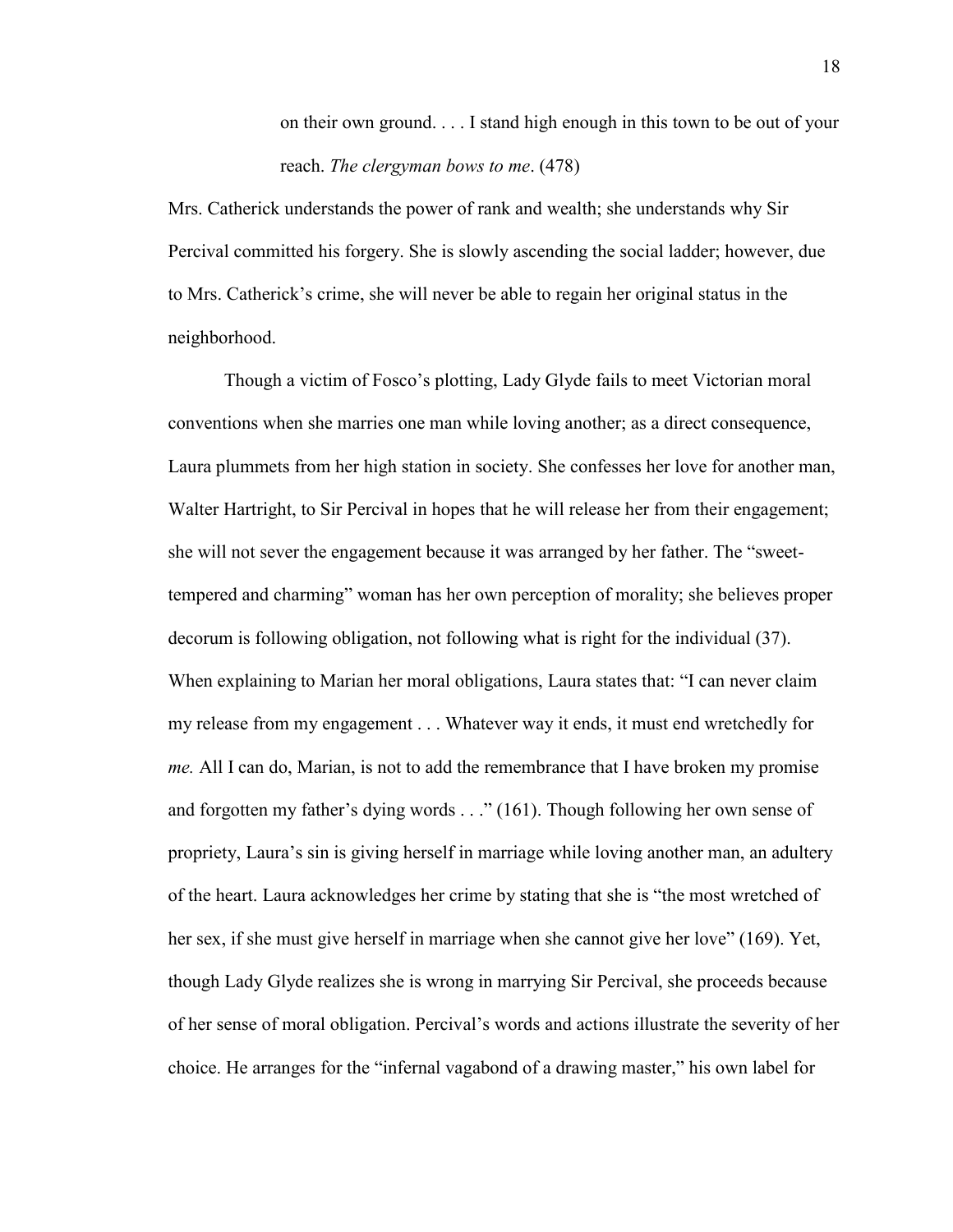on their own ground. . . . I stand high enough in this town to be out of your reach. *The clergyman bows to me*. (478)

Mrs. Catherick understands the power of rank and wealth; she understands why Sir Percival committed his forgery. She is slowly ascending the social ladder; however, due to Mrs. Catherick"s crime, she will never be able to regain her original status in the neighborhood.

Though a victim of Fosco"s plotting, Lady Glyde fails to meet Victorian moral conventions when she marries one man while loving another; as a direct consequence, Laura plummets from her high station in society. She confesses her love for another man, Walter Hartright, to Sir Percival in hopes that he will release her from their engagement; she will not sever the engagement because it was arranged by her father. The "sweettempered and charming" woman has her own perception of morality; she believes proper decorum is following obligation, not following what is right for the individual (37). When explaining to Marian her moral obligations, Laura states that: "I can never claim my release from my engagement . . . Whatever way it ends, it must end wretchedly for *me.* All I can do, Marian, is not to add the remembrance that I have broken my promise and forgotten my father's dying words . . ." (161). Though following her own sense of propriety, Laura"s sin is giving herself in marriage while loving another man, an adultery of the heart. Laura acknowledges her crime by stating that she is "the most wretched of her sex, if she must give herself in marriage when she cannot give her love" (169). Yet, though Lady Glyde realizes she is wrong in marrying Sir Percival, she proceeds because of her sense of moral obligation. Percival"s words and actions illustrate the severity of her choice. He arranges for the "infernal vagabond of a drawing master," his own label for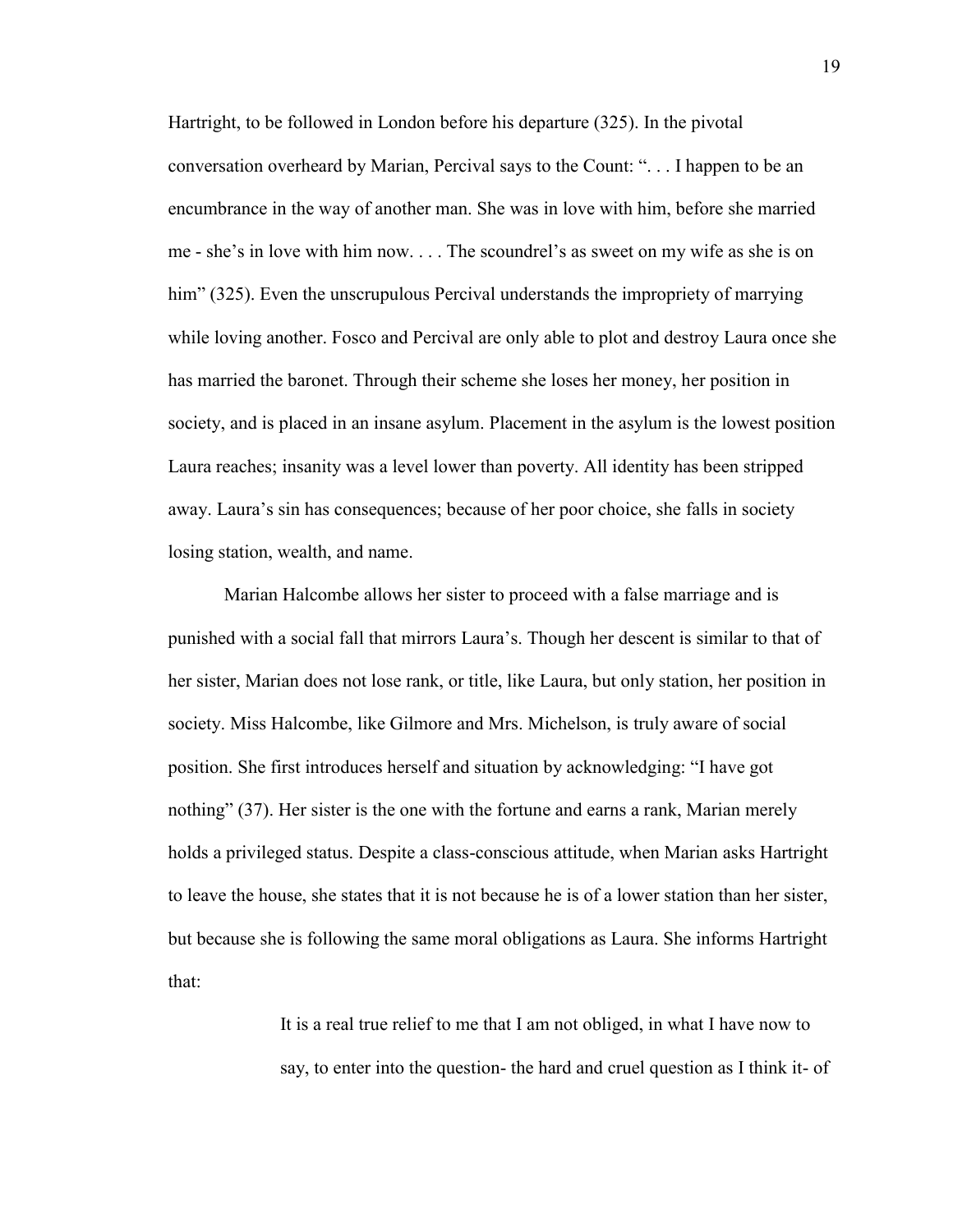Hartright, to be followed in London before his departure (325). In the pivotal conversation overheard by Marian, Percival says to the Count: ". . . I happen to be an encumbrance in the way of another man. She was in love with him, before she married me - she"s in love with him now. . . . The scoundrel"s as sweet on my wife as she is on him" (325). Even the unscrupulous Percival understands the impropriety of marrying while loving another. Fosco and Percival are only able to plot and destroy Laura once she has married the baronet. Through their scheme she loses her money, her position in society, and is placed in an insane asylum. Placement in the asylum is the lowest position Laura reaches; insanity was a level lower than poverty. All identity has been stripped away. Laura"s sin has consequences; because of her poor choice, she falls in society losing station, wealth, and name.

Marian Halcombe allows her sister to proceed with a false marriage and is punished with a social fall that mirrors Laura"s. Though her descent is similar to that of her sister, Marian does not lose rank, or title, like Laura, but only station, her position in society. Miss Halcombe, like Gilmore and Mrs. Michelson, is truly aware of social position. She first introduces herself and situation by acknowledging: "I have got nothing" (37). Her sister is the one with the fortune and earns a rank, Marian merely holds a privileged status. Despite a class-conscious attitude, when Marian asks Hartright to leave the house, she states that it is not because he is of a lower station than her sister, but because she is following the same moral obligations as Laura. She informs Hartright that:

> It is a real true relief to me that I am not obliged, in what I have now to say, to enter into the question- the hard and cruel question as I think it- of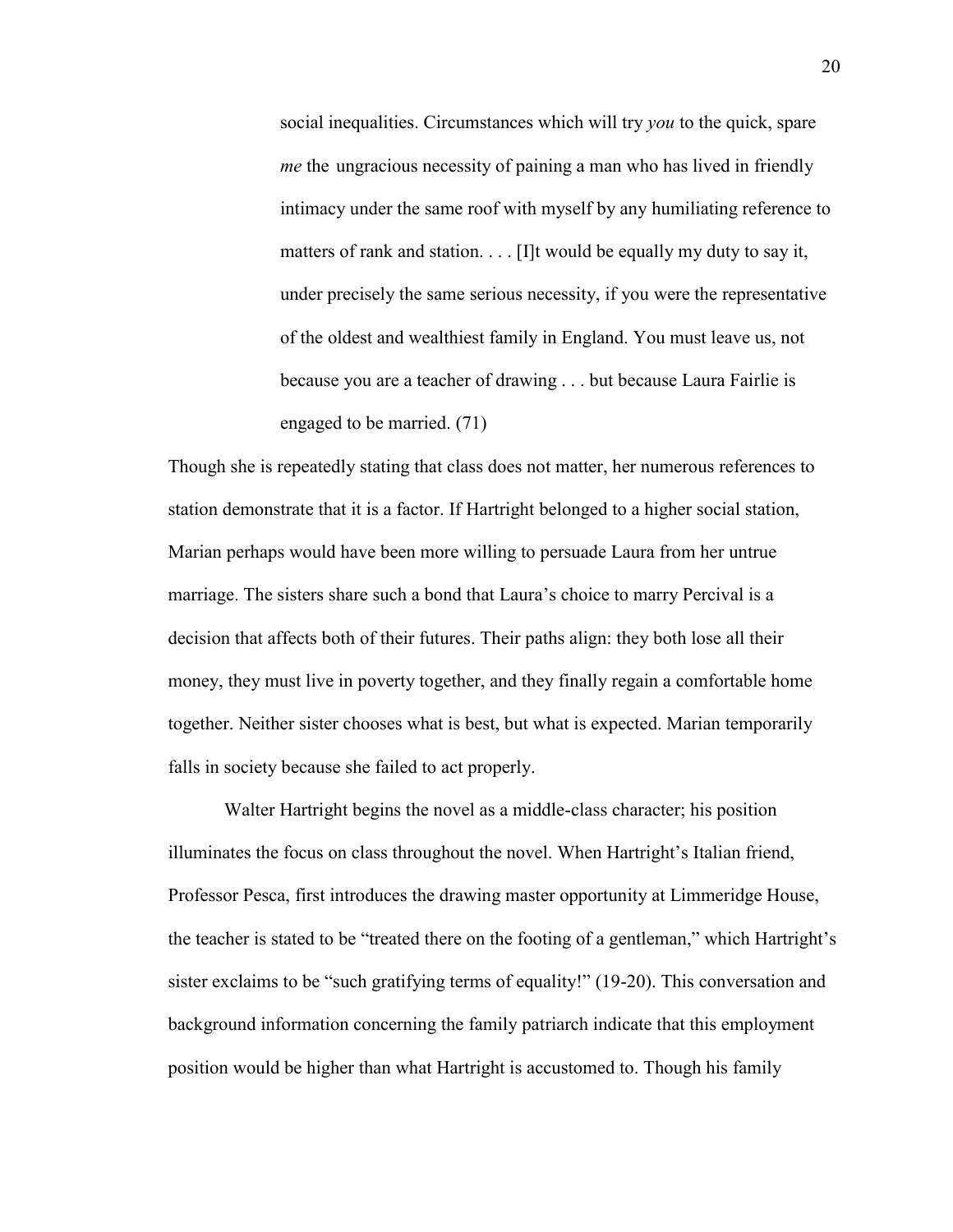social inequalities. Circumstances which will try *you* to the quick, spare *me* the ungracious necessity of paining a man who has lived in friendly intimacy under the same roof with myself by any humiliating reference to matters of rank and station. . . . [I]t would be equally my duty to say it, under precisely the same serious necessity, if you were the representative of the oldest and wealthiest family in England. You must leave us, not because you are a teacher of drawing . . . but because Laura Fairlie is engaged to be married. (71)

Though she is repeatedly stating that class does not matter, her numerous references to station demonstrate that it is a factor. If Hartright belonged to a higher social station, Marian perhaps would have been more willing to persuade Laura from her untrue marriage. The sisters share such a bond that Laura"s choice to marry Percival is a decision that affects both of their futures. Their paths align: they both lose all their money, they must live in poverty together, and they finally regain a comfortable home together. Neither sister chooses what is best, but what is expected. Marian temporarily falls in society because she failed to act properly.

Walter Hartright begins the novel as a middle-class character; his position illuminates the focus on class throughout the novel. When Hartright's Italian friend, Professor Pesca, first introduces the drawing master opportunity at Limmeridge House, the teacher is stated to be "treated there on the footing of a gentleman," which Hartright"s sister exclaims to be "such gratifying terms of equality!" (19-20). This conversation and background information concerning the family patriarch indicate that this employment position would be higher than what Hartright is accustomed to. Though his family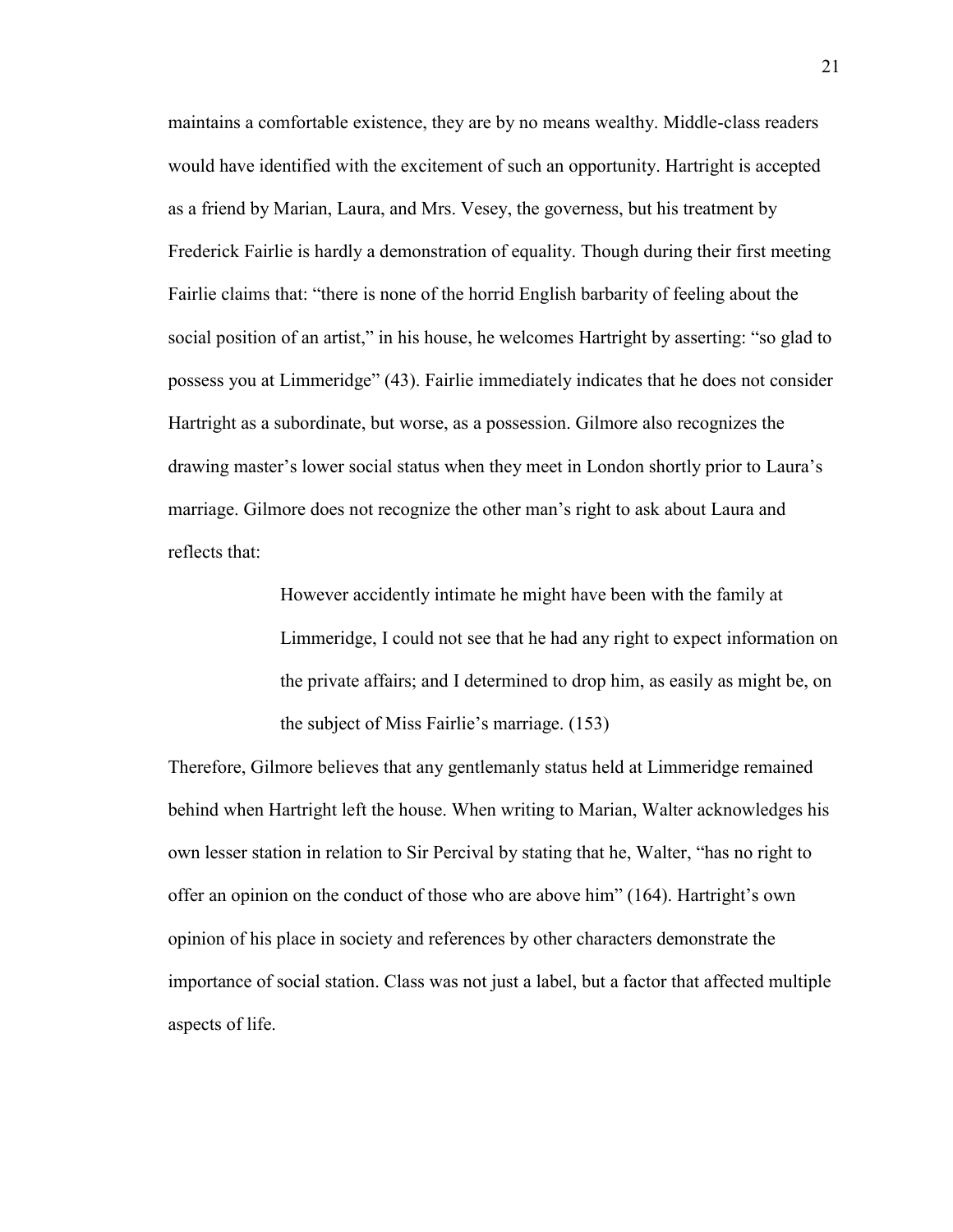maintains a comfortable existence, they are by no means wealthy. Middle-class readers would have identified with the excitement of such an opportunity. Hartright is accepted as a friend by Marian, Laura, and Mrs. Vesey, the governess, but his treatment by Frederick Fairlie is hardly a demonstration of equality. Though during their first meeting Fairlie claims that: "there is none of the horrid English barbarity of feeling about the social position of an artist," in his house, he welcomes Hartright by asserting: "so glad to possess you at Limmeridge" (43). Fairlie immediately indicates that he does not consider Hartright as a subordinate, but worse, as a possession. Gilmore also recognizes the drawing master"s lower social status when they meet in London shortly prior to Laura"s marriage. Gilmore does not recognize the other man"s right to ask about Laura and reflects that:

> However accidently intimate he might have been with the family at Limmeridge, I could not see that he had any right to expect information on the private affairs; and I determined to drop him, as easily as might be, on the subject of Miss Fairlie"s marriage. (153)

Therefore, Gilmore believes that any gentlemanly status held at Limmeridge remained behind when Hartright left the house. When writing to Marian, Walter acknowledges his own lesser station in relation to Sir Percival by stating that he, Walter, "has no right to offer an opinion on the conduct of those who are above him" (164). Hartright"s own opinion of his place in society and references by other characters demonstrate the importance of social station. Class was not just a label, but a factor that affected multiple aspects of life.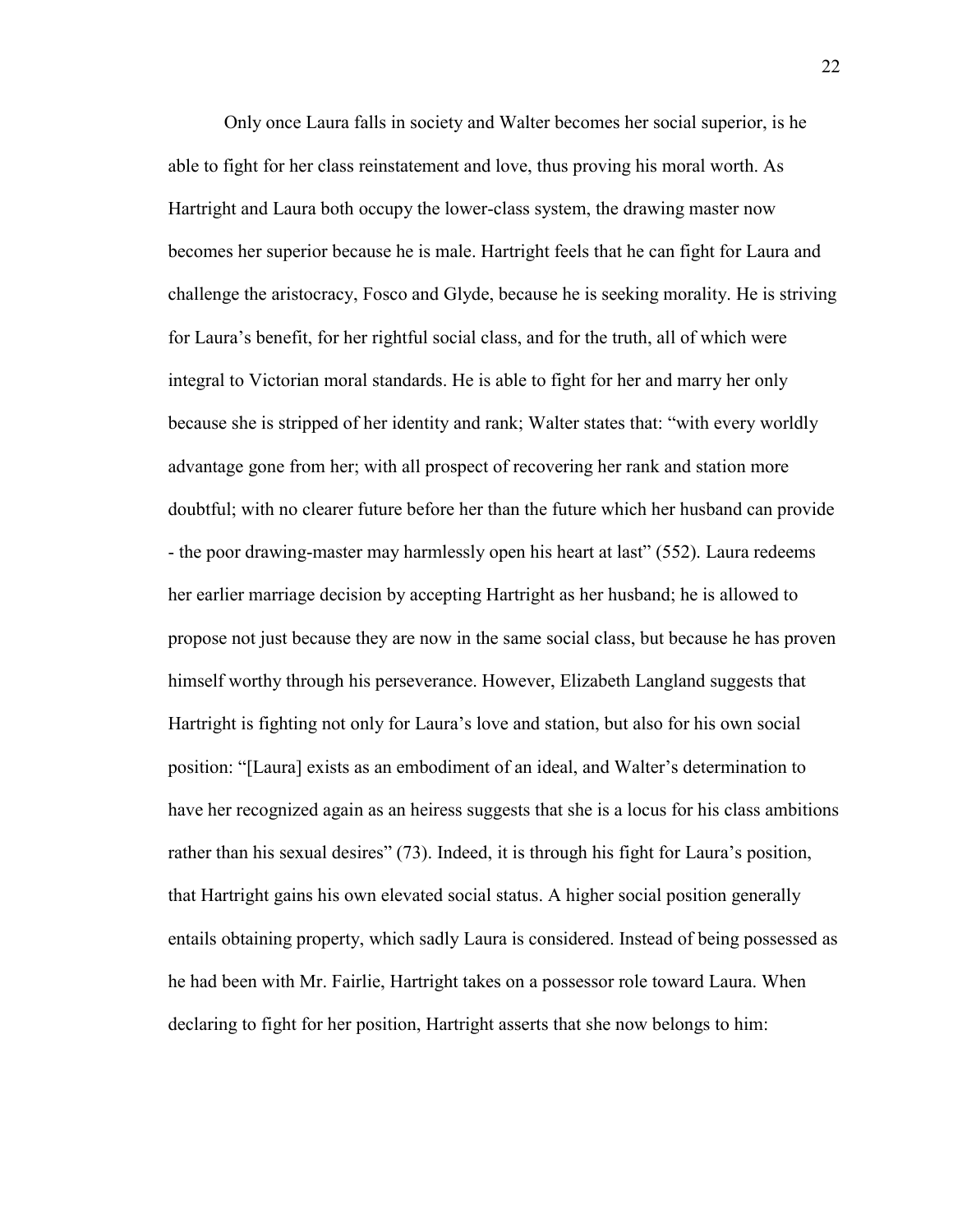Only once Laura falls in society and Walter becomes her social superior, is he able to fight for her class reinstatement and love, thus proving his moral worth. As Hartright and Laura both occupy the lower-class system, the drawing master now becomes her superior because he is male. Hartright feels that he can fight for Laura and challenge the aristocracy, Fosco and Glyde, because he is seeking morality. He is striving for Laura"s benefit, for her rightful social class, and for the truth, all of which were integral to Victorian moral standards. He is able to fight for her and marry her only because she is stripped of her identity and rank; Walter states that: "with every worldly advantage gone from her; with all prospect of recovering her rank and station more doubtful; with no clearer future before her than the future which her husband can provide - the poor drawing-master may harmlessly open his heart at last" (552). Laura redeems her earlier marriage decision by accepting Hartright as her husband; he is allowed to propose not just because they are now in the same social class, but because he has proven himself worthy through his perseverance. However, Elizabeth Langland suggests that Hartright is fighting not only for Laura"s love and station, but also for his own social position: "[Laura] exists as an embodiment of an ideal, and Walter"s determination to have her recognized again as an heiress suggests that she is a locus for his class ambitions rather than his sexual desires" (73). Indeed, it is through his fight for Laura"s position, that Hartright gains his own elevated social status. A higher social position generally entails obtaining property, which sadly Laura is considered. Instead of being possessed as he had been with Mr. Fairlie, Hartright takes on a possessor role toward Laura. When declaring to fight for her position, Hartright asserts that she now belongs to him: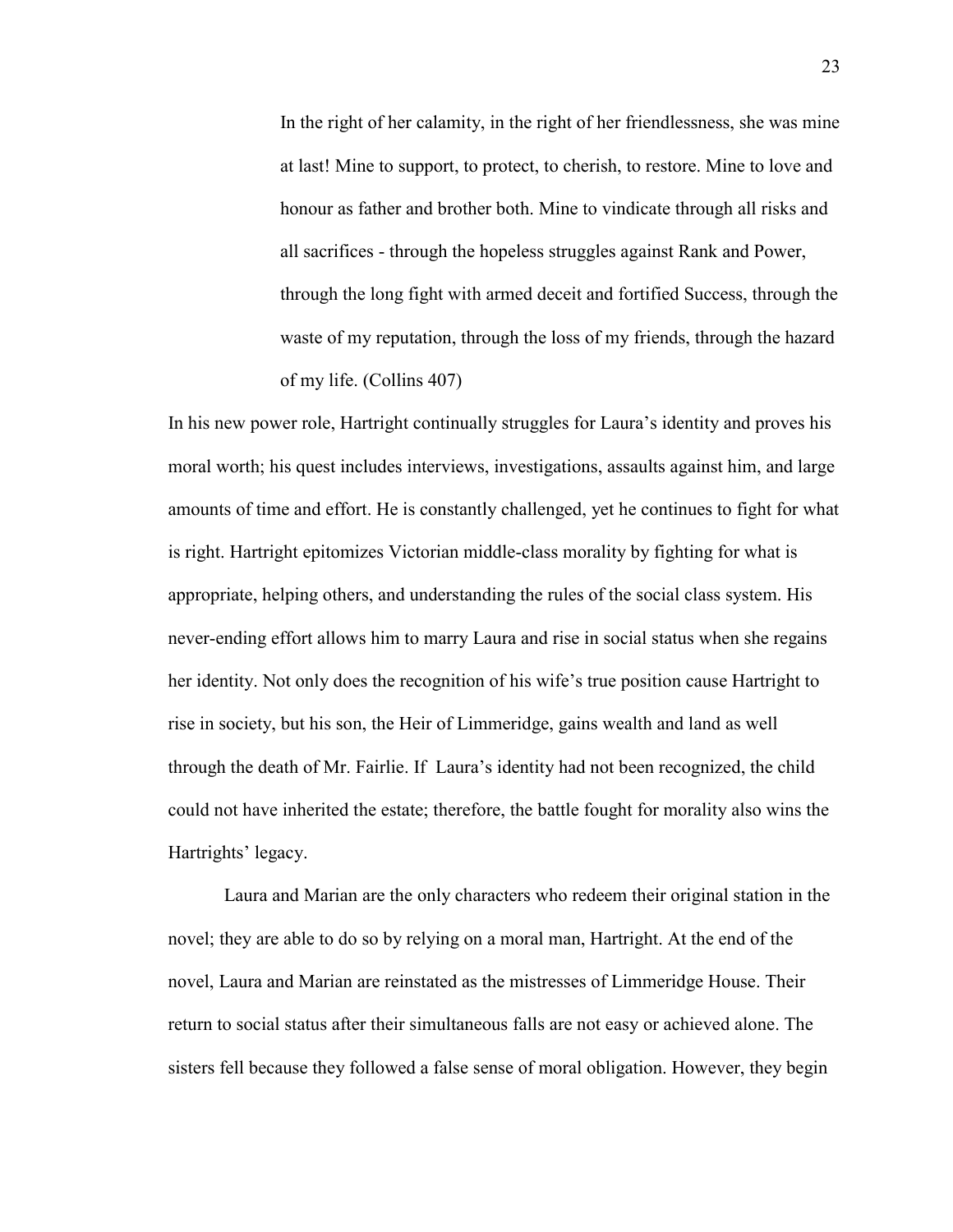In the right of her calamity, in the right of her friendlessness, she was mine at last! Mine to support, to protect, to cherish, to restore. Mine to love and honour as father and brother both. Mine to vindicate through all risks and all sacrifices - through the hopeless struggles against Rank and Power, through the long fight with armed deceit and fortified Success, through the waste of my reputation, through the loss of my friends, through the hazard of my life. (Collins 407)

In his new power role, Hartright continually struggles for Laura"s identity and proves his moral worth; his quest includes interviews, investigations, assaults against him, and large amounts of time and effort. He is constantly challenged, yet he continues to fight for what is right. Hartright epitomizes Victorian middle-class morality by fighting for what is appropriate, helping others, and understanding the rules of the social class system. His never-ending effort allows him to marry Laura and rise in social status when she regains her identity. Not only does the recognition of his wife"s true position cause Hartright to rise in society, but his son, the Heir of Limmeridge, gains wealth and land as well through the death of Mr. Fairlie. If Laura"s identity had not been recognized, the child could not have inherited the estate; therefore, the battle fought for morality also wins the Hartrights' legacy.

Laura and Marian are the only characters who redeem their original station in the novel; they are able to do so by relying on a moral man, Hartright. At the end of the novel, Laura and Marian are reinstated as the mistresses of Limmeridge House. Their return to social status after their simultaneous falls are not easy or achieved alone. The sisters fell because they followed a false sense of moral obligation. However, they begin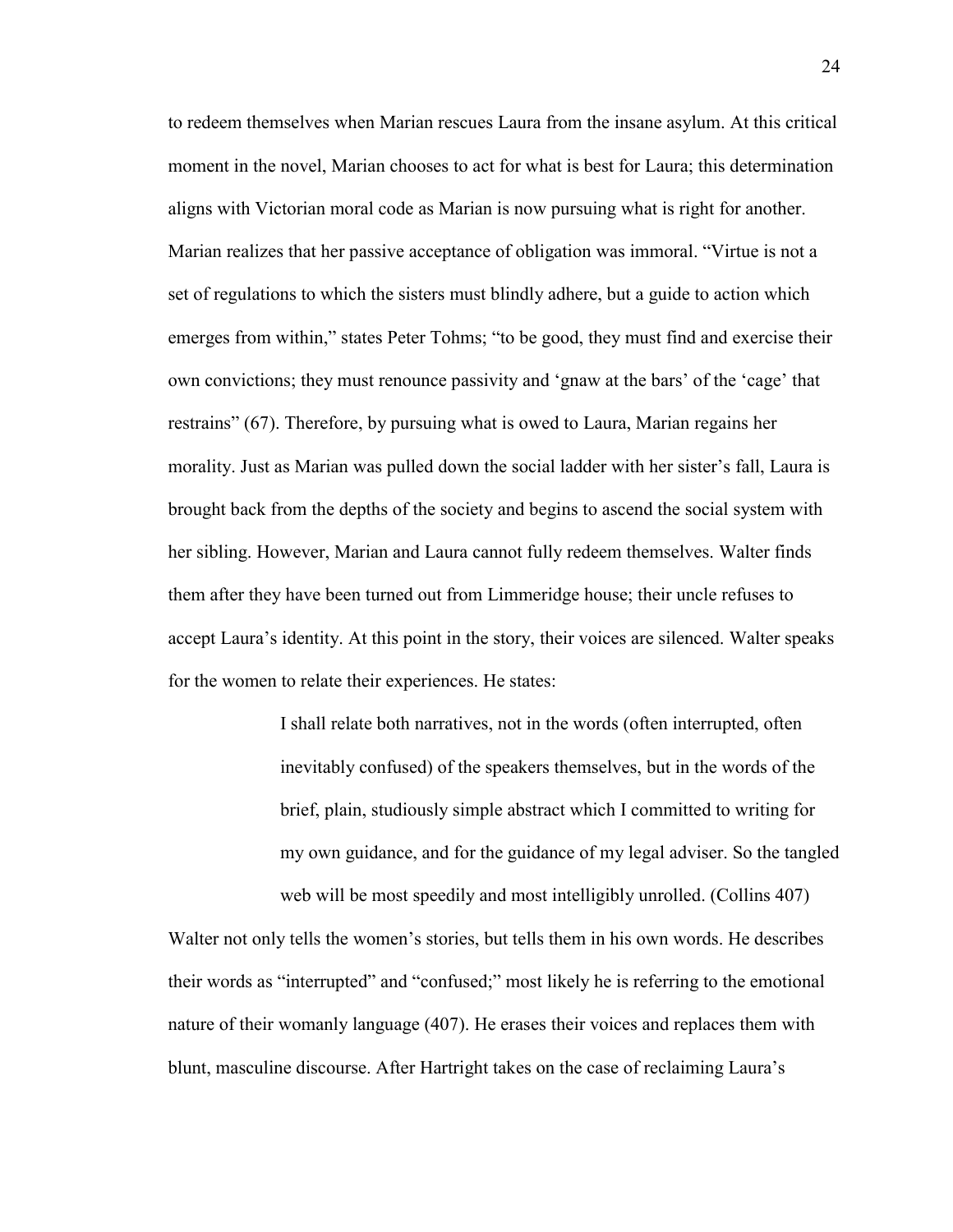to redeem themselves when Marian rescues Laura from the insane asylum. At this critical moment in the novel, Marian chooses to act for what is best for Laura; this determination aligns with Victorian moral code as Marian is now pursuing what is right for another. Marian realizes that her passive acceptance of obligation was immoral. "Virtue is not a set of regulations to which the sisters must blindly adhere, but a guide to action which emerges from within," states Peter Tohms; "to be good, they must find and exercise their own convictions; they must renounce passivity and "gnaw at the bars" of the "cage" that restrains" (67). Therefore, by pursuing what is owed to Laura, Marian regains her morality. Just as Marian was pulled down the social ladder with her sister"s fall, Laura is brought back from the depths of the society and begins to ascend the social system with her sibling. However, Marian and Laura cannot fully redeem themselves. Walter finds them after they have been turned out from Limmeridge house; their uncle refuses to accept Laura"s identity. At this point in the story, their voices are silenced. Walter speaks for the women to relate their experiences. He states:

> I shall relate both narratives, not in the words (often interrupted, often inevitably confused) of the speakers themselves, but in the words of the brief, plain, studiously simple abstract which I committed to writing for my own guidance, and for the guidance of my legal adviser. So the tangled web will be most speedily and most intelligibly unrolled. (Collins 407)

Walter not only tells the women's stories, but tells them in his own words. He describes their words as "interrupted" and "confused;" most likely he is referring to the emotional nature of their womanly language (407). He erases their voices and replaces them with blunt, masculine discourse. After Hartright takes on the case of reclaiming Laura"s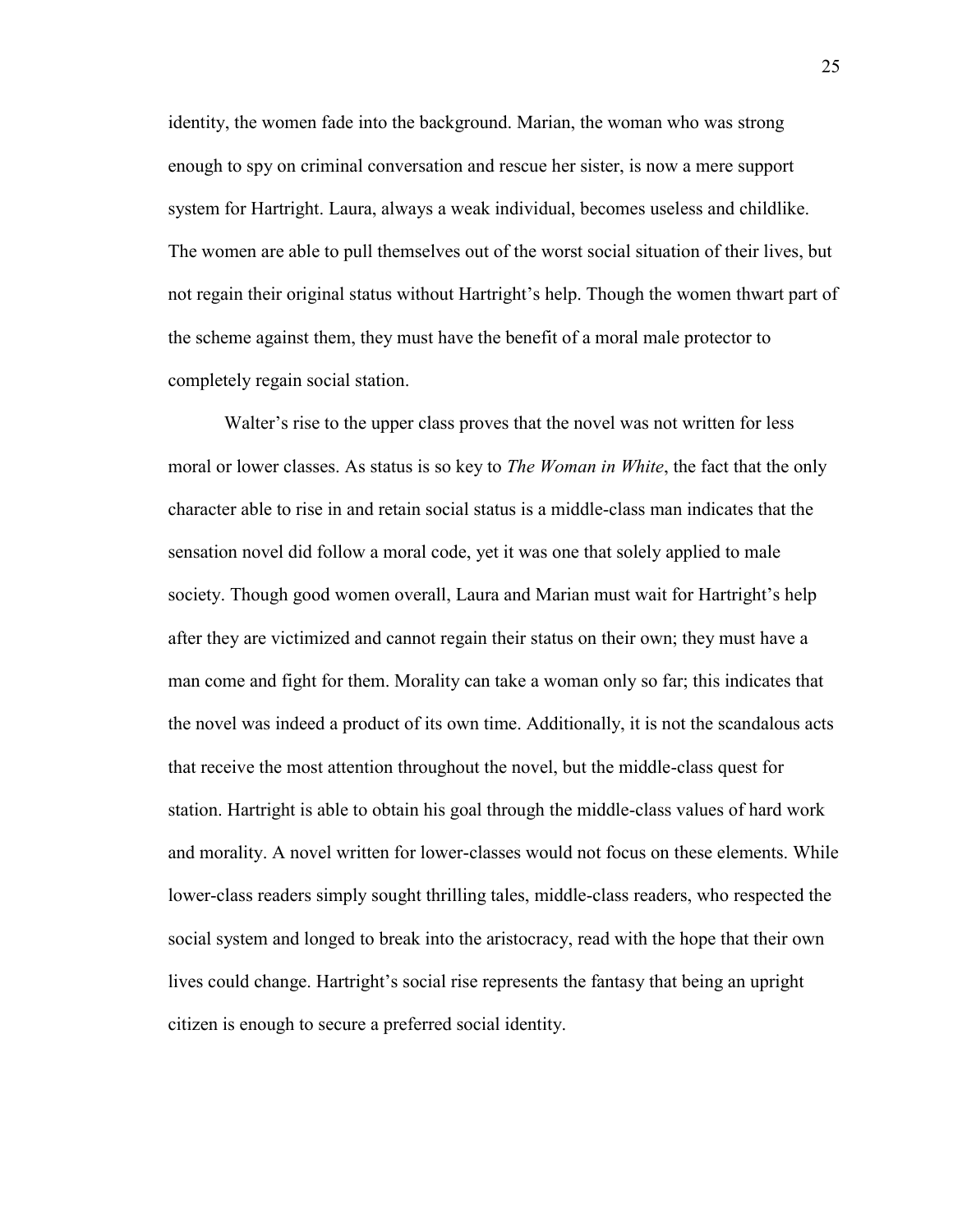identity, the women fade into the background. Marian, the woman who was strong enough to spy on criminal conversation and rescue her sister, is now a mere support system for Hartright. Laura, always a weak individual, becomes useless and childlike. The women are able to pull themselves out of the worst social situation of their lives, but not regain their original status without Hartright's help. Though the women thwart part of the scheme against them, they must have the benefit of a moral male protector to completely regain social station.

Walter's rise to the upper class proves that the novel was not written for less moral or lower classes. As status is so key to *The Woman in White*, the fact that the only character able to rise in and retain social status is a middle-class man indicates that the sensation novel did follow a moral code, yet it was one that solely applied to male society. Though good women overall, Laura and Marian must wait for Hartright's help after they are victimized and cannot regain their status on their own; they must have a man come and fight for them. Morality can take a woman only so far; this indicates that the novel was indeed a product of its own time. Additionally, it is not the scandalous acts that receive the most attention throughout the novel, but the middle-class quest for station. Hartright is able to obtain his goal through the middle-class values of hard work and morality. A novel written for lower-classes would not focus on these elements. While lower-class readers simply sought thrilling tales, middle-class readers, who respected the social system and longed to break into the aristocracy, read with the hope that their own lives could change. Hartright"s social rise represents the fantasy that being an upright citizen is enough to secure a preferred social identity.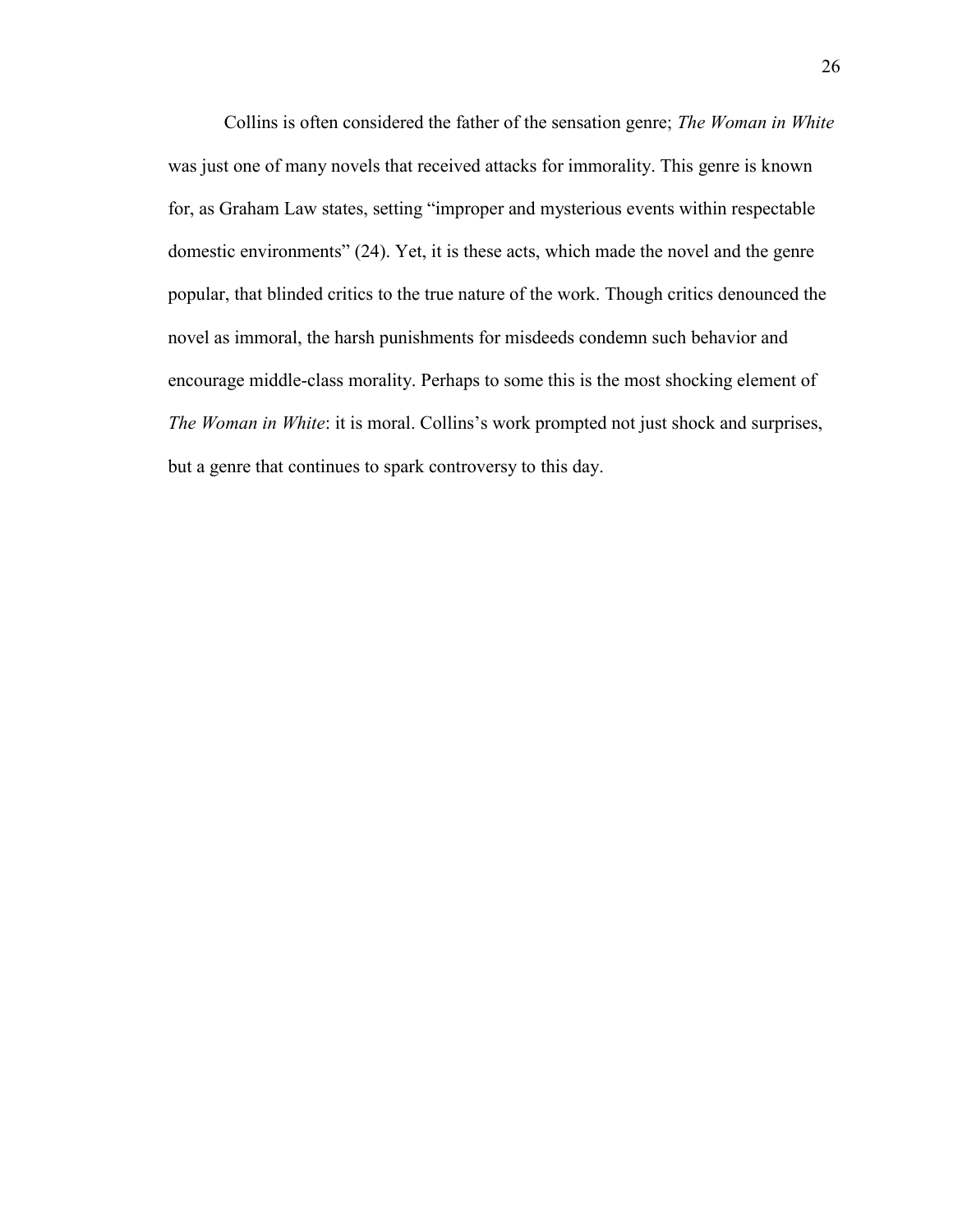Collins is often considered the father of the sensation genre; *The Woman in White*  was just one of many novels that received attacks for immorality. This genre is known for, as Graham Law states, setting "improper and mysterious events within respectable domestic environments" (24). Yet, it is these acts, which made the novel and the genre popular, that blinded critics to the true nature of the work. Though critics denounced the novel as immoral, the harsh punishments for misdeeds condemn such behavior and encourage middle-class morality. Perhaps to some this is the most shocking element of *The Woman in White*: it is moral. Collins's work prompted not just shock and surprises, but a genre that continues to spark controversy to this day.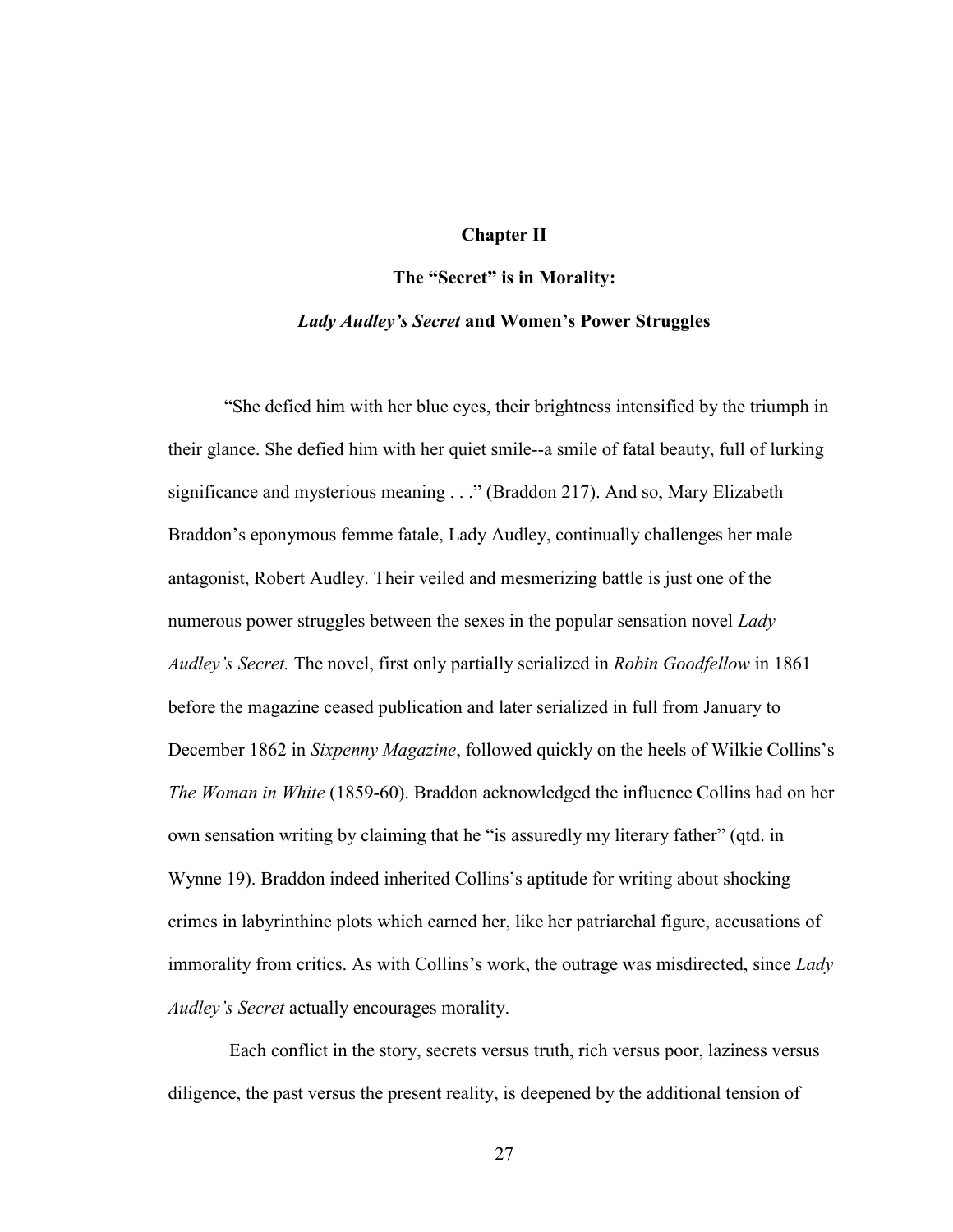### **Chapter II**

#### **The "Secret" is in Morality:**

### *Lady Audley's Secret* **and Women's Power Struggles**

"She defied him with her blue eyes, their brightness intensified by the triumph in their glance. She defied him with her quiet smile--a smile of fatal beauty, full of lurking significance and mysterious meaning . . ." (Braddon 217). And so, Mary Elizabeth Braddon"s eponymous femme fatale, Lady Audley, continually challenges her male antagonist, Robert Audley. Their veiled and mesmerizing battle is just one of the numerous power struggles between the sexes in the popular sensation novel *Lady Audley's Secret.* The novel, first only partially serialized in *Robin Goodfellow* in 1861 before the magazine ceased publication and later serialized in full from January to December 1862 in *Sixpenny Magazine*, followed quickly on the heels of Wilkie Collins"s *The Woman in White* (1859-60). Braddon acknowledged the influence Collins had on her own sensation writing by claiming that he "is assuredly my literary father" (qtd. in Wynne 19). Braddon indeed inherited Collins"s aptitude for writing about shocking crimes in labyrinthine plots which earned her, like her patriarchal figure, accusations of immorality from critics. As with Collins"s work, the outrage was misdirected, since *Lady Audley's Secret* actually encourages morality.

Each conflict in the story, secrets versus truth, rich versus poor, laziness versus diligence, the past versus the present reality, is deepened by the additional tension of

27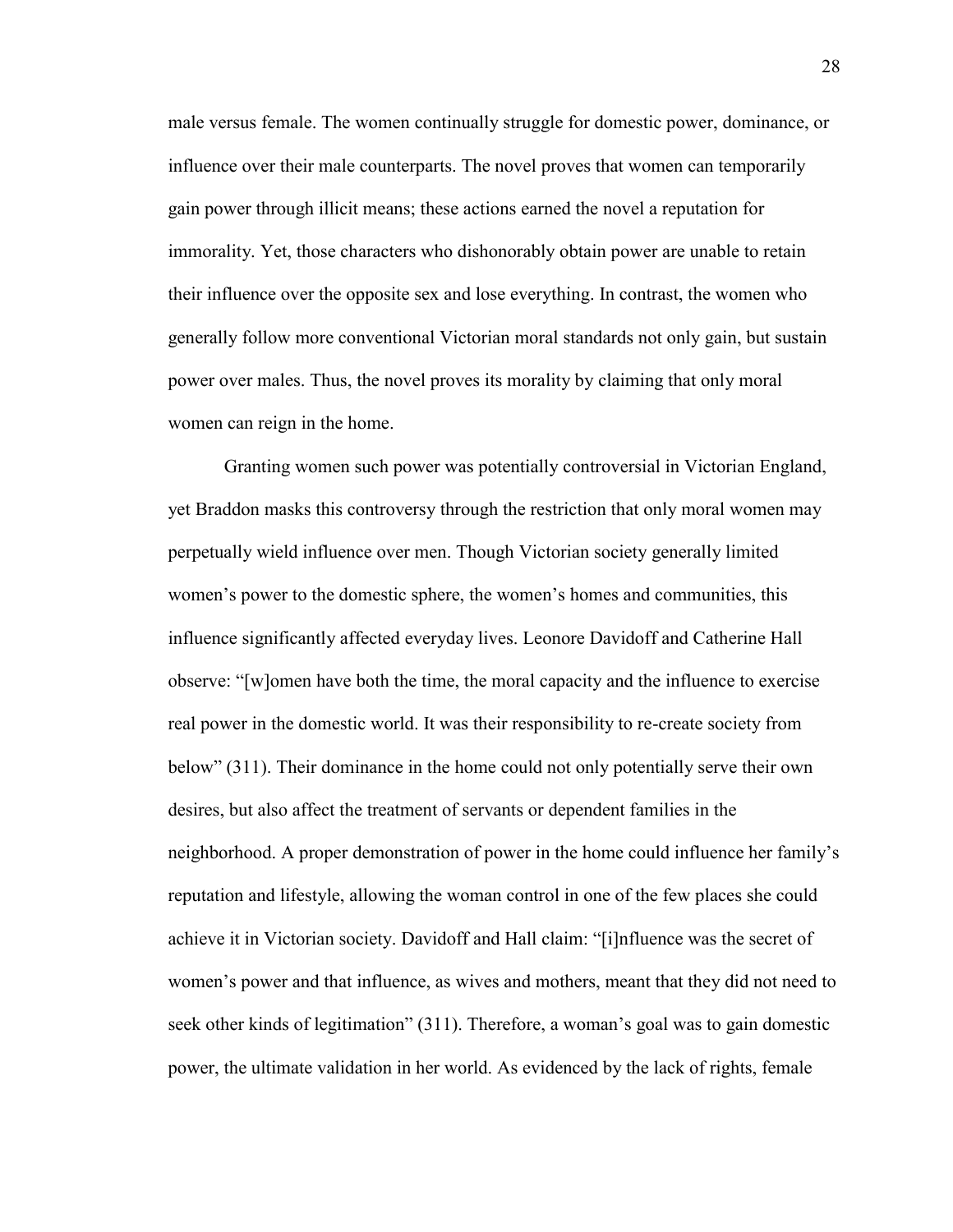male versus female. The women continually struggle for domestic power, dominance, or influence over their male counterparts. The novel proves that women can temporarily gain power through illicit means; these actions earned the novel a reputation for immorality. Yet, those characters who dishonorably obtain power are unable to retain their influence over the opposite sex and lose everything. In contrast, the women who generally follow more conventional Victorian moral standards not only gain, but sustain power over males. Thus, the novel proves its morality by claiming that only moral women can reign in the home.

Granting women such power was potentially controversial in Victorian England, yet Braddon masks this controversy through the restriction that only moral women may perpetually wield influence over men. Though Victorian society generally limited women"s power to the domestic sphere, the women"s homes and communities, this influence significantly affected everyday lives. Leonore Davidoff and Catherine Hall observe: "[w]omen have both the time, the moral capacity and the influence to exercise real power in the domestic world. It was their responsibility to re-create society from below" (311). Their dominance in the home could not only potentially serve their own desires, but also affect the treatment of servants or dependent families in the neighborhood. A proper demonstration of power in the home could influence her family"s reputation and lifestyle, allowing the woman control in one of the few places she could achieve it in Victorian society. Davidoff and Hall claim: "[i]nfluence was the secret of women"s power and that influence, as wives and mothers, meant that they did not need to seek other kinds of legitimation" (311). Therefore, a woman"s goal was to gain domestic power, the ultimate validation in her world. As evidenced by the lack of rights, female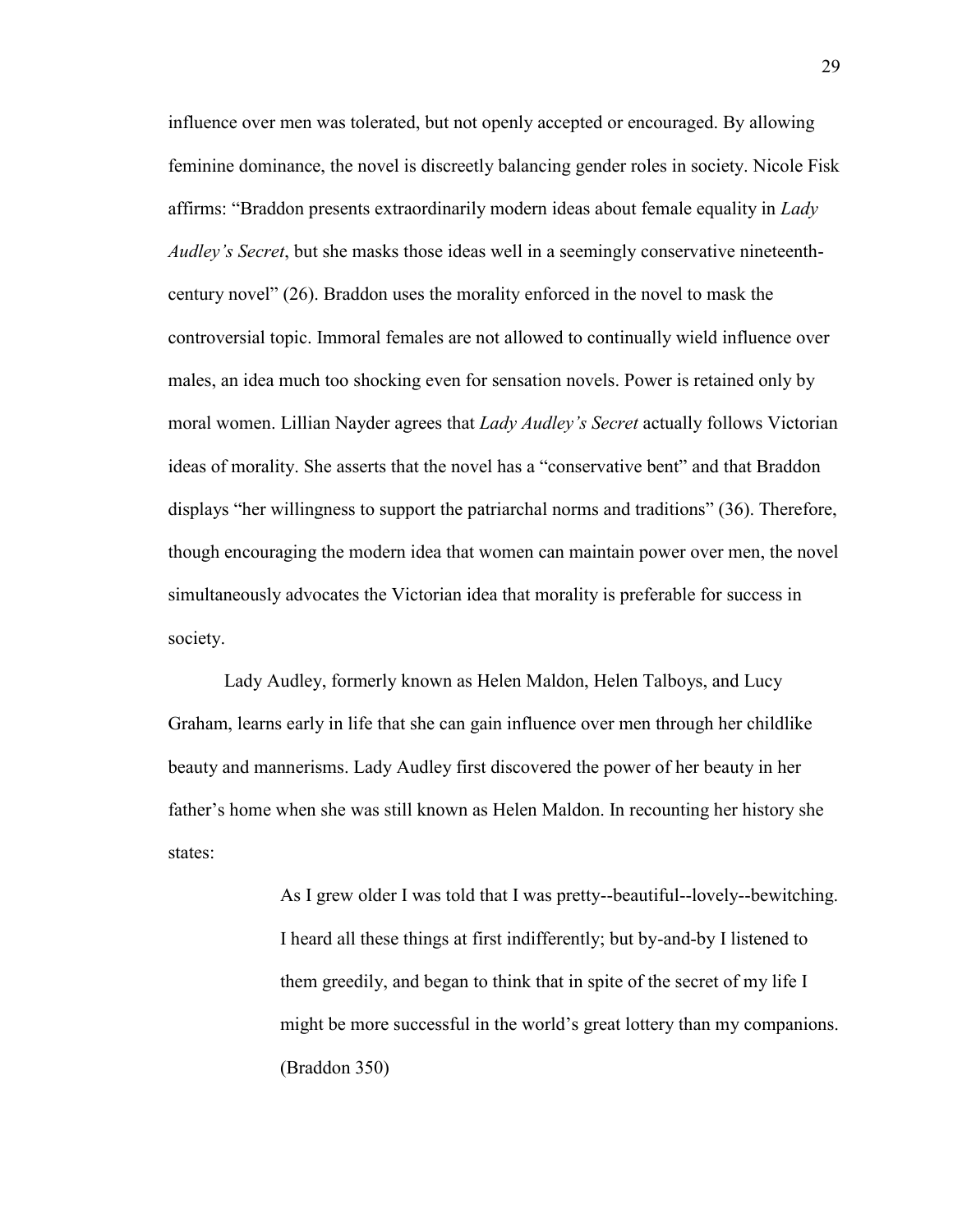influence over men was tolerated, but not openly accepted or encouraged. By allowing feminine dominance, the novel is discreetly balancing gender roles in society. Nicole Fisk affirms: "Braddon presents extraordinarily modern ideas about female equality in *Lady Audley's Secret*, but she masks those ideas well in a seemingly conservative nineteenthcentury novel" (26). Braddon uses the morality enforced in the novel to mask the controversial topic. Immoral females are not allowed to continually wield influence over males, an idea much too shocking even for sensation novels. Power is retained only by moral women. Lillian Nayder agrees that *Lady Audley's Secret* actually follows Victorian ideas of morality. She asserts that the novel has a "conservative bent" and that Braddon displays "her willingness to support the patriarchal norms and traditions" (36). Therefore, though encouraging the modern idea that women can maintain power over men, the novel simultaneously advocates the Victorian idea that morality is preferable for success in society.

Lady Audley, formerly known as Helen Maldon, Helen Talboys, and Lucy Graham, learns early in life that she can gain influence over men through her childlike beauty and mannerisms. Lady Audley first discovered the power of her beauty in her father"s home when she was still known as Helen Maldon. In recounting her history she states:

> As I grew older I was told that I was pretty--beautiful--lovely--bewitching. I heard all these things at first indifferently; but by-and-by I listened to them greedily, and began to think that in spite of the secret of my life I might be more successful in the world's great lottery than my companions. (Braddon 350)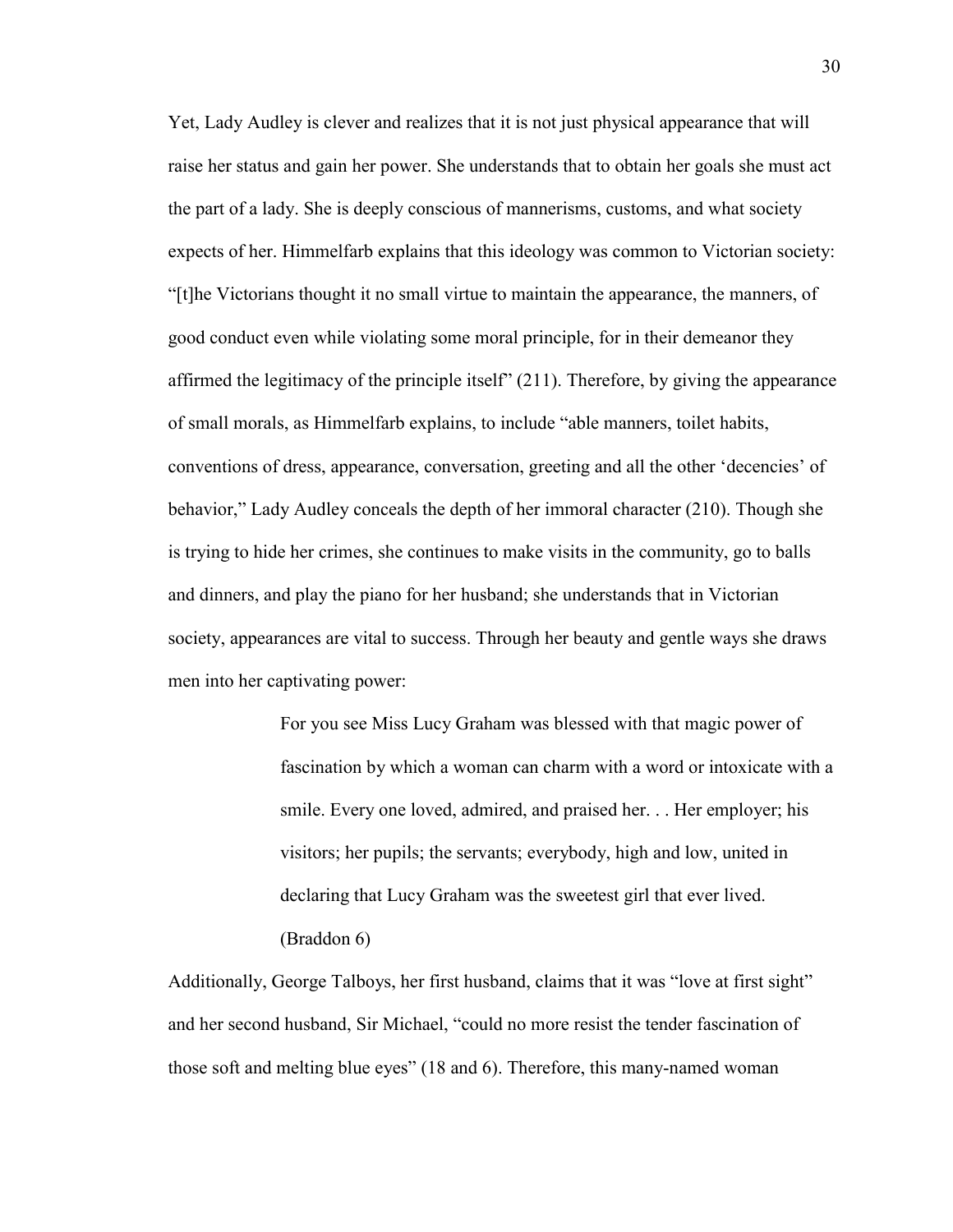Yet, Lady Audley is clever and realizes that it is not just physical appearance that will raise her status and gain her power. She understands that to obtain her goals she must act the part of a lady. She is deeply conscious of mannerisms, customs, and what society expects of her. Himmelfarb explains that this ideology was common to Victorian society: "[t]he Victorians thought it no small virtue to maintain the appearance, the manners, of good conduct even while violating some moral principle, for in their demeanor they affirmed the legitimacy of the principle itself" (211). Therefore, by giving the appearance of small morals, as Himmelfarb explains, to include "able manners, toilet habits, conventions of dress, appearance, conversation, greeting and all the other "decencies" of behavior," Lady Audley conceals the depth of her immoral character (210). Though she is trying to hide her crimes, she continues to make visits in the community, go to balls and dinners, and play the piano for her husband; she understands that in Victorian society, appearances are vital to success. Through her beauty and gentle ways she draws men into her captivating power:

> For you see Miss Lucy Graham was blessed with that magic power of fascination by which a woman can charm with a word or intoxicate with a smile. Every one loved, admired, and praised her. . . Her employer; his visitors; her pupils; the servants; everybody, high and low, united in declaring that Lucy Graham was the sweetest girl that ever lived. (Braddon 6)

Additionally, George Talboys, her first husband, claims that it was "love at first sight" and her second husband, Sir Michael, "could no more resist the tender fascination of those soft and melting blue eyes" (18 and 6). Therefore, this many-named woman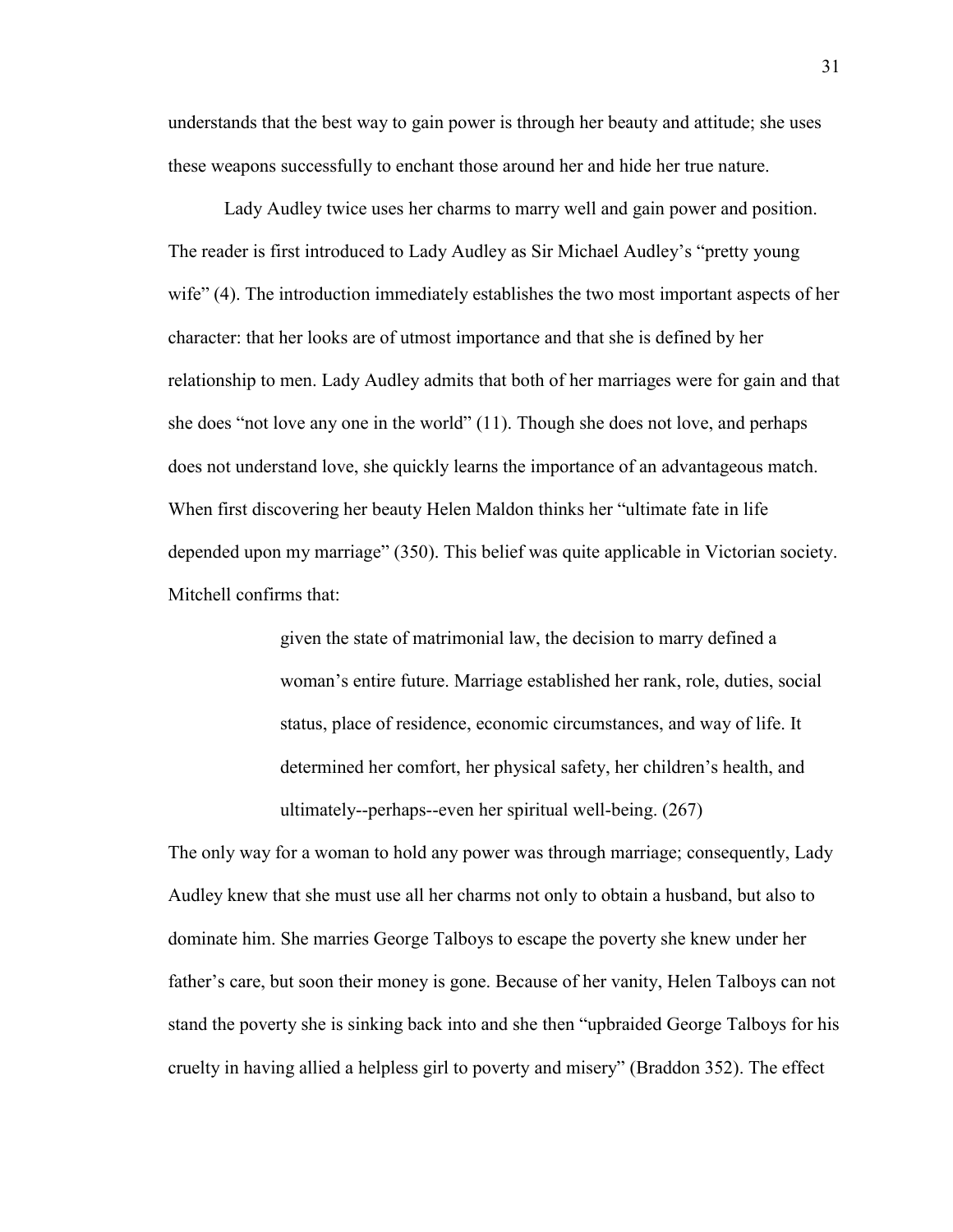understands that the best way to gain power is through her beauty and attitude; she uses these weapons successfully to enchant those around her and hide her true nature.

Lady Audley twice uses her charms to marry well and gain power and position. The reader is first introduced to Lady Audley as Sir Michael Audley"s "pretty young wife" (4). The introduction immediately establishes the two most important aspects of her character: that her looks are of utmost importance and that she is defined by her relationship to men. Lady Audley admits that both of her marriages were for gain and that she does "not love any one in the world" (11). Though she does not love, and perhaps does not understand love, she quickly learns the importance of an advantageous match. When first discovering her beauty Helen Maldon thinks her "ultimate fate in life depended upon my marriage" (350). This belief was quite applicable in Victorian society. Mitchell confirms that:

> given the state of matrimonial law, the decision to marry defined a woman"s entire future. Marriage established her rank, role, duties, social status, place of residence, economic circumstances, and way of life. It determined her comfort, her physical safety, her children"s health, and ultimately--perhaps--even her spiritual well-being. (267)

The only way for a woman to hold any power was through marriage; consequently, Lady Audley knew that she must use all her charms not only to obtain a husband, but also to dominate him. She marries George Talboys to escape the poverty she knew under her father"s care, but soon their money is gone. Because of her vanity, Helen Talboys can not stand the poverty she is sinking back into and she then "upbraided George Talboys for his cruelty in having allied a helpless girl to poverty and misery" (Braddon 352). The effect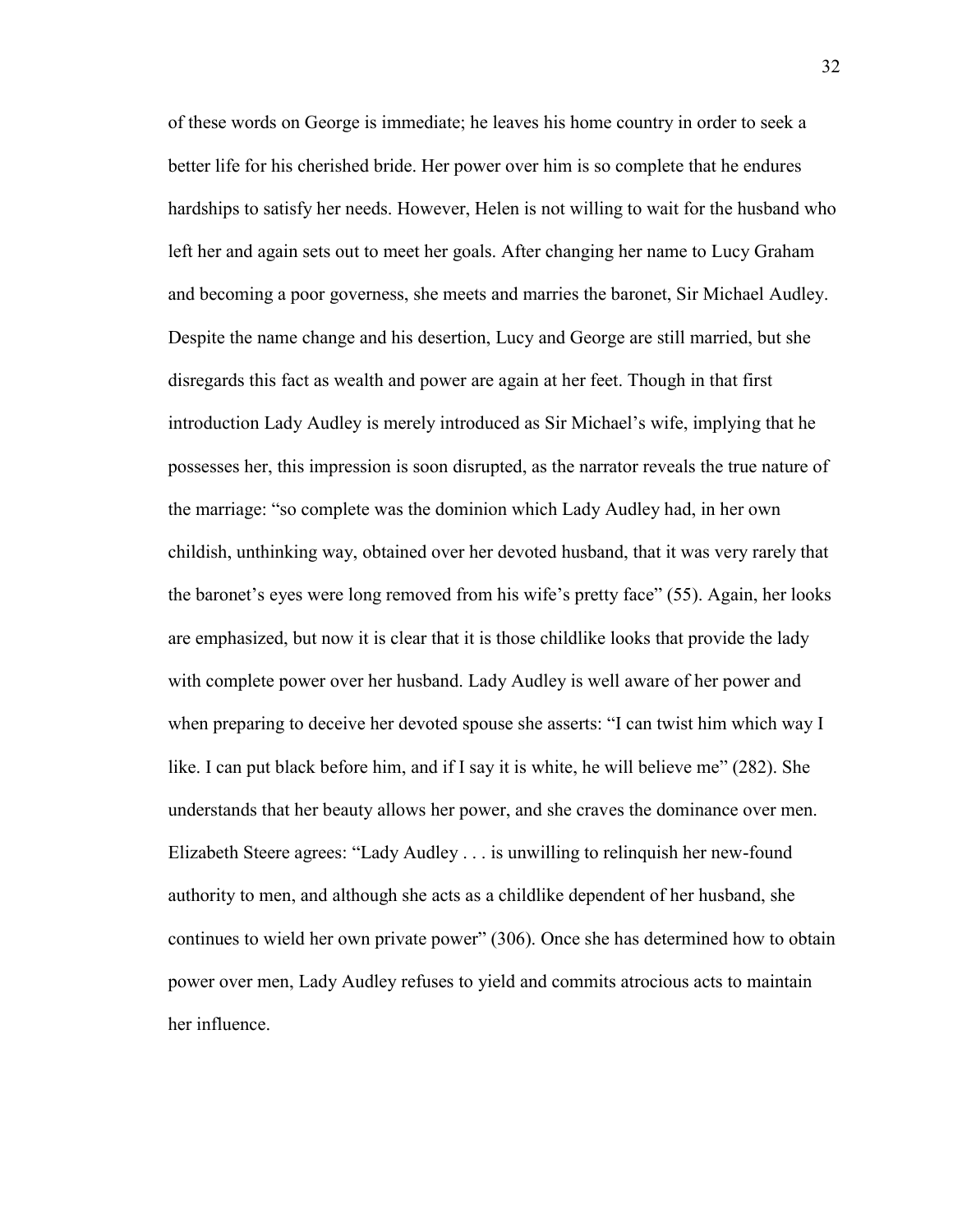of these words on George is immediate; he leaves his home country in order to seek a better life for his cherished bride. Her power over him is so complete that he endures hardships to satisfy her needs. However, Helen is not willing to wait for the husband who left her and again sets out to meet her goals. After changing her name to Lucy Graham and becoming a poor governess, she meets and marries the baronet, Sir Michael Audley. Despite the name change and his desertion, Lucy and George are still married, but she disregards this fact as wealth and power are again at her feet. Though in that first introduction Lady Audley is merely introduced as Sir Michael"s wife, implying that he possesses her, this impression is soon disrupted, as the narrator reveals the true nature of the marriage: "so complete was the dominion which Lady Audley had, in her own childish, unthinking way, obtained over her devoted husband, that it was very rarely that the baronet's eyes were long removed from his wife's pretty face" (55). Again, her looks are emphasized, but now it is clear that it is those childlike looks that provide the lady with complete power over her husband. Lady Audley is well aware of her power and when preparing to deceive her devoted spouse she asserts: "I can twist him which way I like. I can put black before him, and if I say it is white, he will believe me" (282). She understands that her beauty allows her power, and she craves the dominance over men. Elizabeth Steere agrees: "Lady Audley . . . is unwilling to relinquish her new-found authority to men, and although she acts as a childlike dependent of her husband, she continues to wield her own private power" (306). Once she has determined how to obtain power over men, Lady Audley refuses to yield and commits atrocious acts to maintain her influence.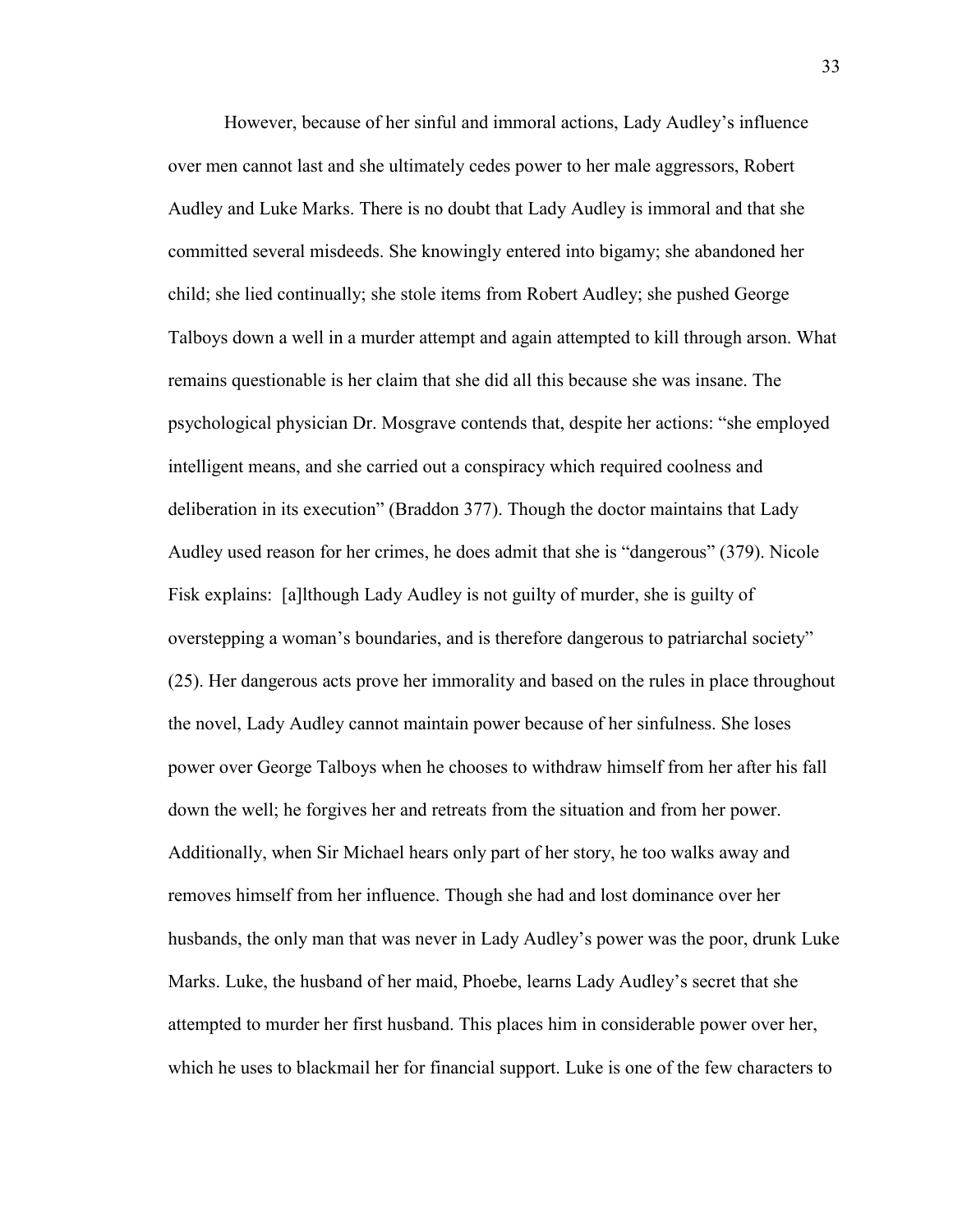However, because of her sinful and immoral actions, Lady Audley"s influence over men cannot last and she ultimately cedes power to her male aggressors, Robert Audley and Luke Marks. There is no doubt that Lady Audley is immoral and that she committed several misdeeds. She knowingly entered into bigamy; she abandoned her child; she lied continually; she stole items from Robert Audley; she pushed George Talboys down a well in a murder attempt and again attempted to kill through arson. What remains questionable is her claim that she did all this because she was insane. The psychological physician Dr. Mosgrave contends that, despite her actions: "she employed intelligent means, and she carried out a conspiracy which required coolness and deliberation in its execution" (Braddon 377). Though the doctor maintains that Lady Audley used reason for her crimes, he does admit that she is "dangerous" (379). Nicole Fisk explains: [a]lthough Lady Audley is not guilty of murder, she is guilty of overstepping a woman"s boundaries, and is therefore dangerous to patriarchal society" (25). Her dangerous acts prove her immorality and based on the rules in place throughout the novel, Lady Audley cannot maintain power because of her sinfulness. She loses power over George Talboys when he chooses to withdraw himself from her after his fall down the well; he forgives her and retreats from the situation and from her power. Additionally, when Sir Michael hears only part of her story, he too walks away and removes himself from her influence. Though she had and lost dominance over her husbands, the only man that was never in Lady Audley"s power was the poor, drunk Luke Marks. Luke, the husband of her maid, Phoebe, learns Lady Audley"s secret that she attempted to murder her first husband. This places him in considerable power over her, which he uses to blackmail her for financial support. Luke is one of the few characters to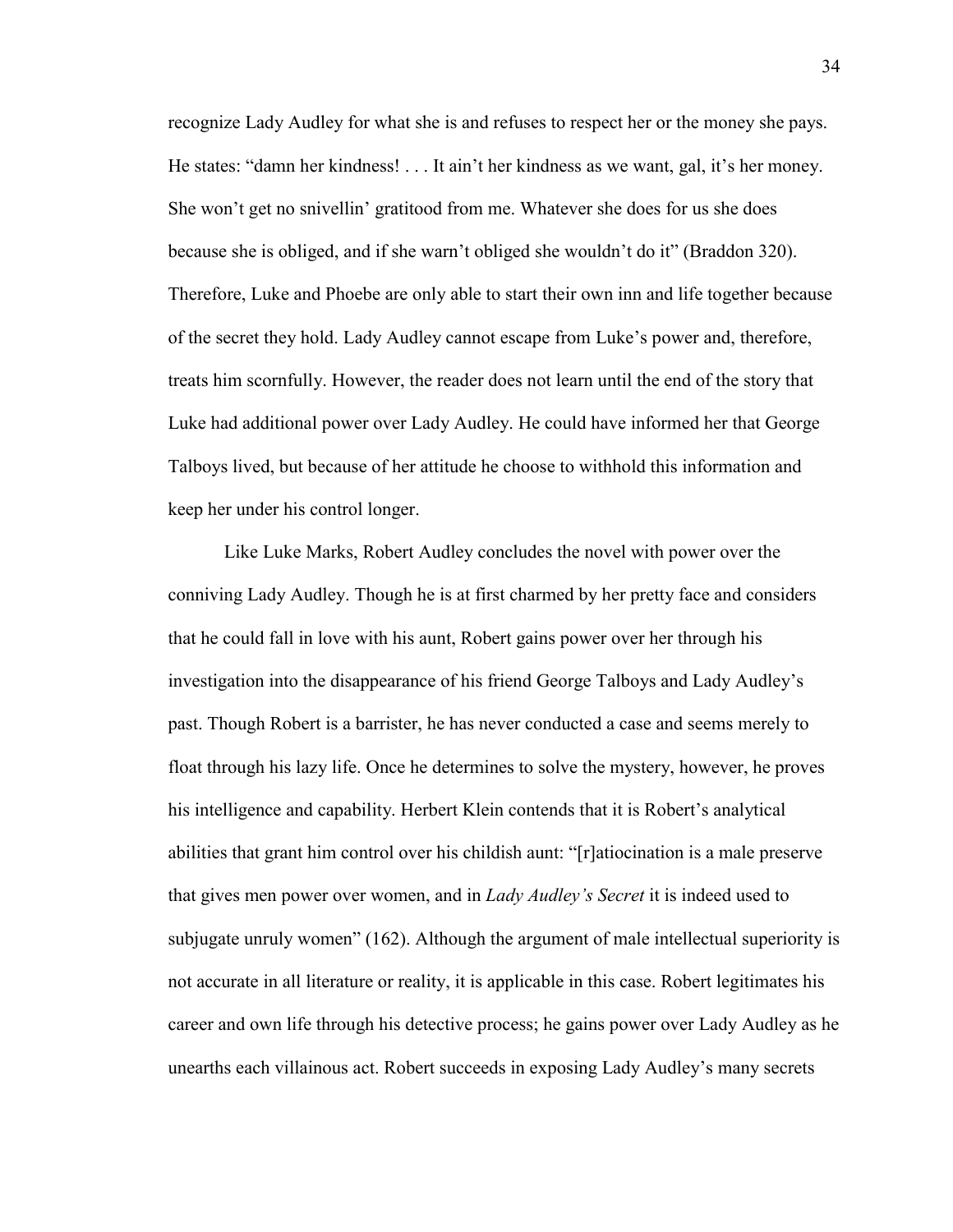recognize Lady Audley for what she is and refuses to respect her or the money she pays. He states: "damn her kindness! . . . It ain't her kindness as we want, gal, it's her money. She won"t get no snivellin" gratitood from me. Whatever she does for us she does because she is obliged, and if she warn"t obliged she wouldn"t do it" (Braddon 320). Therefore, Luke and Phoebe are only able to start their own inn and life together because of the secret they hold. Lady Audley cannot escape from Luke"s power and, therefore, treats him scornfully. However, the reader does not learn until the end of the story that Luke had additional power over Lady Audley. He could have informed her that George Talboys lived, but because of her attitude he choose to withhold this information and keep her under his control longer.

Like Luke Marks, Robert Audley concludes the novel with power over the conniving Lady Audley. Though he is at first charmed by her pretty face and considers that he could fall in love with his aunt, Robert gains power over her through his investigation into the disappearance of his friend George Talboys and Lady Audley"s past. Though Robert is a barrister, he has never conducted a case and seems merely to float through his lazy life. Once he determines to solve the mystery, however, he proves his intelligence and capability. Herbert Klein contends that it is Robert"s analytical abilities that grant him control over his childish aunt: "[r]atiocination is a male preserve that gives men power over women, and in *Lady Audley's Secret* it is indeed used to subjugate unruly women" (162). Although the argument of male intellectual superiority is not accurate in all literature or reality, it is applicable in this case. Robert legitimates his career and own life through his detective process; he gains power over Lady Audley as he unearths each villainous act. Robert succeeds in exposing Lady Audley"s many secrets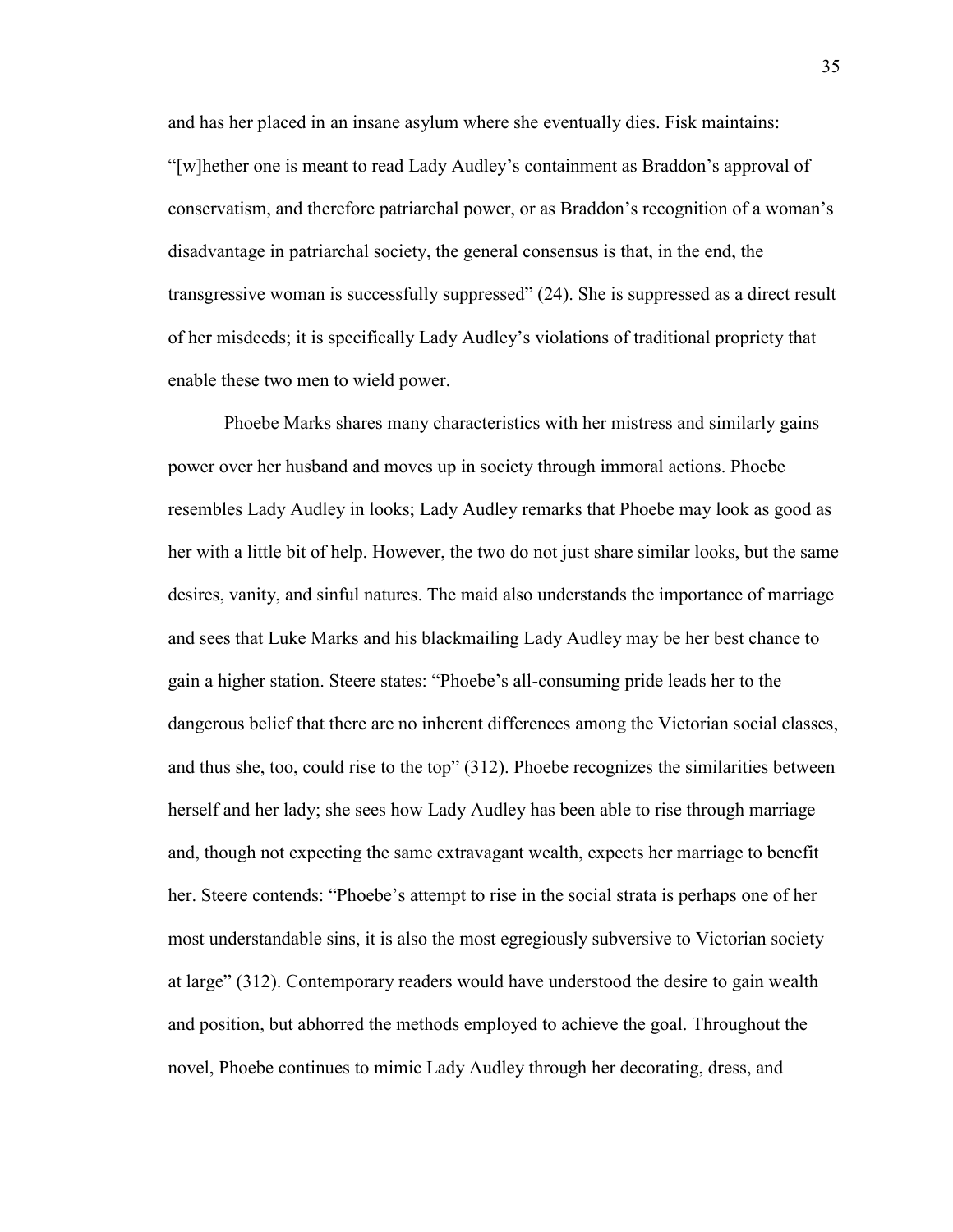and has her placed in an insane asylum where she eventually dies. Fisk maintains: "[w]hether one is meant to read Lady Audley"s containment as Braddon"s approval of conservatism, and therefore patriarchal power, or as Braddon"s recognition of a woman"s disadvantage in patriarchal society, the general consensus is that, in the end, the transgressive woman is successfully suppressed" (24). She is suppressed as a direct result of her misdeeds; it is specifically Lady Audley"s violations of traditional propriety that enable these two men to wield power.

Phoebe Marks shares many characteristics with her mistress and similarly gains power over her husband and moves up in society through immoral actions. Phoebe resembles Lady Audley in looks; Lady Audley remarks that Phoebe may look as good as her with a little bit of help. However, the two do not just share similar looks, but the same desires, vanity, and sinful natures. The maid also understands the importance of marriage and sees that Luke Marks and his blackmailing Lady Audley may be her best chance to gain a higher station. Steere states: "Phoebe"s all-consuming pride leads her to the dangerous belief that there are no inherent differences among the Victorian social classes, and thus she, too, could rise to the top" (312). Phoebe recognizes the similarities between herself and her lady; she sees how Lady Audley has been able to rise through marriage and, though not expecting the same extravagant wealth, expects her marriage to benefit her. Steere contends: "Phoebe's attempt to rise in the social strata is perhaps one of her most understandable sins, it is also the most egregiously subversive to Victorian society at large" (312). Contemporary readers would have understood the desire to gain wealth and position, but abhorred the methods employed to achieve the goal. Throughout the novel, Phoebe continues to mimic Lady Audley through her decorating, dress, and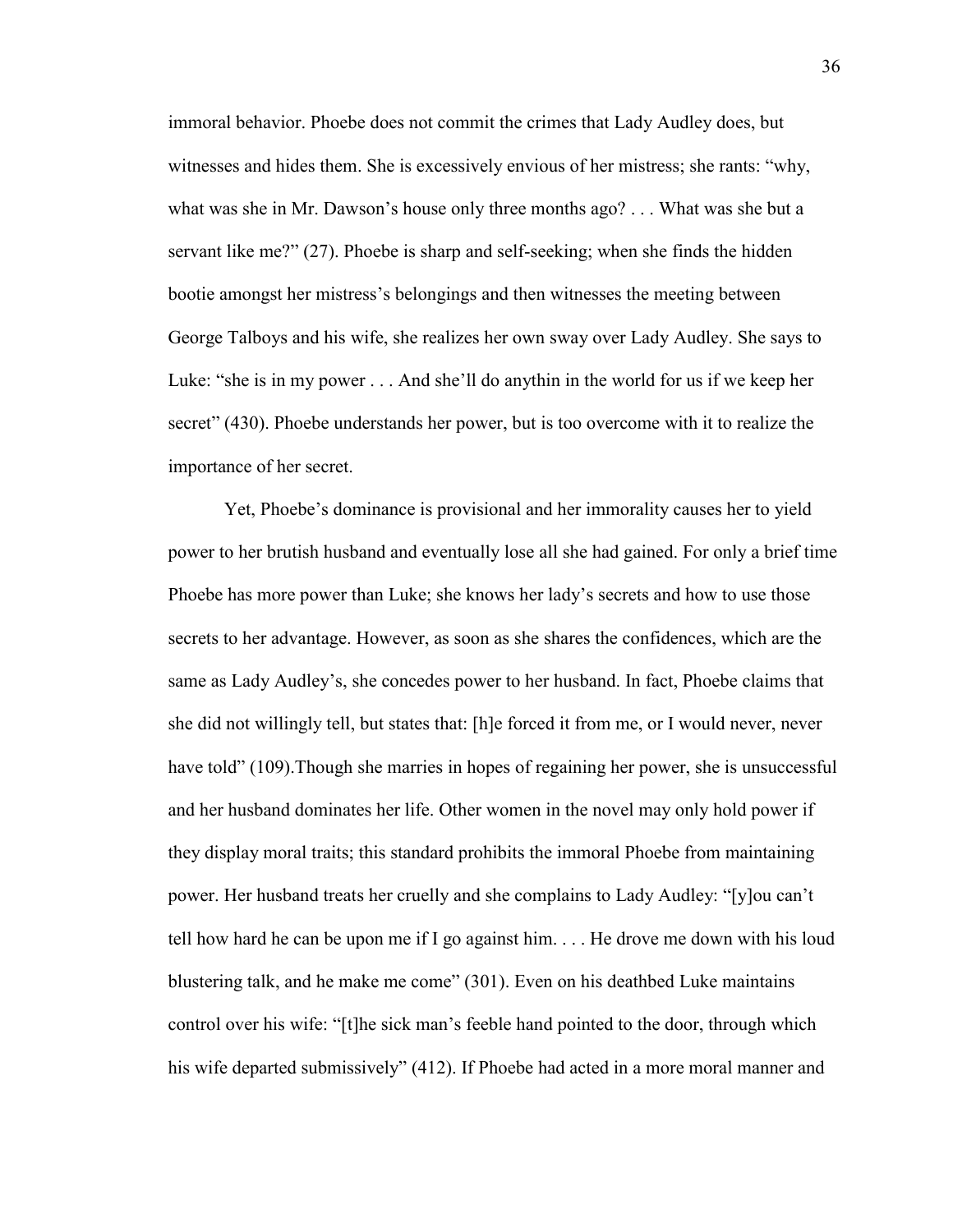immoral behavior. Phoebe does not commit the crimes that Lady Audley does, but witnesses and hides them. She is excessively envious of her mistress; she rants: "why, what was she in Mr. Dawson's house only three months ago? . . . What was she but a servant like me?" (27). Phoebe is sharp and self-seeking; when she finds the hidden bootie amongst her mistress"s belongings and then witnesses the meeting between George Talboys and his wife, she realizes her own sway over Lady Audley. She says to Luke: "she is in my power . . . And she"ll do anythin in the world for us if we keep her secret" (430). Phoebe understands her power, but is too overcome with it to realize the importance of her secret.

Yet, Phoebe"s dominance is provisional and her immorality causes her to yield power to her brutish husband and eventually lose all she had gained. For only a brief time Phoebe has more power than Luke; she knows her lady"s secrets and how to use those secrets to her advantage. However, as soon as she shares the confidences, which are the same as Lady Audley"s, she concedes power to her husband. In fact, Phoebe claims that she did not willingly tell, but states that: [h]e forced it from me, or I would never, never have told" (109). Though she marries in hopes of regaining her power, she is unsuccessful and her husband dominates her life. Other women in the novel may only hold power if they display moral traits; this standard prohibits the immoral Phoebe from maintaining power. Her husband treats her cruelly and she complains to Lady Audley: "[y]ou can"t tell how hard he can be upon me if I go against him. . . . He drove me down with his loud blustering talk, and he make me come" (301). Even on his deathbed Luke maintains control over his wife: "[t]he sick man"s feeble hand pointed to the door, through which his wife departed submissively" (412). If Phoebe had acted in a more moral manner and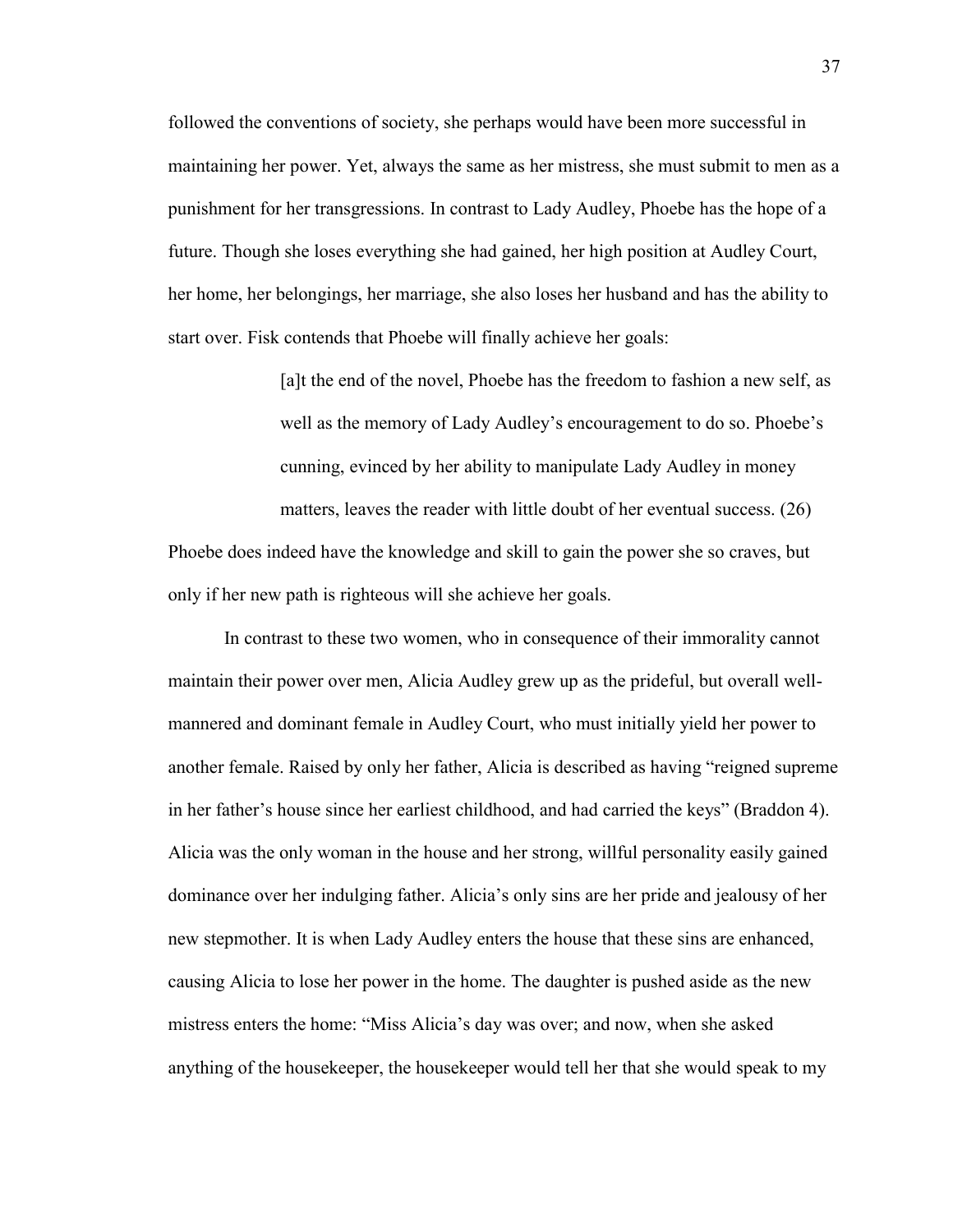followed the conventions of society, she perhaps would have been more successful in maintaining her power. Yet, always the same as her mistress, she must submit to men as a punishment for her transgressions. In contrast to Lady Audley, Phoebe has the hope of a future. Though she loses everything she had gained, her high position at Audley Court, her home, her belongings, her marriage, she also loses her husband and has the ability to start over. Fisk contends that Phoebe will finally achieve her goals:

> [a]t the end of the novel, Phoebe has the freedom to fashion a new self, as well as the memory of Lady Audley"s encouragement to do so. Phoebe"s cunning, evinced by her ability to manipulate Lady Audley in money matters, leaves the reader with little doubt of her eventual success. (26)

Phoebe does indeed have the knowledge and skill to gain the power she so craves, but only if her new path is righteous will she achieve her goals.

In contrast to these two women, who in consequence of their immorality cannot maintain their power over men, Alicia Audley grew up as the prideful, but overall wellmannered and dominant female in Audley Court, who must initially yield her power to another female. Raised by only her father, Alicia is described as having "reigned supreme in her father"s house since her earliest childhood, and had carried the keys" (Braddon 4). Alicia was the only woman in the house and her strong, willful personality easily gained dominance over her indulging father. Alicia"s only sins are her pride and jealousy of her new stepmother. It is when Lady Audley enters the house that these sins are enhanced, causing Alicia to lose her power in the home. The daughter is pushed aside as the new mistress enters the home: "Miss Alicia"s day was over; and now, when she asked anything of the housekeeper, the housekeeper would tell her that she would speak to my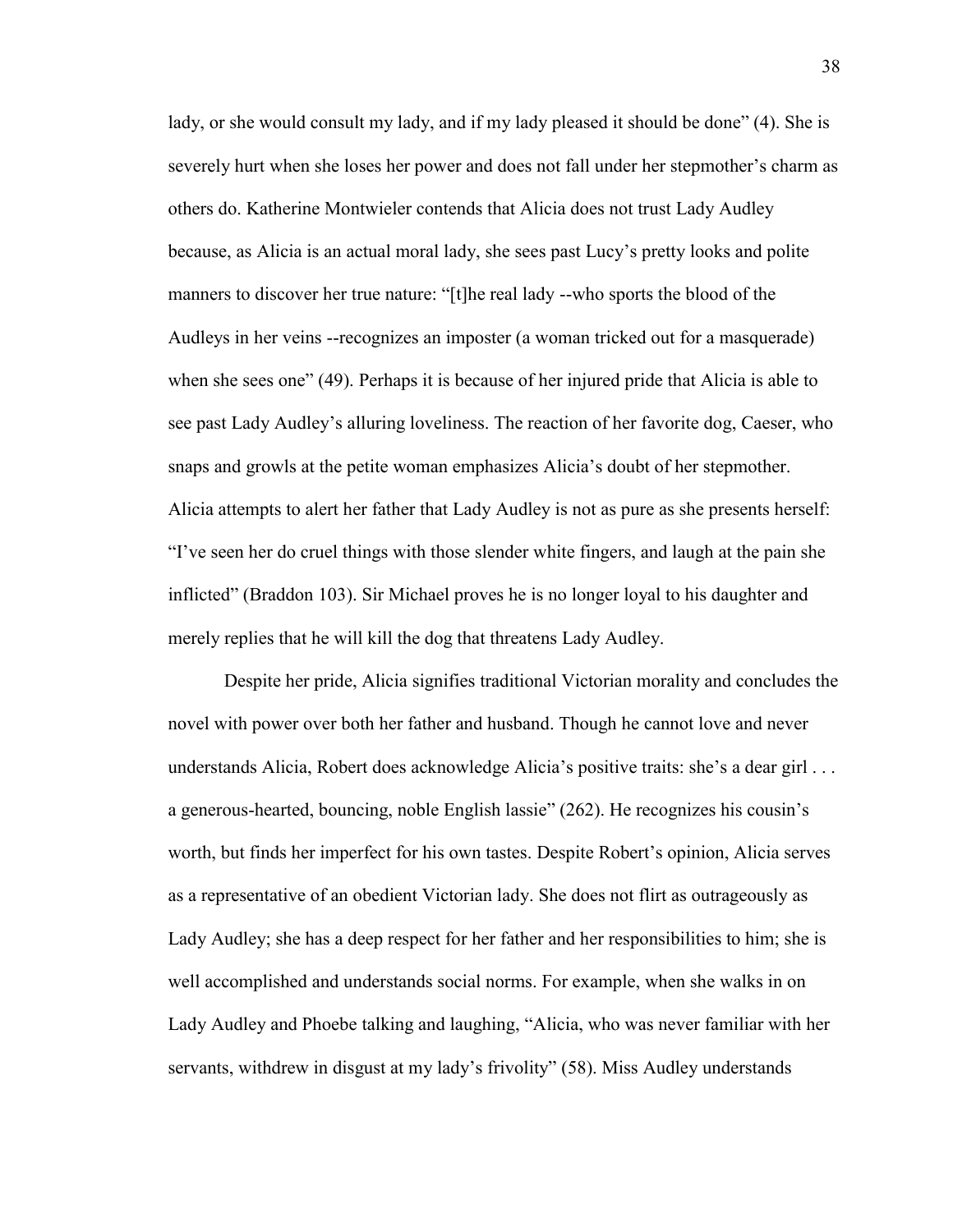lady, or she would consult my lady, and if my lady pleased it should be done" (4). She is severely hurt when she loses her power and does not fall under her stepmother's charm as others do. Katherine Montwieler contends that Alicia does not trust Lady Audley because, as Alicia is an actual moral lady, she sees past Lucy"s pretty looks and polite manners to discover her true nature: "[t]he real lady --who sports the blood of the Audleys in her veins --recognizes an imposter (a woman tricked out for a masquerade) when she sees one" (49). Perhaps it is because of her injured pride that Alicia is able to see past Lady Audley's alluring loveliness. The reaction of her favorite dog, Caeser, who snaps and growls at the petite woman emphasizes Alicia"s doubt of her stepmother. Alicia attempts to alert her father that Lady Audley is not as pure as she presents herself: "I"ve seen her do cruel things with those slender white fingers, and laugh at the pain she inflicted" (Braddon 103). Sir Michael proves he is no longer loyal to his daughter and merely replies that he will kill the dog that threatens Lady Audley.

Despite her pride, Alicia signifies traditional Victorian morality and concludes the novel with power over both her father and husband. Though he cannot love and never understands Alicia, Robert does acknowledge Alicia's positive traits: she's a dear girl ... a generous-hearted, bouncing, noble English lassie" (262). He recognizes his cousin"s worth, but finds her imperfect for his own tastes. Despite Robert's opinion, Alicia serves as a representative of an obedient Victorian lady. She does not flirt as outrageously as Lady Audley; she has a deep respect for her father and her responsibilities to him; she is well accomplished and understands social norms. For example, when she walks in on Lady Audley and Phoebe talking and laughing, "Alicia, who was never familiar with her servants, withdrew in disgust at my lady"s frivolity" (58). Miss Audley understands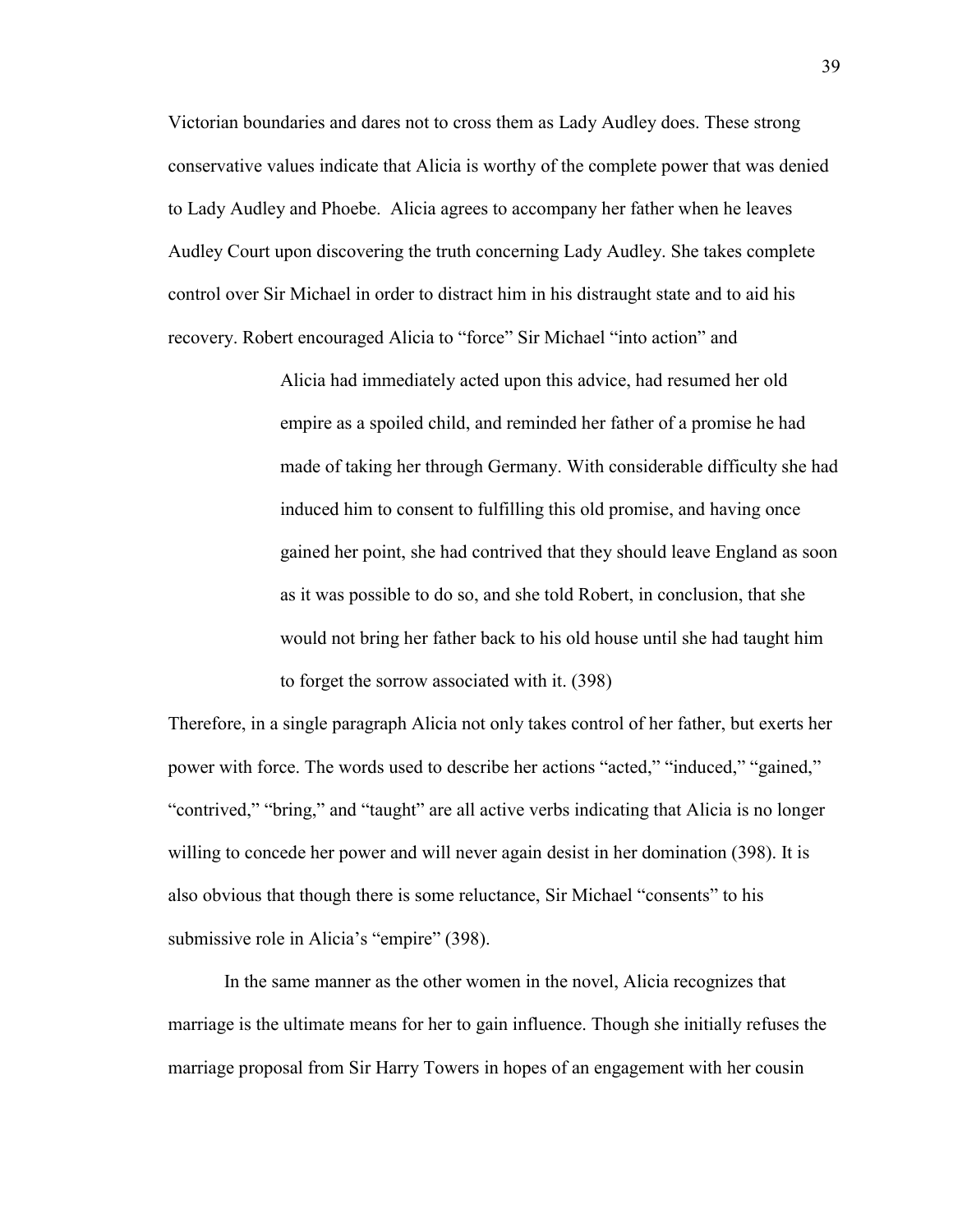Victorian boundaries and dares not to cross them as Lady Audley does. These strong conservative values indicate that Alicia is worthy of the complete power that was denied to Lady Audley and Phoebe. Alicia agrees to accompany her father when he leaves Audley Court upon discovering the truth concerning Lady Audley. She takes complete control over Sir Michael in order to distract him in his distraught state and to aid his recovery. Robert encouraged Alicia to "force" Sir Michael "into action" and

> Alicia had immediately acted upon this advice, had resumed her old empire as a spoiled child, and reminded her father of a promise he had made of taking her through Germany. With considerable difficulty she had induced him to consent to fulfilling this old promise, and having once gained her point, she had contrived that they should leave England as soon as it was possible to do so, and she told Robert, in conclusion, that she would not bring her father back to his old house until she had taught him to forget the sorrow associated with it. (398)

Therefore, in a single paragraph Alicia not only takes control of her father, but exerts her power with force. The words used to describe her actions "acted," "induced," "gained," "contrived," "bring," and "taught" are all active verbs indicating that Alicia is no longer willing to concede her power and will never again desist in her domination (398). It is also obvious that though there is some reluctance, Sir Michael "consents" to his submissive role in Alicia's "empire" (398).

In the same manner as the other women in the novel, Alicia recognizes that marriage is the ultimate means for her to gain influence. Though she initially refuses the marriage proposal from Sir Harry Towers in hopes of an engagement with her cousin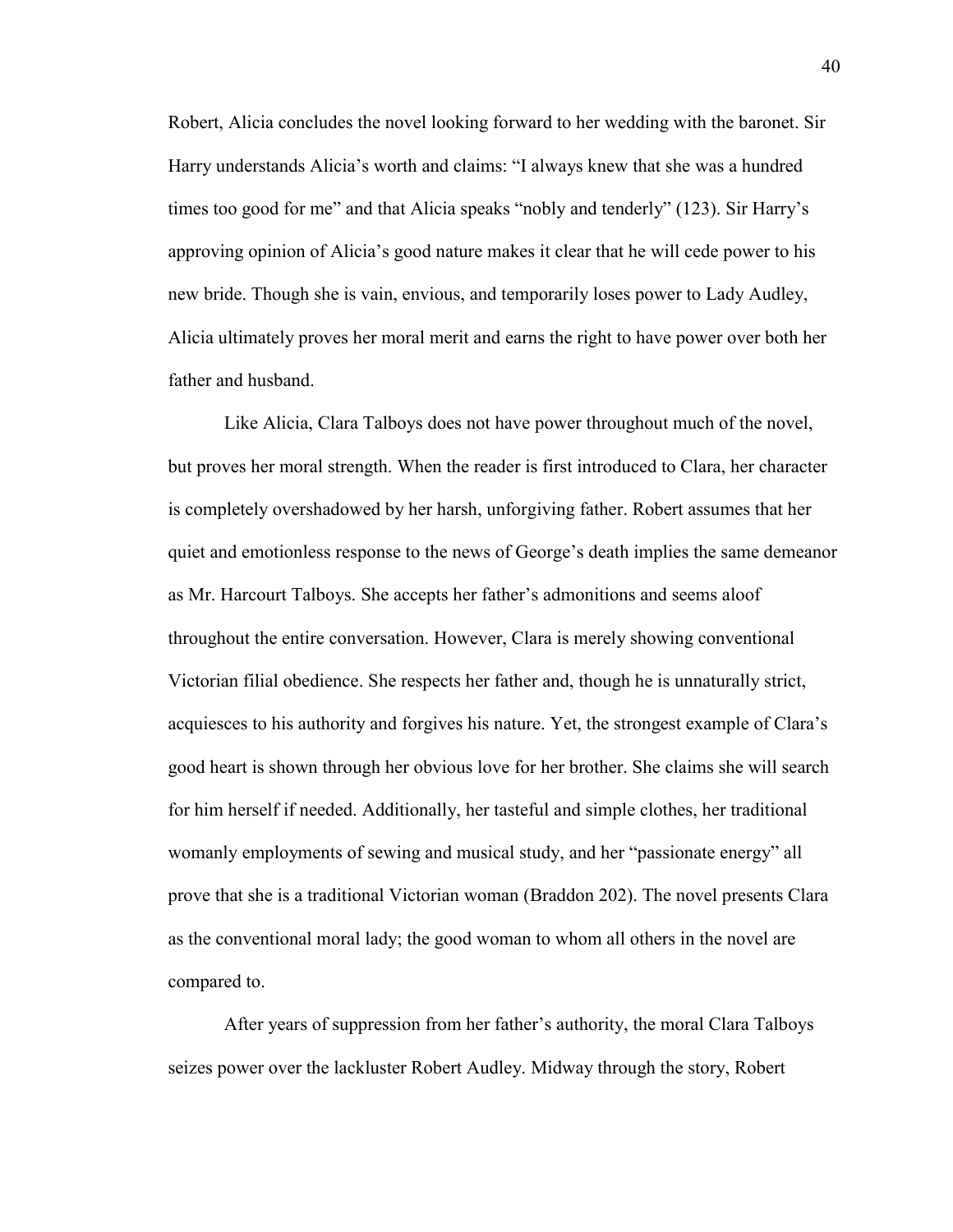Robert, Alicia concludes the novel looking forward to her wedding with the baronet. Sir Harry understands Alicia's worth and claims: "I always knew that she was a hundred times too good for me" and that Alicia speaks "nobly and tenderly" (123). Sir Harry"s approving opinion of Alicia"s good nature makes it clear that he will cede power to his new bride. Though she is vain, envious, and temporarily loses power to Lady Audley, Alicia ultimately proves her moral merit and earns the right to have power over both her father and husband.

Like Alicia, Clara Talboys does not have power throughout much of the novel, but proves her moral strength. When the reader is first introduced to Clara, her character is completely overshadowed by her harsh, unforgiving father. Robert assumes that her quiet and emotionless response to the news of George"s death implies the same demeanor as Mr. Harcourt Talboys. She accepts her father"s admonitions and seems aloof throughout the entire conversation. However, Clara is merely showing conventional Victorian filial obedience. She respects her father and, though he is unnaturally strict, acquiesces to his authority and forgives his nature. Yet, the strongest example of Clara"s good heart is shown through her obvious love for her brother. She claims she will search for him herself if needed. Additionally, her tasteful and simple clothes, her traditional womanly employments of sewing and musical study, and her "passionate energy" all prove that she is a traditional Victorian woman (Braddon 202). The novel presents Clara as the conventional moral lady; the good woman to whom all others in the novel are compared to.

After years of suppression from her father"s authority, the moral Clara Talboys seizes power over the lackluster Robert Audley. Midway through the story, Robert

40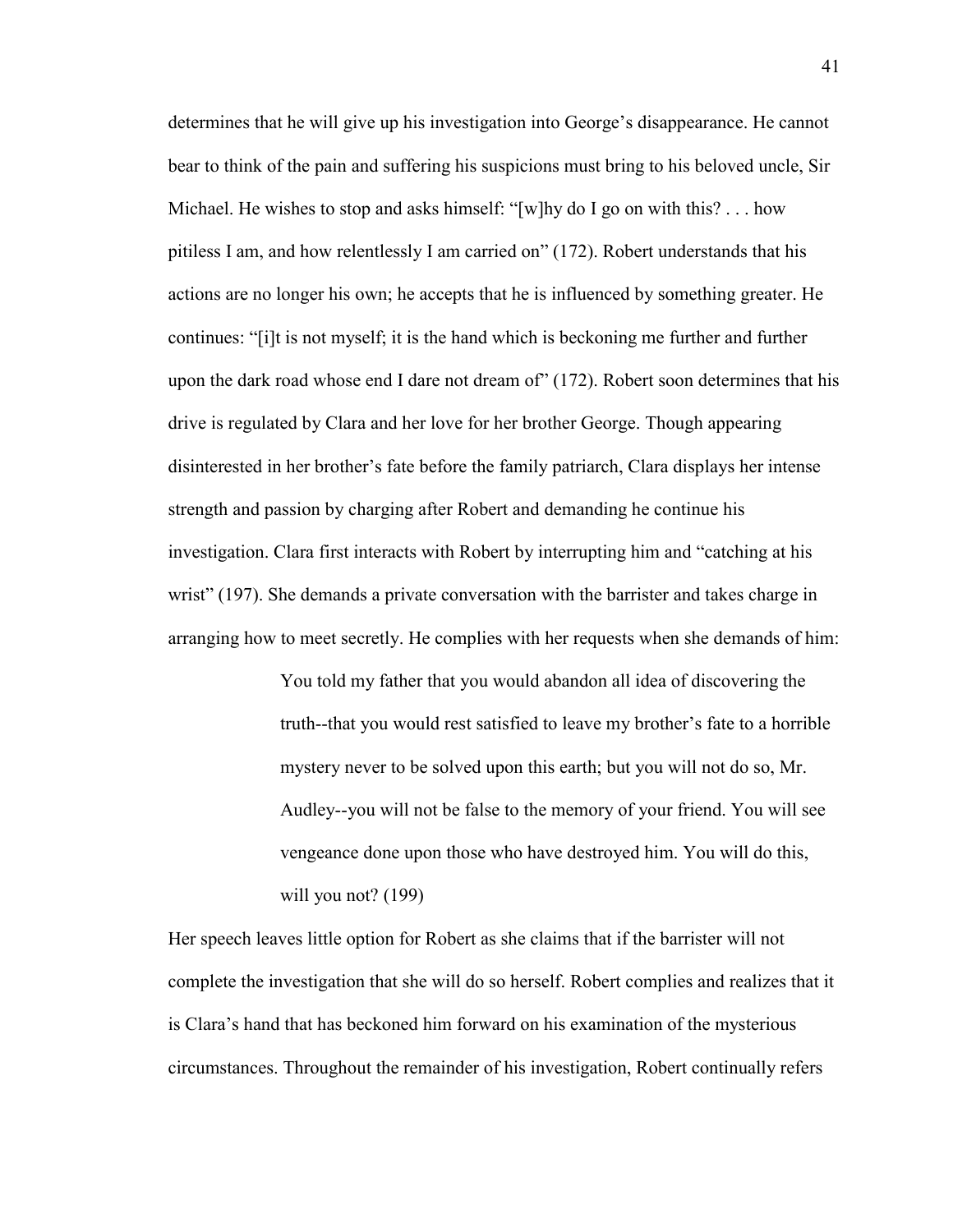determines that he will give up his investigation into George"s disappearance. He cannot bear to think of the pain and suffering his suspicions must bring to his beloved uncle, Sir Michael. He wishes to stop and asks himself: "[w]hy do I go on with this? . . . how pitiless I am, and how relentlessly I am carried on" (172). Robert understands that his actions are no longer his own; he accepts that he is influenced by something greater. He continues: "[i]t is not myself; it is the hand which is beckoning me further and further upon the dark road whose end I dare not dream of" (172). Robert soon determines that his drive is regulated by Clara and her love for her brother George. Though appearing disinterested in her brother"s fate before the family patriarch, Clara displays her intense strength and passion by charging after Robert and demanding he continue his investigation. Clara first interacts with Robert by interrupting him and "catching at his wrist" (197). She demands a private conversation with the barrister and takes charge in arranging how to meet secretly. He complies with her requests when she demands of him:

> You told my father that you would abandon all idea of discovering the truth--that you would rest satisfied to leave my brother"s fate to a horrible mystery never to be solved upon this earth; but you will not do so, Mr. Audley--you will not be false to the memory of your friend. You will see vengeance done upon those who have destroyed him. You will do this, will you not? (199)

Her speech leaves little option for Robert as she claims that if the barrister will not complete the investigation that she will do so herself. Robert complies and realizes that it is Clara"s hand that has beckoned him forward on his examination of the mysterious circumstances. Throughout the remainder of his investigation, Robert continually refers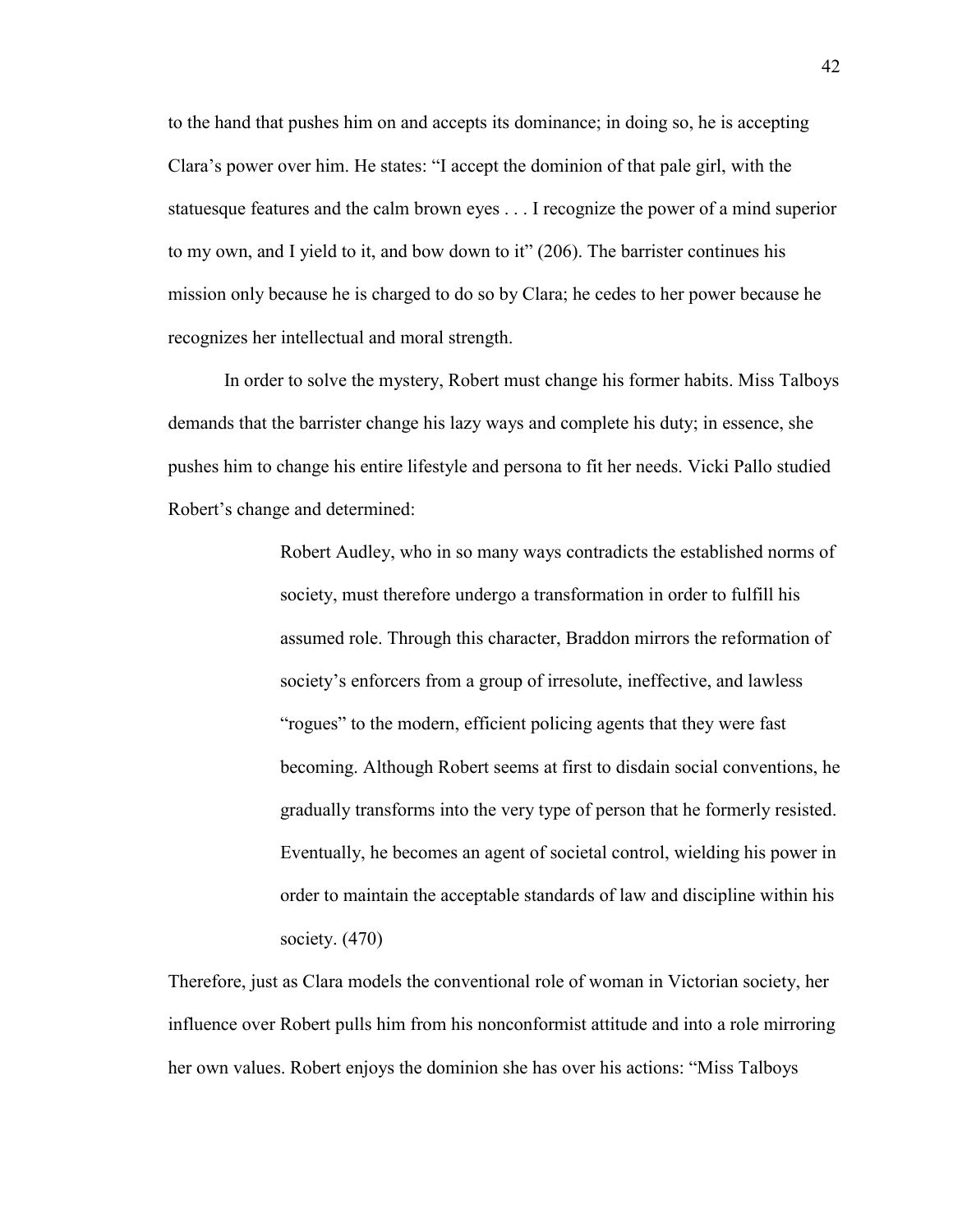to the hand that pushes him on and accepts its dominance; in doing so, he is accepting Clara"s power over him. He states: "I accept the dominion of that pale girl, with the statuesque features and the calm brown eyes . . . I recognize the power of a mind superior to my own, and I yield to it, and bow down to it" (206). The barrister continues his mission only because he is charged to do so by Clara; he cedes to her power because he recognizes her intellectual and moral strength.

In order to solve the mystery, Robert must change his former habits. Miss Talboys demands that the barrister change his lazy ways and complete his duty; in essence, she pushes him to change his entire lifestyle and persona to fit her needs. Vicki Pallo studied Robert's change and determined:

> Robert Audley, who in so many ways contradicts the established norms of society, must therefore undergo a transformation in order to fulfill his assumed role. Through this character, Braddon mirrors the reformation of society's enforcers from a group of irresolute, ineffective, and lawless "rogues" to the modern, efficient policing agents that they were fast becoming. Although Robert seems at first to disdain social conventions, he gradually transforms into the very type of person that he formerly resisted. Eventually, he becomes an agent of societal control, wielding his power in order to maintain the acceptable standards of law and discipline within his society. (470)

Therefore, just as Clara models the conventional role of woman in Victorian society, her influence over Robert pulls him from his nonconformist attitude and into a role mirroring her own values. Robert enjoys the dominion she has over his actions: "Miss Talboys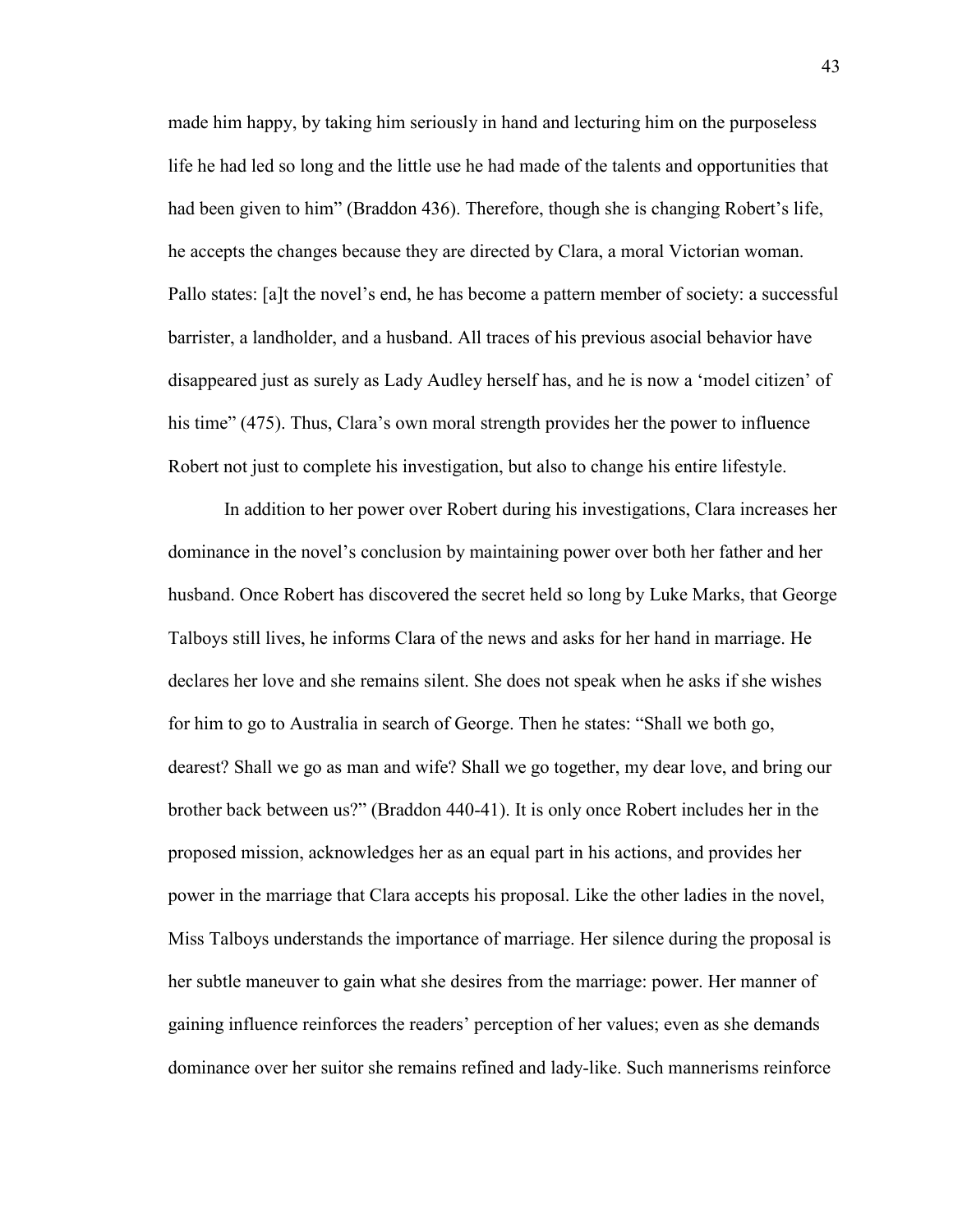made him happy, by taking him seriously in hand and lecturing him on the purposeless life he had led so long and the little use he had made of the talents and opportunities that had been given to him" (Braddon 436). Therefore, though she is changing Robert"s life, he accepts the changes because they are directed by Clara, a moral Victorian woman. Pallo states: [a]t the novel"s end, he has become a pattern member of society: a successful barrister, a landholder, and a husband. All traces of his previous asocial behavior have disappeared just as surely as Lady Audley herself has, and he is now a "model citizen" of his time" (475). Thus, Clara's own moral strength provides her the power to influence Robert not just to complete his investigation, but also to change his entire lifestyle.

In addition to her power over Robert during his investigations, Clara increases her dominance in the novel"s conclusion by maintaining power over both her father and her husband. Once Robert has discovered the secret held so long by Luke Marks, that George Talboys still lives, he informs Clara of the news and asks for her hand in marriage. He declares her love and she remains silent. She does not speak when he asks if she wishes for him to go to Australia in search of George. Then he states: "Shall we both go, dearest? Shall we go as man and wife? Shall we go together, my dear love, and bring our brother back between us?" (Braddon 440-41). It is only once Robert includes her in the proposed mission, acknowledges her as an equal part in his actions, and provides her power in the marriage that Clara accepts his proposal. Like the other ladies in the novel, Miss Talboys understands the importance of marriage. Her silence during the proposal is her subtle maneuver to gain what she desires from the marriage: power. Her manner of gaining influence reinforces the readers" perception of her values; even as she demands dominance over her suitor she remains refined and lady-like. Such mannerisms reinforce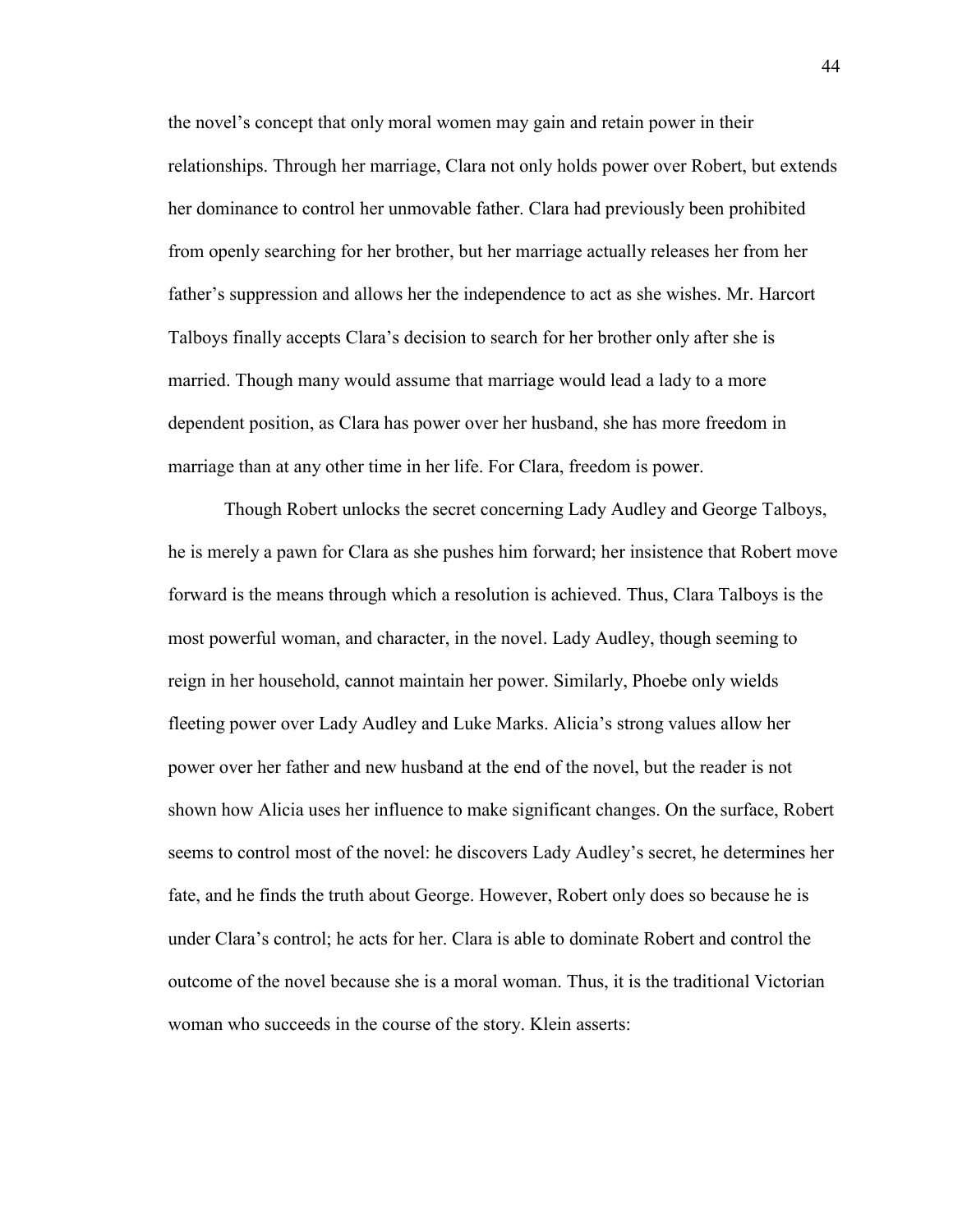the novel"s concept that only moral women may gain and retain power in their relationships. Through her marriage, Clara not only holds power over Robert, but extends her dominance to control her unmovable father. Clara had previously been prohibited from openly searching for her brother, but her marriage actually releases her from her father"s suppression and allows her the independence to act as she wishes. Mr. Harcort Talboys finally accepts Clara"s decision to search for her brother only after she is married. Though many would assume that marriage would lead a lady to a more dependent position, as Clara has power over her husband, she has more freedom in marriage than at any other time in her life. For Clara, freedom is power.

Though Robert unlocks the secret concerning Lady Audley and George Talboys, he is merely a pawn for Clara as she pushes him forward; her insistence that Robert move forward is the means through which a resolution is achieved. Thus, Clara Talboys is the most powerful woman, and character, in the novel. Lady Audley, though seeming to reign in her household, cannot maintain her power. Similarly, Phoebe only wields fleeting power over Lady Audley and Luke Marks. Alicia's strong values allow her power over her father and new husband at the end of the novel, but the reader is not shown how Alicia uses her influence to make significant changes. On the surface, Robert seems to control most of the novel: he discovers Lady Audley"s secret, he determines her fate, and he finds the truth about George. However, Robert only does so because he is under Clara"s control; he acts for her. Clara is able to dominate Robert and control the outcome of the novel because she is a moral woman. Thus, it is the traditional Victorian woman who succeeds in the course of the story. Klein asserts: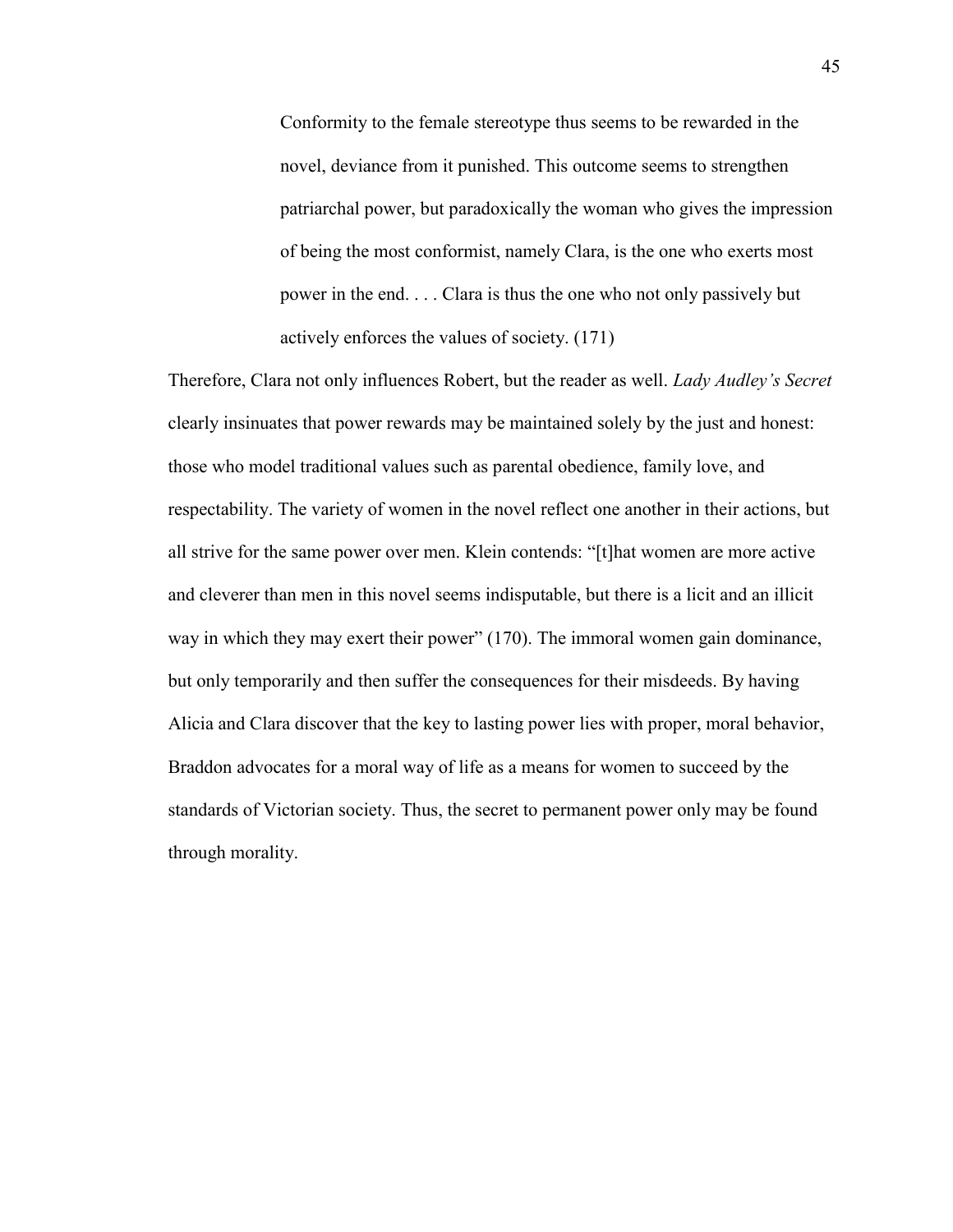Conformity to the female stereotype thus seems to be rewarded in the novel, deviance from it punished. This outcome seems to strengthen patriarchal power, but paradoxically the woman who gives the impression of being the most conformist, namely Clara, is the one who exerts most power in the end. . . . Clara is thus the one who not only passively but actively enforces the values of society. (171)

Therefore, Clara not only influences Robert, but the reader as well. *Lady Audley's Secret* clearly insinuates that power rewards may be maintained solely by the just and honest: those who model traditional values such as parental obedience, family love, and respectability. The variety of women in the novel reflect one another in their actions, but all strive for the same power over men. Klein contends: "[t]hat women are more active and cleverer than men in this novel seems indisputable, but there is a licit and an illicit way in which they may exert their power" (170). The immoral women gain dominance, but only temporarily and then suffer the consequences for their misdeeds. By having Alicia and Clara discover that the key to lasting power lies with proper, moral behavior, Braddon advocates for a moral way of life as a means for women to succeed by the standards of Victorian society. Thus, the secret to permanent power only may be found through morality.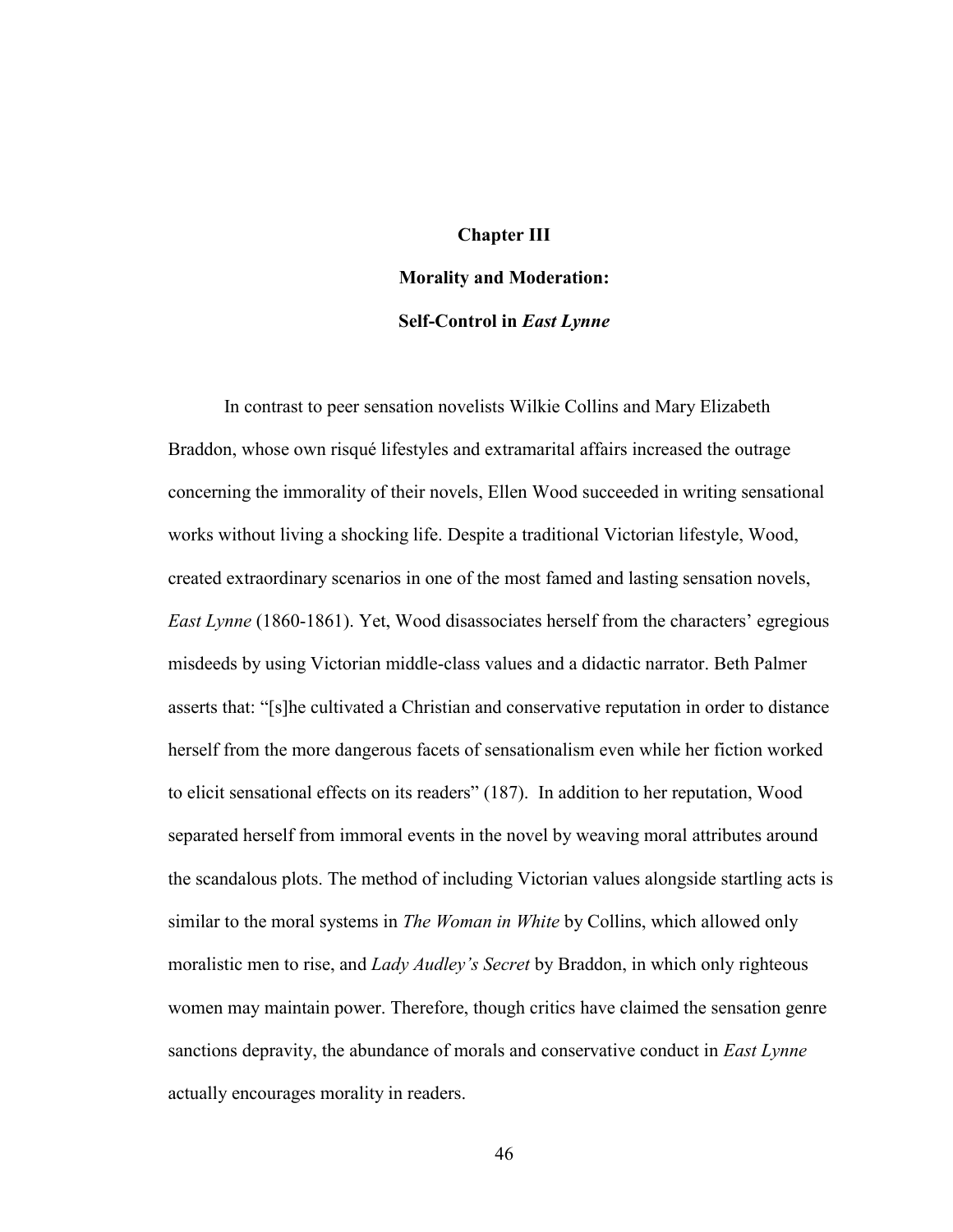## **Chapter III**

## **Morality and Moderation:**

## **Self-Control in** *East Lynne*

In contrast to peer sensation novelists Wilkie Collins and Mary Elizabeth Braddon, whose own risqué lifestyles and extramarital affairs increased the outrage concerning the immorality of their novels, Ellen Wood succeeded in writing sensational works without living a shocking life. Despite a traditional Victorian lifestyle, Wood, created extraordinary scenarios in one of the most famed and lasting sensation novels, *East Lynne* (1860-1861). Yet, Wood disassociates herself from the characters' egregious misdeeds by using Victorian middle-class values and a didactic narrator. Beth Palmer asserts that: "[s]he cultivated a Christian and conservative reputation in order to distance herself from the more dangerous facets of sensationalism even while her fiction worked to elicit sensational effects on its readers" (187). In addition to her reputation, Wood separated herself from immoral events in the novel by weaving moral attributes around the scandalous plots. The method of including Victorian values alongside startling acts is similar to the moral systems in *The Woman in White* by Collins, which allowed only moralistic men to rise, and *Lady Audley's Secret* by Braddon, in which only righteous women may maintain power. Therefore, though critics have claimed the sensation genre sanctions depravity, the abundance of morals and conservative conduct in *East Lynne* actually encourages morality in readers.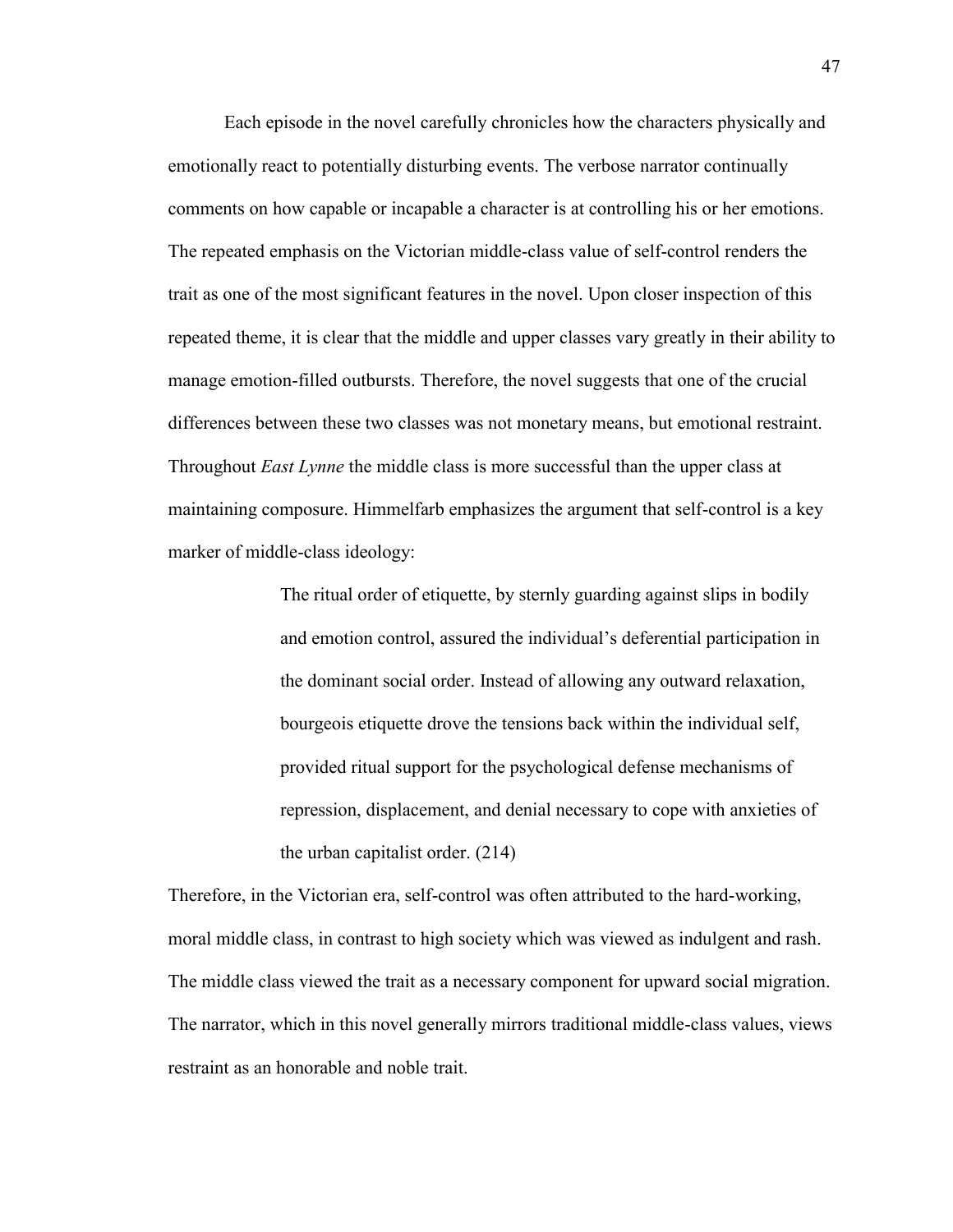Each episode in the novel carefully chronicles how the characters physically and emotionally react to potentially disturbing events. The verbose narrator continually comments on how capable or incapable a character is at controlling his or her emotions. The repeated emphasis on the Victorian middle-class value of self-control renders the trait as one of the most significant features in the novel. Upon closer inspection of this repeated theme, it is clear that the middle and upper classes vary greatly in their ability to manage emotion-filled outbursts. Therefore, the novel suggests that one of the crucial differences between these two classes was not monetary means, but emotional restraint. Throughout *East Lynne* the middle class is more successful than the upper class at maintaining composure. Himmelfarb emphasizes the argument that self-control is a key marker of middle-class ideology:

> The ritual order of etiquette, by sternly guarding against slips in bodily and emotion control, assured the individual"s deferential participation in the dominant social order. Instead of allowing any outward relaxation, bourgeois etiquette drove the tensions back within the individual self, provided ritual support for the psychological defense mechanisms of repression, displacement, and denial necessary to cope with anxieties of the urban capitalist order. (214)

Therefore, in the Victorian era, self-control was often attributed to the hard-working, moral middle class, in contrast to high society which was viewed as indulgent and rash. The middle class viewed the trait as a necessary component for upward social migration. The narrator, which in this novel generally mirrors traditional middle-class values, views restraint as an honorable and noble trait.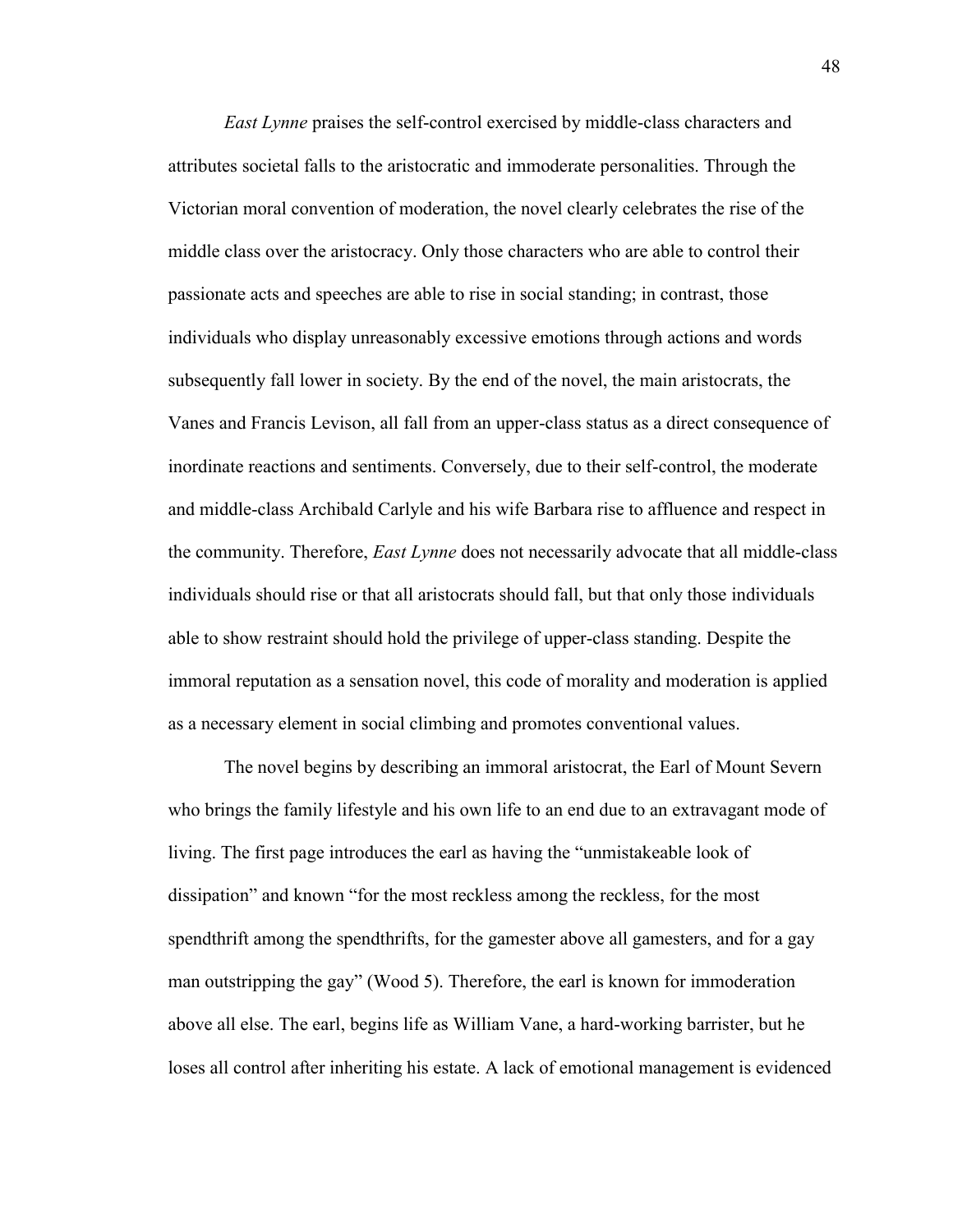*East Lynne* praises the self-control exercised by middle-class characters and attributes societal falls to the aristocratic and immoderate personalities. Through the Victorian moral convention of moderation, the novel clearly celebrates the rise of the middle class over the aristocracy. Only those characters who are able to control their passionate acts and speeches are able to rise in social standing; in contrast, those individuals who display unreasonably excessive emotions through actions and words subsequently fall lower in society. By the end of the novel, the main aristocrats, the Vanes and Francis Levison, all fall from an upper-class status as a direct consequence of inordinate reactions and sentiments. Conversely, due to their self-control, the moderate and middle-class Archibald Carlyle and his wife Barbara rise to affluence and respect in the community. Therefore, *East Lynne* does not necessarily advocate that all middle-class individuals should rise or that all aristocrats should fall, but that only those individuals able to show restraint should hold the privilege of upper-class standing. Despite the immoral reputation as a sensation novel, this code of morality and moderation is applied as a necessary element in social climbing and promotes conventional values.

The novel begins by describing an immoral aristocrat, the Earl of Mount Severn who brings the family lifestyle and his own life to an end due to an extravagant mode of living. The first page introduces the earl as having the "unmistakeable look of dissipation" and known "for the most reckless among the reckless, for the most spendthrift among the spendthrifts, for the gamester above all gamesters, and for a gay man outstripping the gay" (Wood 5). Therefore, the earl is known for immoderation above all else. The earl, begins life as William Vane, a hard-working barrister, but he loses all control after inheriting his estate. A lack of emotional management is evidenced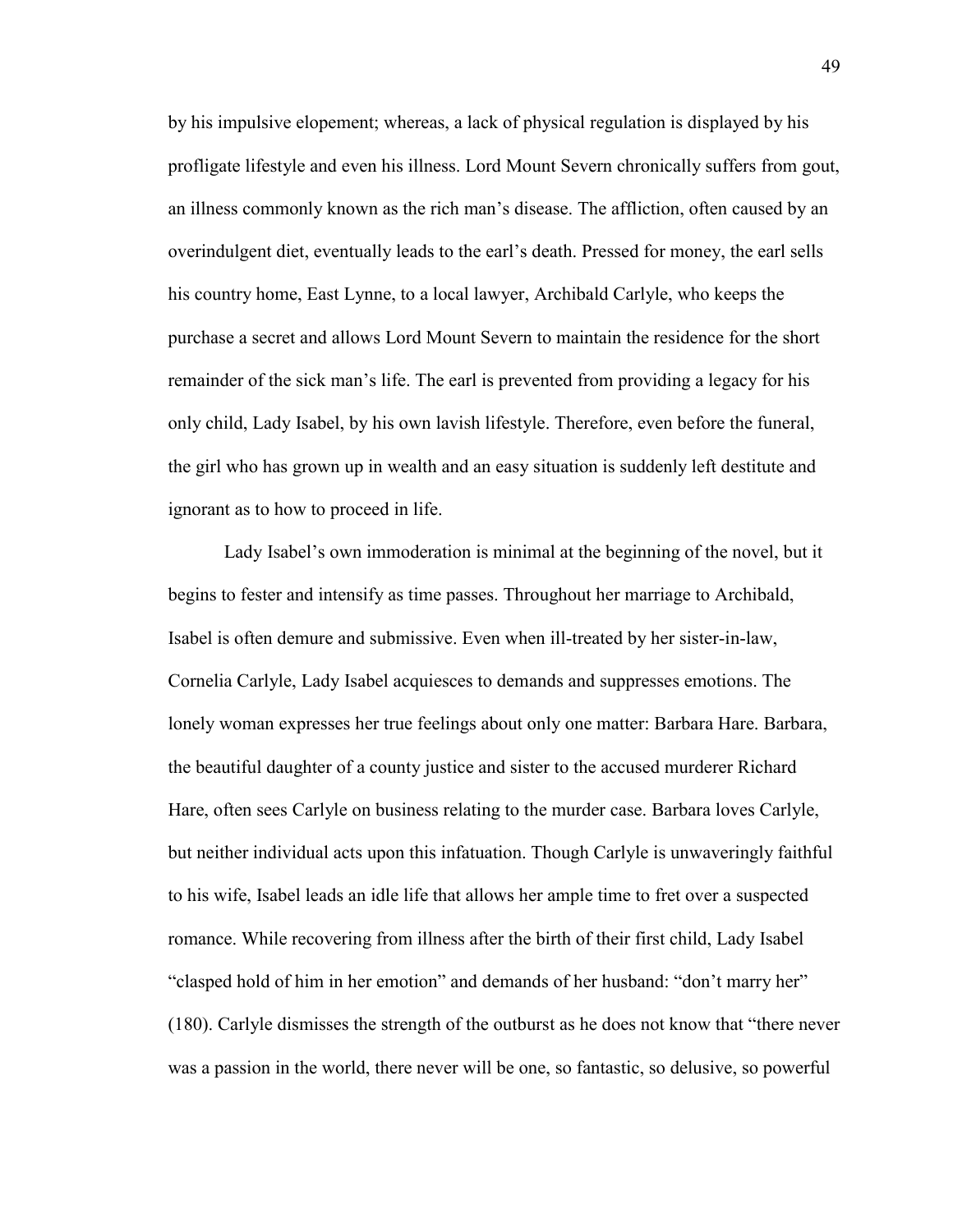by his impulsive elopement; whereas, a lack of physical regulation is displayed by his profligate lifestyle and even his illness. Lord Mount Severn chronically suffers from gout, an illness commonly known as the rich man"s disease. The affliction, often caused by an overindulgent diet, eventually leads to the earl"s death. Pressed for money, the earl sells his country home, East Lynne, to a local lawyer, Archibald Carlyle, who keeps the purchase a secret and allows Lord Mount Severn to maintain the residence for the short remainder of the sick man"s life. The earl is prevented from providing a legacy for his only child, Lady Isabel, by his own lavish lifestyle. Therefore, even before the funeral, the girl who has grown up in wealth and an easy situation is suddenly left destitute and ignorant as to how to proceed in life.

Lady Isabel's own immoderation is minimal at the beginning of the novel, but it begins to fester and intensify as time passes. Throughout her marriage to Archibald, Isabel is often demure and submissive. Even when ill-treated by her sister-in-law, Cornelia Carlyle, Lady Isabel acquiesces to demands and suppresses emotions. The lonely woman expresses her true feelings about only one matter: Barbara Hare. Barbara, the beautiful daughter of a county justice and sister to the accused murderer Richard Hare, often sees Carlyle on business relating to the murder case. Barbara loves Carlyle, but neither individual acts upon this infatuation. Though Carlyle is unwaveringly faithful to his wife, Isabel leads an idle life that allows her ample time to fret over a suspected romance. While recovering from illness after the birth of their first child, Lady Isabel "clasped hold of him in her emotion" and demands of her husband: "don"t marry her" (180). Carlyle dismisses the strength of the outburst as he does not know that "there never was a passion in the world, there never will be one, so fantastic, so delusive, so powerful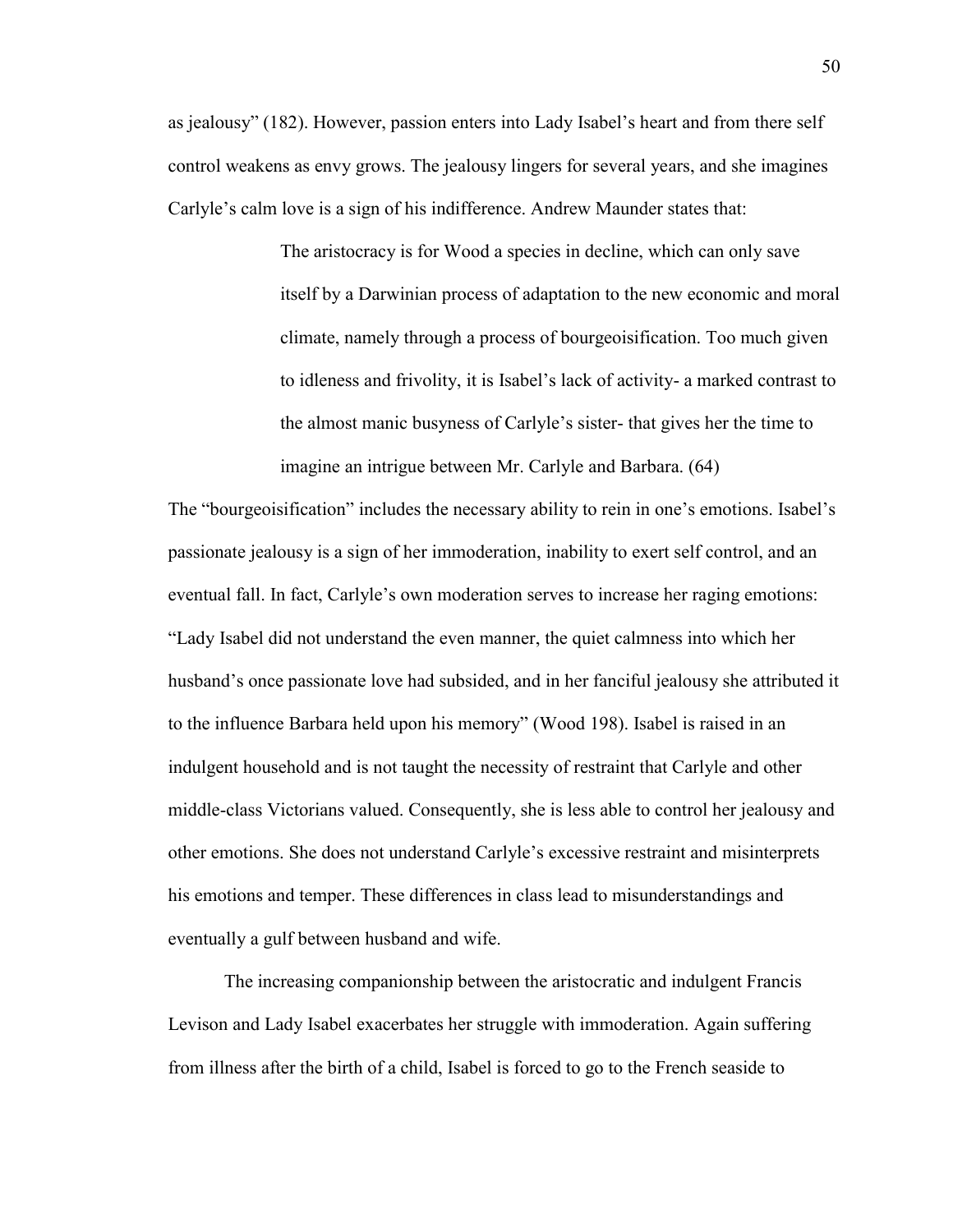as jealousy" (182). However, passion enters into Lady Isabel"s heart and from there self control weakens as envy grows. The jealousy lingers for several years, and she imagines Carlyle"s calm love is a sign of his indifference. Andrew Maunder states that:

> The aristocracy is for Wood a species in decline, which can only save itself by a Darwinian process of adaptation to the new economic and moral climate, namely through a process of bourgeoisification. Too much given to idleness and frivolity, it is Isabel"s lack of activity- a marked contrast to the almost manic busyness of Carlyle"s sister- that gives her the time to imagine an intrigue between Mr. Carlyle and Barbara. (64)

The "bourgeoisification" includes the necessary ability to rein in one"s emotions. Isabel"s passionate jealousy is a sign of her immoderation, inability to exert self control, and an eventual fall. In fact, Carlyle"s own moderation serves to increase her raging emotions: "Lady Isabel did not understand the even manner, the quiet calmness into which her husband"s once passionate love had subsided, and in her fanciful jealousy she attributed it to the influence Barbara held upon his memory" (Wood 198). Isabel is raised in an indulgent household and is not taught the necessity of restraint that Carlyle and other middle-class Victorians valued. Consequently, she is less able to control her jealousy and other emotions. She does not understand Carlyle"s excessive restraint and misinterprets his emotions and temper. These differences in class lead to misunderstandings and eventually a gulf between husband and wife.

The increasing companionship between the aristocratic and indulgent Francis Levison and Lady Isabel exacerbates her struggle with immoderation. Again suffering from illness after the birth of a child, Isabel is forced to go to the French seaside to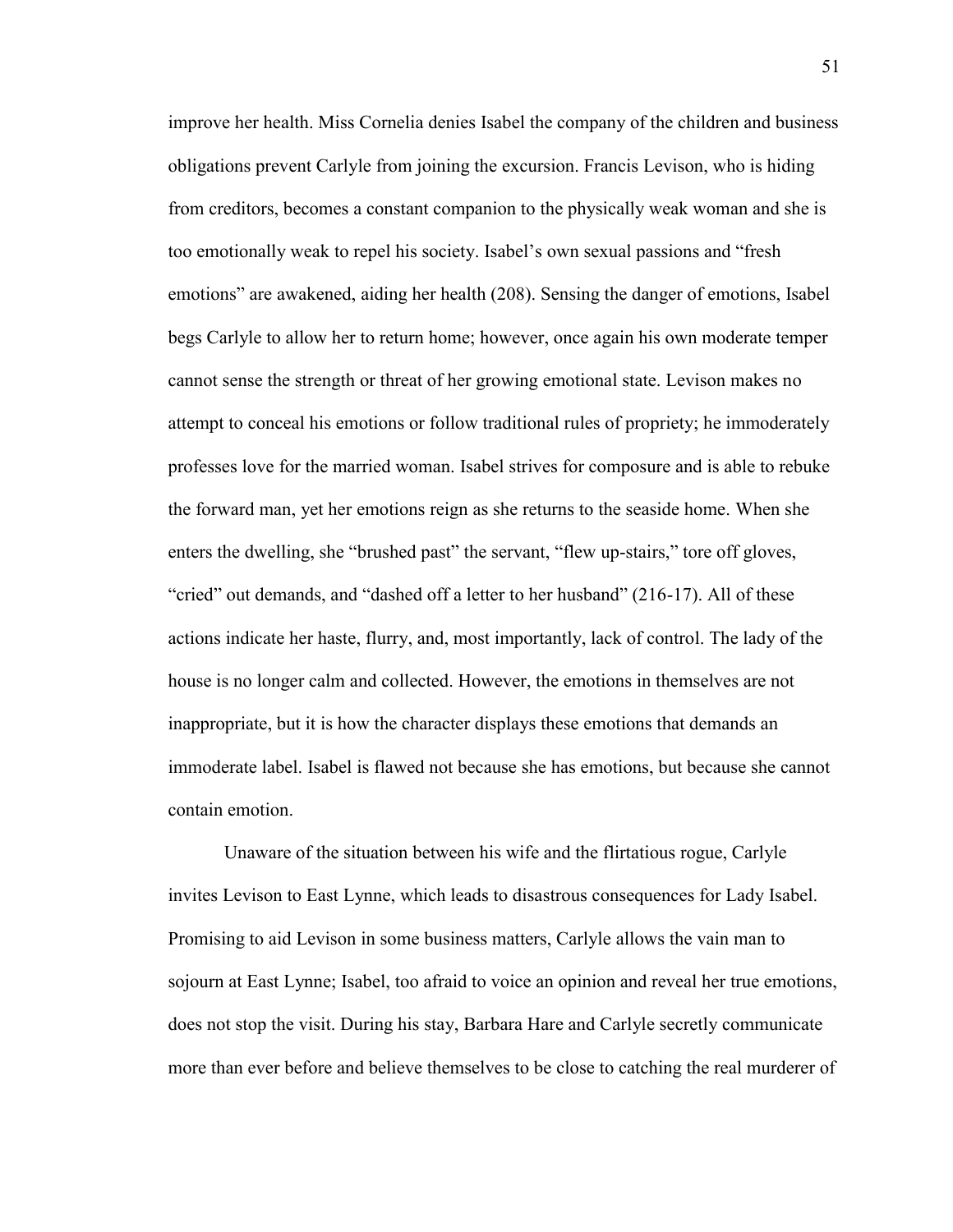improve her health. Miss Cornelia denies Isabel the company of the children and business obligations prevent Carlyle from joining the excursion. Francis Levison, who is hiding from creditors, becomes a constant companion to the physically weak woman and she is too emotionally weak to repel his society. Isabel"s own sexual passions and "fresh emotions" are awakened, aiding her health (208). Sensing the danger of emotions, Isabel begs Carlyle to allow her to return home; however, once again his own moderate temper cannot sense the strength or threat of her growing emotional state. Levison makes no attempt to conceal his emotions or follow traditional rules of propriety; he immoderately professes love for the married woman. Isabel strives for composure and is able to rebuke the forward man, yet her emotions reign as she returns to the seaside home. When she enters the dwelling, she "brushed past" the servant, "flew up-stairs," tore off gloves, "cried" out demands, and "dashed off a letter to her husband" (216-17). All of these actions indicate her haste, flurry, and, most importantly, lack of control. The lady of the house is no longer calm and collected. However, the emotions in themselves are not inappropriate, but it is how the character displays these emotions that demands an immoderate label. Isabel is flawed not because she has emotions, but because she cannot contain emotion.

Unaware of the situation between his wife and the flirtatious rogue, Carlyle invites Levison to East Lynne, which leads to disastrous consequences for Lady Isabel. Promising to aid Levison in some business matters, Carlyle allows the vain man to sojourn at East Lynne; Isabel, too afraid to voice an opinion and reveal her true emotions, does not stop the visit. During his stay, Barbara Hare and Carlyle secretly communicate more than ever before and believe themselves to be close to catching the real murderer of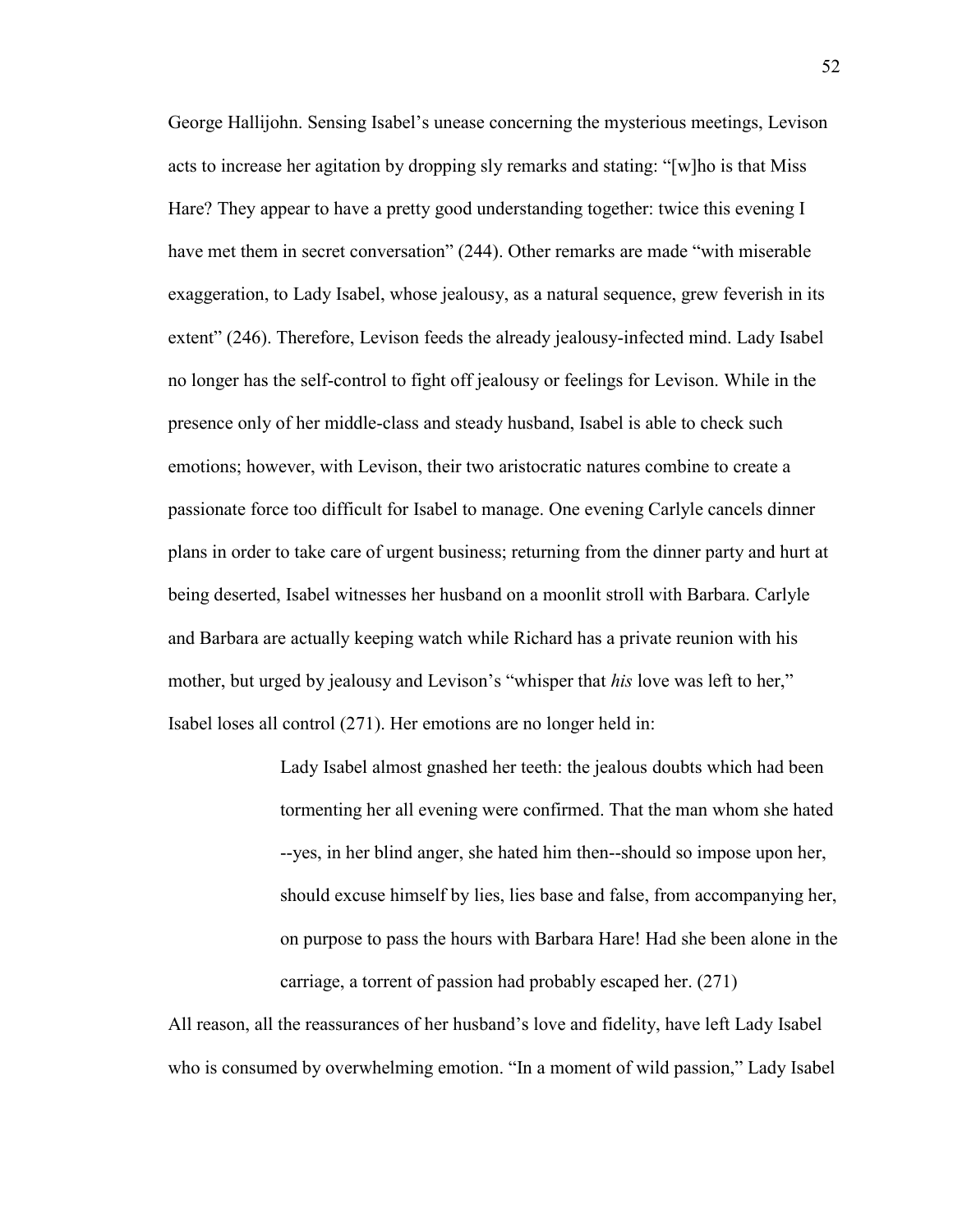George Hallijohn. Sensing Isabel"s unease concerning the mysterious meetings, Levison acts to increase her agitation by dropping sly remarks and stating: "[w]ho is that Miss Hare? They appear to have a pretty good understanding together: twice this evening I have met them in secret conversation" (244). Other remarks are made "with miserable exaggeration, to Lady Isabel, whose jealousy, as a natural sequence, grew feverish in its extent" (246). Therefore, Levison feeds the already jealousy-infected mind. Lady Isabel no longer has the self-control to fight off jealousy or feelings for Levison. While in the presence only of her middle-class and steady husband, Isabel is able to check such emotions; however, with Levison, their two aristocratic natures combine to create a passionate force too difficult for Isabel to manage. One evening Carlyle cancels dinner plans in order to take care of urgent business; returning from the dinner party and hurt at being deserted, Isabel witnesses her husband on a moonlit stroll with Barbara. Carlyle and Barbara are actually keeping watch while Richard has a private reunion with his mother, but urged by jealousy and Levison's "whisper that *his* love was left to her," Isabel loses all control (271). Her emotions are no longer held in:

> Lady Isabel almost gnashed her teeth: the jealous doubts which had been tormenting her all evening were confirmed. That the man whom she hated --yes, in her blind anger, she hated him then--should so impose upon her, should excuse himself by lies, lies base and false, from accompanying her, on purpose to pass the hours with Barbara Hare! Had she been alone in the carriage, a torrent of passion had probably escaped her. (271)

All reason, all the reassurances of her husband"s love and fidelity, have left Lady Isabel who is consumed by overwhelming emotion. "In a moment of wild passion," Lady Isabel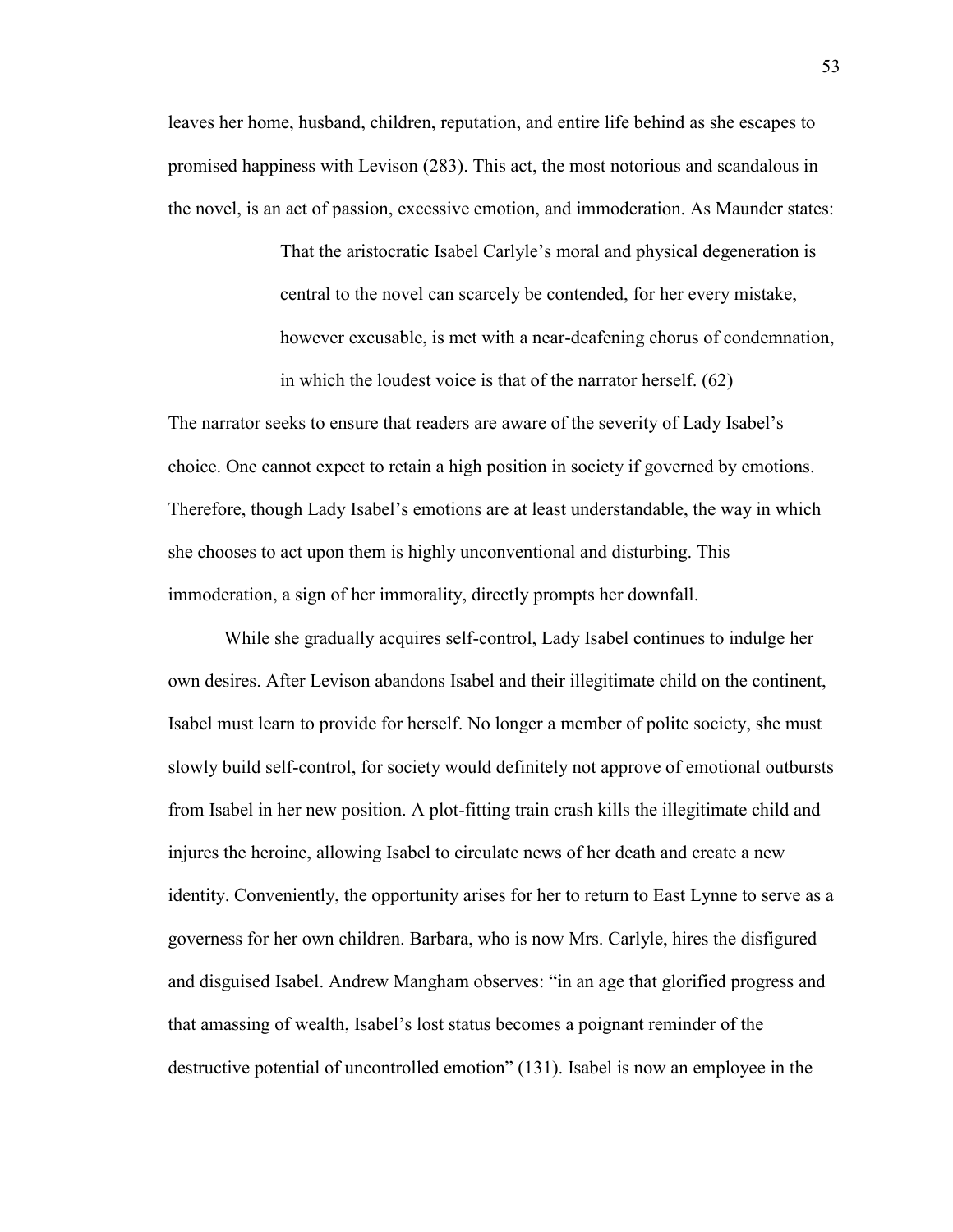leaves her home, husband, children, reputation, and entire life behind as she escapes to promised happiness with Levison (283). This act, the most notorious and scandalous in the novel, is an act of passion, excessive emotion, and immoderation. As Maunder states:

> That the aristocratic Isabel Carlyle"s moral and physical degeneration is central to the novel can scarcely be contended, for her every mistake, however excusable, is met with a near-deafening chorus of condemnation, in which the loudest voice is that of the narrator herself. (62)

The narrator seeks to ensure that readers are aware of the severity of Lady Isabel"s choice. One cannot expect to retain a high position in society if governed by emotions. Therefore, though Lady Isabel"s emotions are at least understandable, the way in which she chooses to act upon them is highly unconventional and disturbing. This immoderation, a sign of her immorality, directly prompts her downfall.

While she gradually acquires self-control, Lady Isabel continues to indulge her own desires. After Levison abandons Isabel and their illegitimate child on the continent, Isabel must learn to provide for herself. No longer a member of polite society, she must slowly build self-control, for society would definitely not approve of emotional outbursts from Isabel in her new position. A plot-fitting train crash kills the illegitimate child and injures the heroine, allowing Isabel to circulate news of her death and create a new identity. Conveniently, the opportunity arises for her to return to East Lynne to serve as a governess for her own children. Barbara, who is now Mrs. Carlyle, hires the disfigured and disguised Isabel. Andrew Mangham observes: "in an age that glorified progress and that amassing of wealth, Isabel"s lost status becomes a poignant reminder of the destructive potential of uncontrolled emotion" (131). Isabel is now an employee in the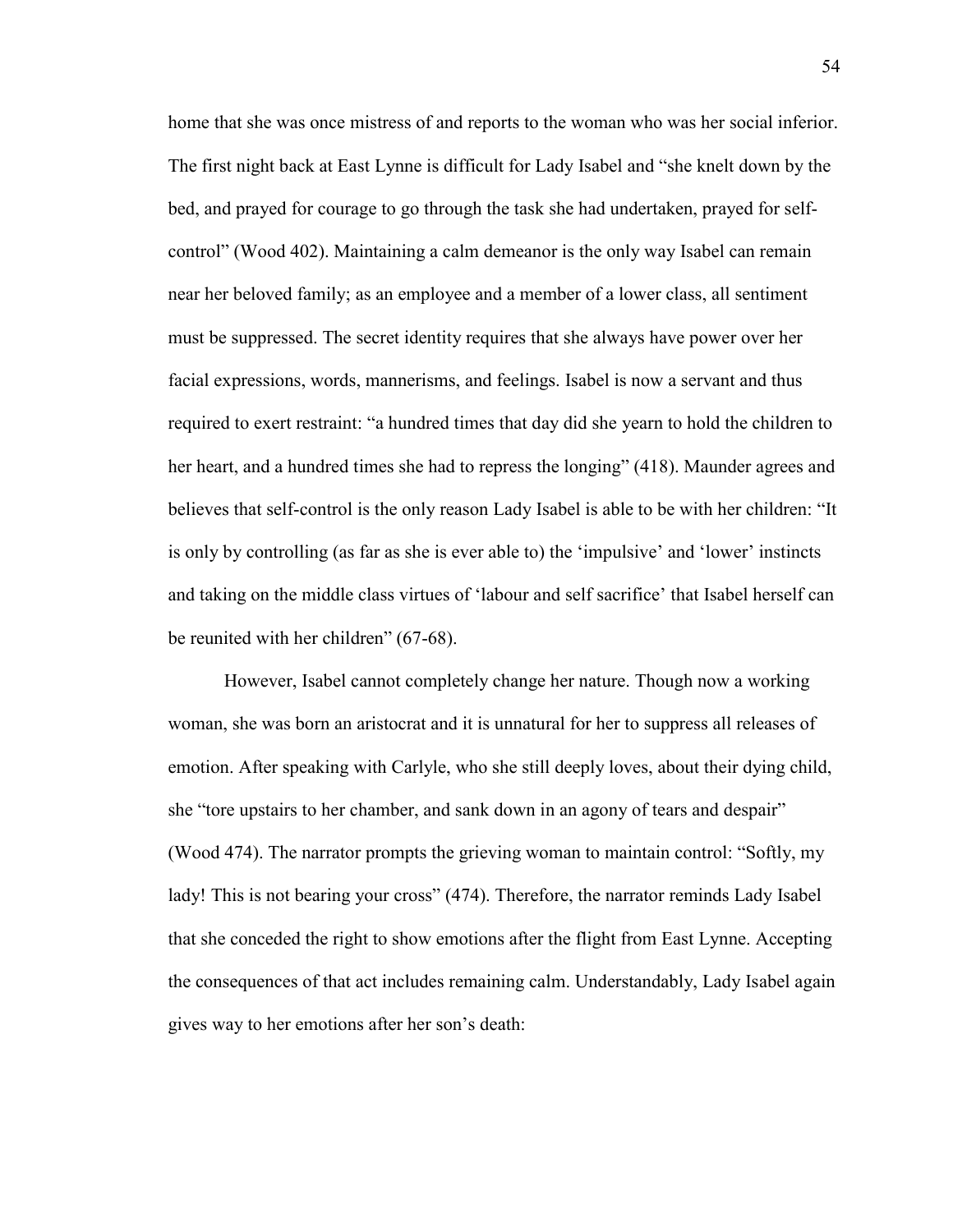home that she was once mistress of and reports to the woman who was her social inferior. The first night back at East Lynne is difficult for Lady Isabel and "she knelt down by the bed, and prayed for courage to go through the task she had undertaken, prayed for selfcontrol" (Wood 402). Maintaining a calm demeanor is the only way Isabel can remain near her beloved family; as an employee and a member of a lower class, all sentiment must be suppressed. The secret identity requires that she always have power over her facial expressions, words, mannerisms, and feelings. Isabel is now a servant and thus required to exert restraint: "a hundred times that day did she yearn to hold the children to her heart, and a hundred times she had to repress the longing" (418). Maunder agrees and believes that self-control is the only reason Lady Isabel is able to be with her children: "It is only by controlling (as far as she is ever able to) the 'impulsive' and 'lower' instincts and taking on the middle class virtues of "labour and self sacrifice" that Isabel herself can be reunited with her children" (67-68).

However, Isabel cannot completely change her nature. Though now a working woman, she was born an aristocrat and it is unnatural for her to suppress all releases of emotion. After speaking with Carlyle, who she still deeply loves, about their dying child, she "tore upstairs to her chamber, and sank down in an agony of tears and despair" (Wood 474). The narrator prompts the grieving woman to maintain control: "Softly, my lady! This is not bearing your cross" (474). Therefore, the narrator reminds Lady Isabel that she conceded the right to show emotions after the flight from East Lynne. Accepting the consequences of that act includes remaining calm. Understandably, Lady Isabel again gives way to her emotions after her son"s death: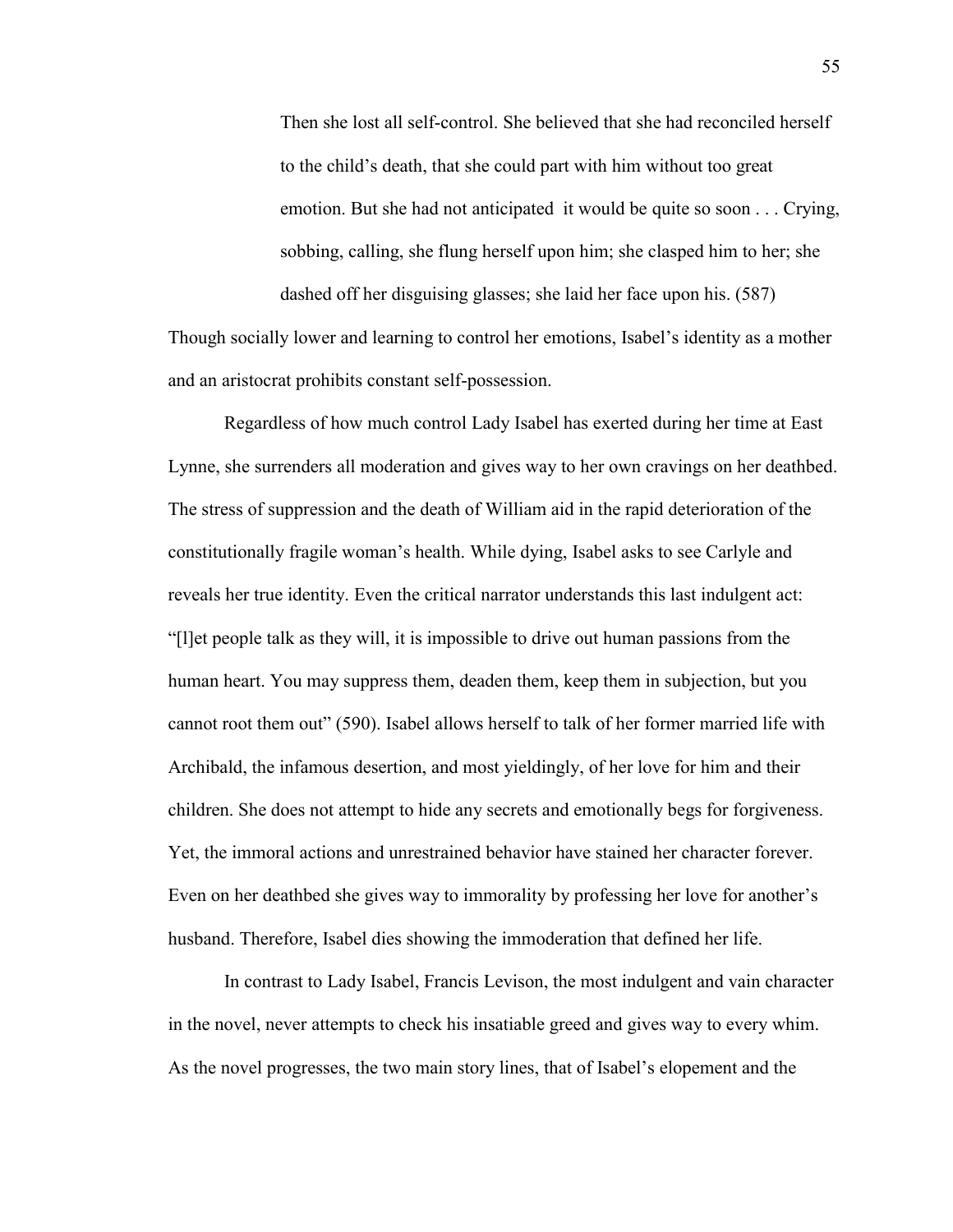Then she lost all self-control. She believed that she had reconciled herself to the child"s death, that she could part with him without too great emotion. But she had not anticipated it would be quite so soon . . . Crying, sobbing, calling, she flung herself upon him; she clasped him to her; she dashed off her disguising glasses; she laid her face upon his. (587)

Though socially lower and learning to control her emotions, Isabel"s identity as a mother and an aristocrat prohibits constant self-possession.

Regardless of how much control Lady Isabel has exerted during her time at East Lynne, she surrenders all moderation and gives way to her own cravings on her deathbed. The stress of suppression and the death of William aid in the rapid deterioration of the constitutionally fragile woman"s health. While dying, Isabel asks to see Carlyle and reveals her true identity. Even the critical narrator understands this last indulgent act: "[l]et people talk as they will, it is impossible to drive out human passions from the human heart. You may suppress them, deaden them, keep them in subjection, but you cannot root them out" (590). Isabel allows herself to talk of her former married life with Archibald, the infamous desertion, and most yieldingly, of her love for him and their children. She does not attempt to hide any secrets and emotionally begs for forgiveness. Yet, the immoral actions and unrestrained behavior have stained her character forever. Even on her deathbed she gives way to immorality by professing her love for another"s husband. Therefore, Isabel dies showing the immoderation that defined her life.

In contrast to Lady Isabel, Francis Levison, the most indulgent and vain character in the novel, never attempts to check his insatiable greed and gives way to every whim. As the novel progresses, the two main story lines, that of Isabel"s elopement and the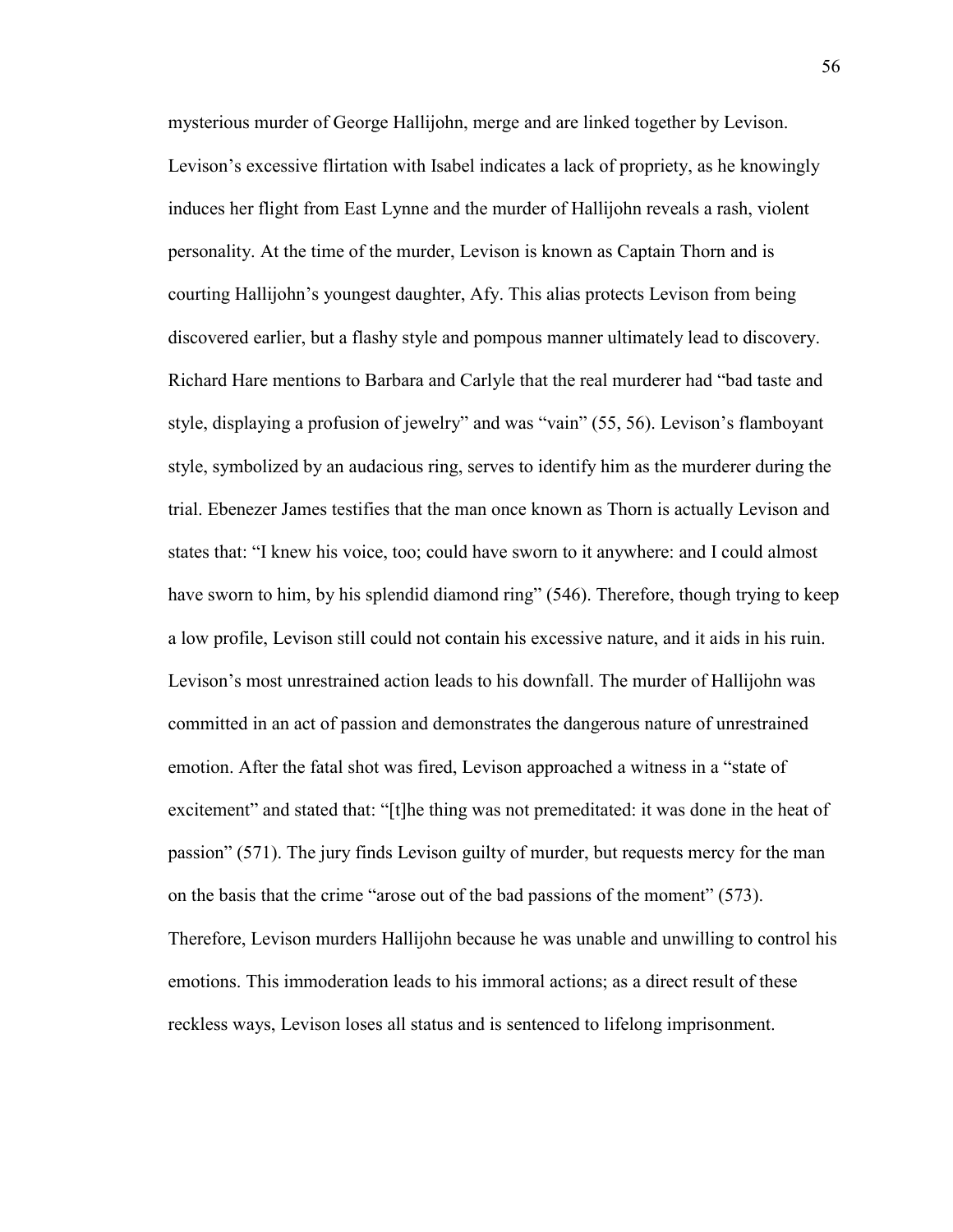mysterious murder of George Hallijohn, merge and are linked together by Levison. Levison's excessive flirtation with Isabel indicates a lack of propriety, as he knowingly induces her flight from East Lynne and the murder of Hallijohn reveals a rash, violent personality. At the time of the murder, Levison is known as Captain Thorn and is courting Hallijohn"s youngest daughter, Afy. This alias protects Levison from being discovered earlier, but a flashy style and pompous manner ultimately lead to discovery. Richard Hare mentions to Barbara and Carlyle that the real murderer had "bad taste and style, displaying a profusion of jewelry" and was "vain" (55, 56). Levison"s flamboyant style, symbolized by an audacious ring, serves to identify him as the murderer during the trial. Ebenezer James testifies that the man once known as Thorn is actually Levison and states that: "I knew his voice, too; could have sworn to it anywhere: and I could almost have sworn to him, by his splendid diamond ring" (546). Therefore, though trying to keep a low profile, Levison still could not contain his excessive nature, and it aids in his ruin. Levison"s most unrestrained action leads to his downfall. The murder of Hallijohn was committed in an act of passion and demonstrates the dangerous nature of unrestrained emotion. After the fatal shot was fired, Levison approached a witness in a "state of excitement" and stated that: "[t]he thing was not premeditated: it was done in the heat of passion" (571). The jury finds Levison guilty of murder, but requests mercy for the man on the basis that the crime "arose out of the bad passions of the moment" (573). Therefore, Levison murders Hallijohn because he was unable and unwilling to control his emotions. This immoderation leads to his immoral actions; as a direct result of these reckless ways, Levison loses all status and is sentenced to lifelong imprisonment.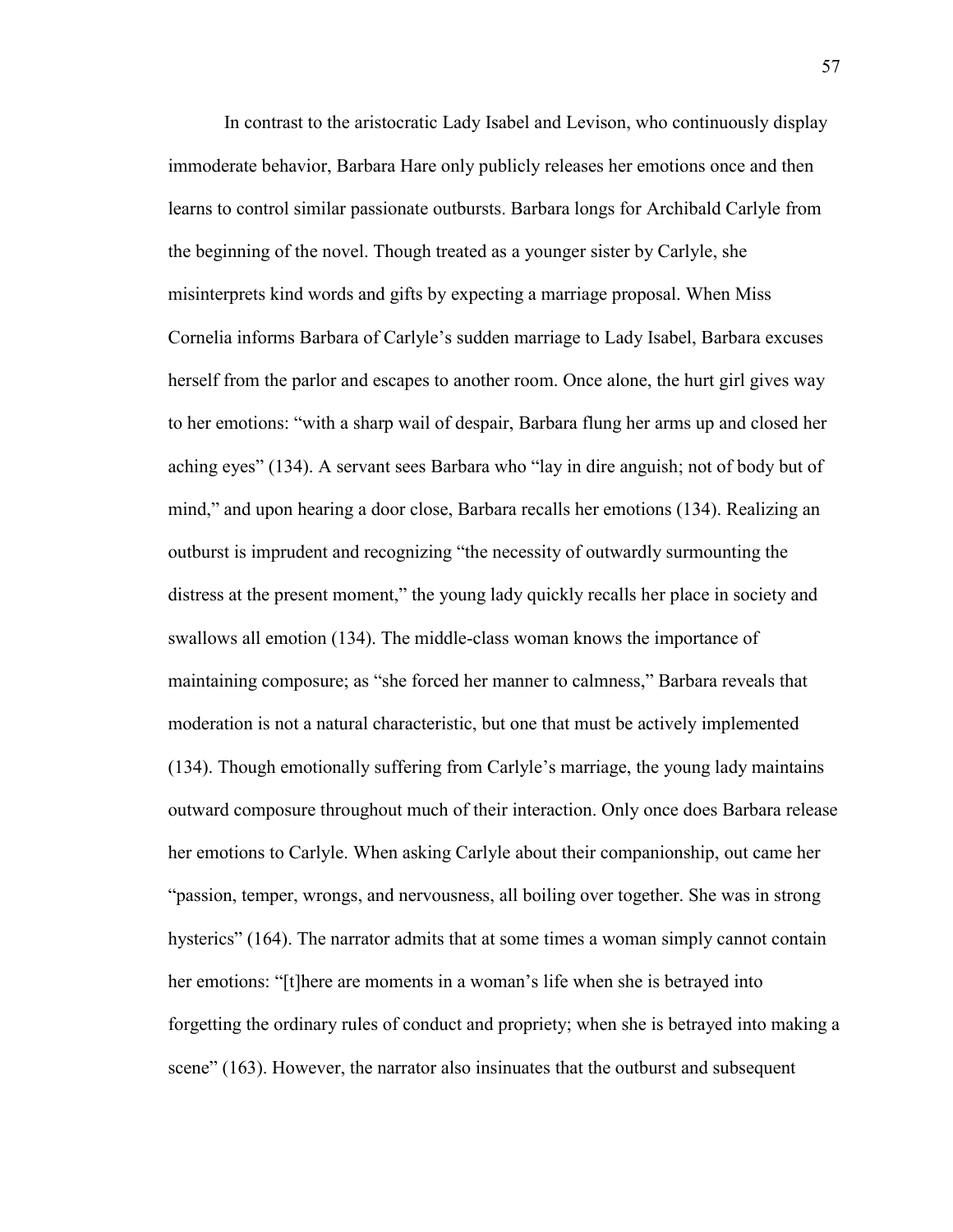In contrast to the aristocratic Lady Isabel and Levison, who continuously display immoderate behavior, Barbara Hare only publicly releases her emotions once and then learns to control similar passionate outbursts. Barbara longs for Archibald Carlyle from the beginning of the novel. Though treated as a younger sister by Carlyle, she misinterprets kind words and gifts by expecting a marriage proposal. When Miss Cornelia informs Barbara of Carlyle"s sudden marriage to Lady Isabel, Barbara excuses herself from the parlor and escapes to another room. Once alone, the hurt girl gives way to her emotions: "with a sharp wail of despair, Barbara flung her arms up and closed her aching eyes" (134). A servant sees Barbara who "lay in dire anguish; not of body but of mind," and upon hearing a door close, Barbara recalls her emotions (134). Realizing an outburst is imprudent and recognizing "the necessity of outwardly surmounting the distress at the present moment," the young lady quickly recalls her place in society and swallows all emotion (134). The middle-class woman knows the importance of maintaining composure; as "she forced her manner to calmness," Barbara reveals that moderation is not a natural characteristic, but one that must be actively implemented (134). Though emotionally suffering from Carlyle"s marriage, the young lady maintains outward composure throughout much of their interaction. Only once does Barbara release her emotions to Carlyle. When asking Carlyle about their companionship, out came her "passion, temper, wrongs, and nervousness, all boiling over together. She was in strong hysterics" (164). The narrator admits that at some times a woman simply cannot contain her emotions: "[t]here are moments in a woman"s life when she is betrayed into forgetting the ordinary rules of conduct and propriety; when she is betrayed into making a scene" (163). However, the narrator also insinuates that the outburst and subsequent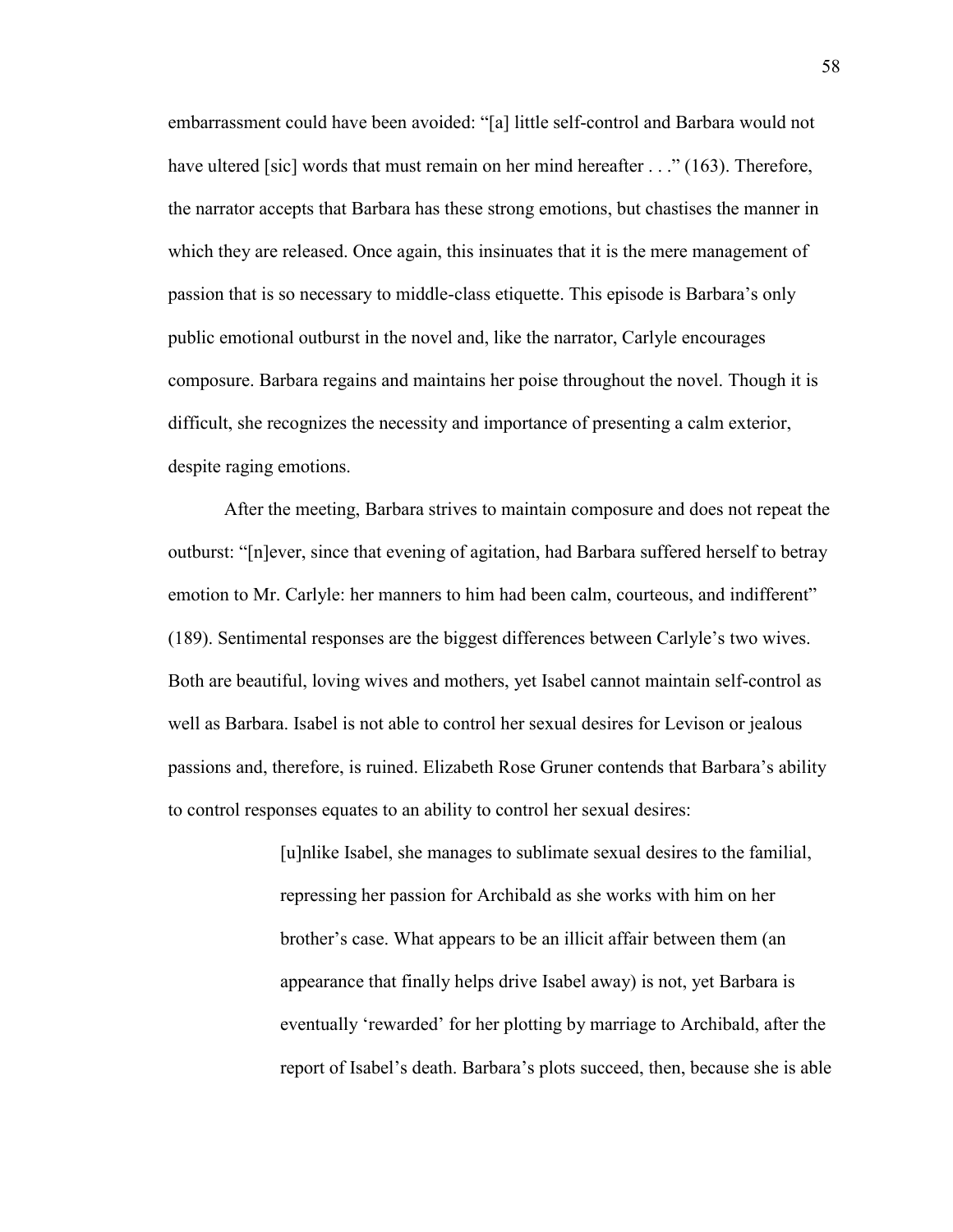embarrassment could have been avoided: "[a] little self-control and Barbara would not have ultered [sic] words that must remain on her mind hereafter . . ." (163). Therefore, the narrator accepts that Barbara has these strong emotions, but chastises the manner in which they are released. Once again, this insinuates that it is the mere management of passion that is so necessary to middle-class etiquette. This episode is Barbara"s only public emotional outburst in the novel and, like the narrator, Carlyle encourages composure. Barbara regains and maintains her poise throughout the novel. Though it is difficult, she recognizes the necessity and importance of presenting a calm exterior, despite raging emotions.

After the meeting, Barbara strives to maintain composure and does not repeat the outburst: "[n]ever, since that evening of agitation, had Barbara suffered herself to betray emotion to Mr. Carlyle: her manners to him had been calm, courteous, and indifferent" (189). Sentimental responses are the biggest differences between Carlyle"s two wives. Both are beautiful, loving wives and mothers, yet Isabel cannot maintain self-control as well as Barbara. Isabel is not able to control her sexual desires for Levison or jealous passions and, therefore, is ruined. Elizabeth Rose Gruner contends that Barbara"s ability to control responses equates to an ability to control her sexual desires:

> [u]nlike Isabel, she manages to sublimate sexual desires to the familial, repressing her passion for Archibald as she works with him on her brother"s case. What appears to be an illicit affair between them (an appearance that finally helps drive Isabel away) is not, yet Barbara is eventually "rewarded" for her plotting by marriage to Archibald, after the report of Isabel"s death. Barbara"s plots succeed, then, because she is able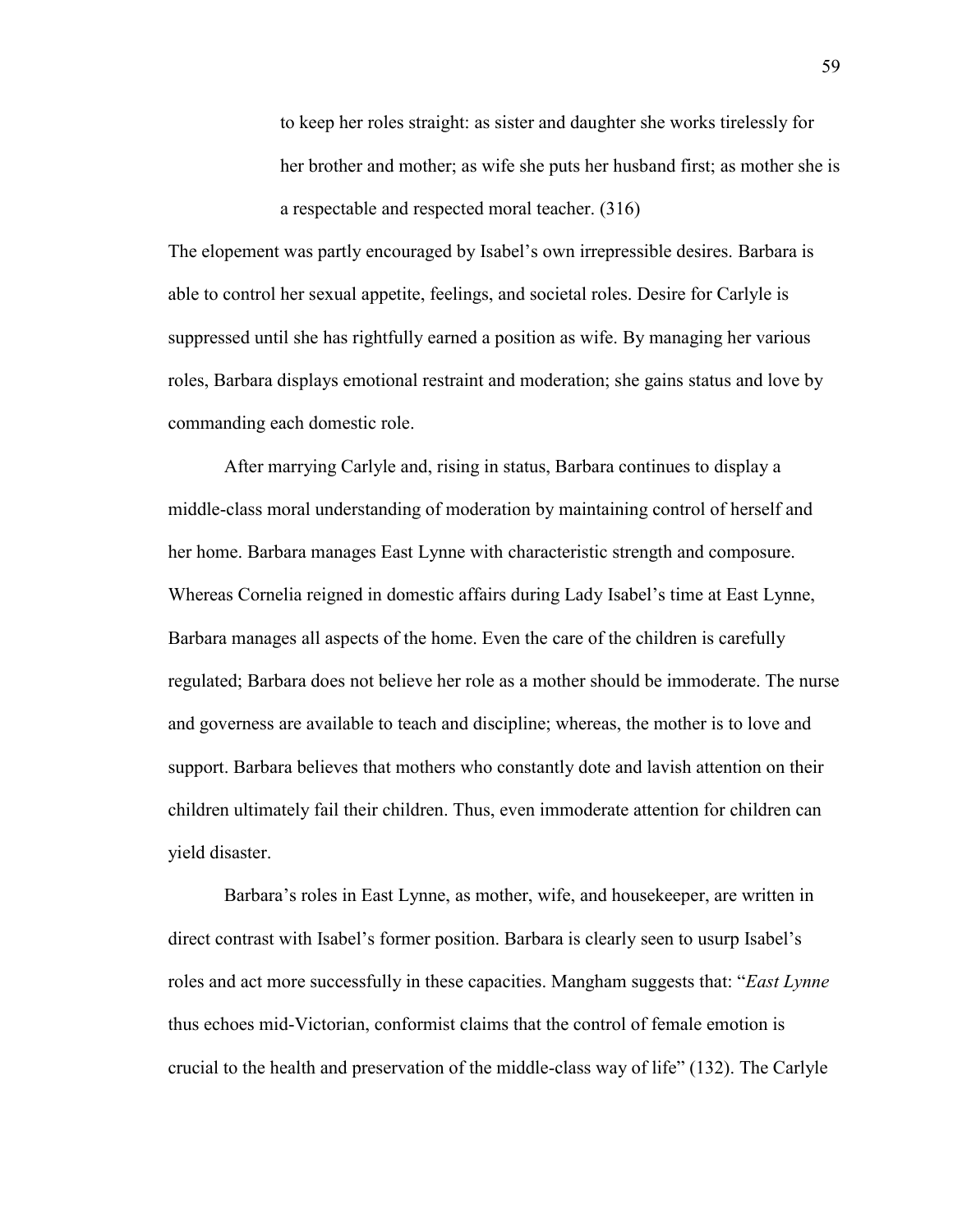to keep her roles straight: as sister and daughter she works tirelessly for her brother and mother; as wife she puts her husband first; as mother she is a respectable and respected moral teacher. (316)

The elopement was partly encouraged by Isabel"s own irrepressible desires. Barbara is able to control her sexual appetite, feelings, and societal roles. Desire for Carlyle is suppressed until she has rightfully earned a position as wife. By managing her various roles, Barbara displays emotional restraint and moderation; she gains status and love by commanding each domestic role.

After marrying Carlyle and, rising in status, Barbara continues to display a middle-class moral understanding of moderation by maintaining control of herself and her home. Barbara manages East Lynne with characteristic strength and composure. Whereas Cornelia reigned in domestic affairs during Lady Isabel"s time at East Lynne, Barbara manages all aspects of the home. Even the care of the children is carefully regulated; Barbara does not believe her role as a mother should be immoderate. The nurse and governess are available to teach and discipline; whereas, the mother is to love and support. Barbara believes that mothers who constantly dote and lavish attention on their children ultimately fail their children. Thus, even immoderate attention for children can yield disaster.

Barbara"s roles in East Lynne, as mother, wife, and housekeeper, are written in direct contrast with Isabel"s former position. Barbara is clearly seen to usurp Isabel"s roles and act more successfully in these capacities. Mangham suggests that: "*East Lynne*  thus echoes mid-Victorian, conformist claims that the control of female emotion is crucial to the health and preservation of the middle-class way of life" (132). The Carlyle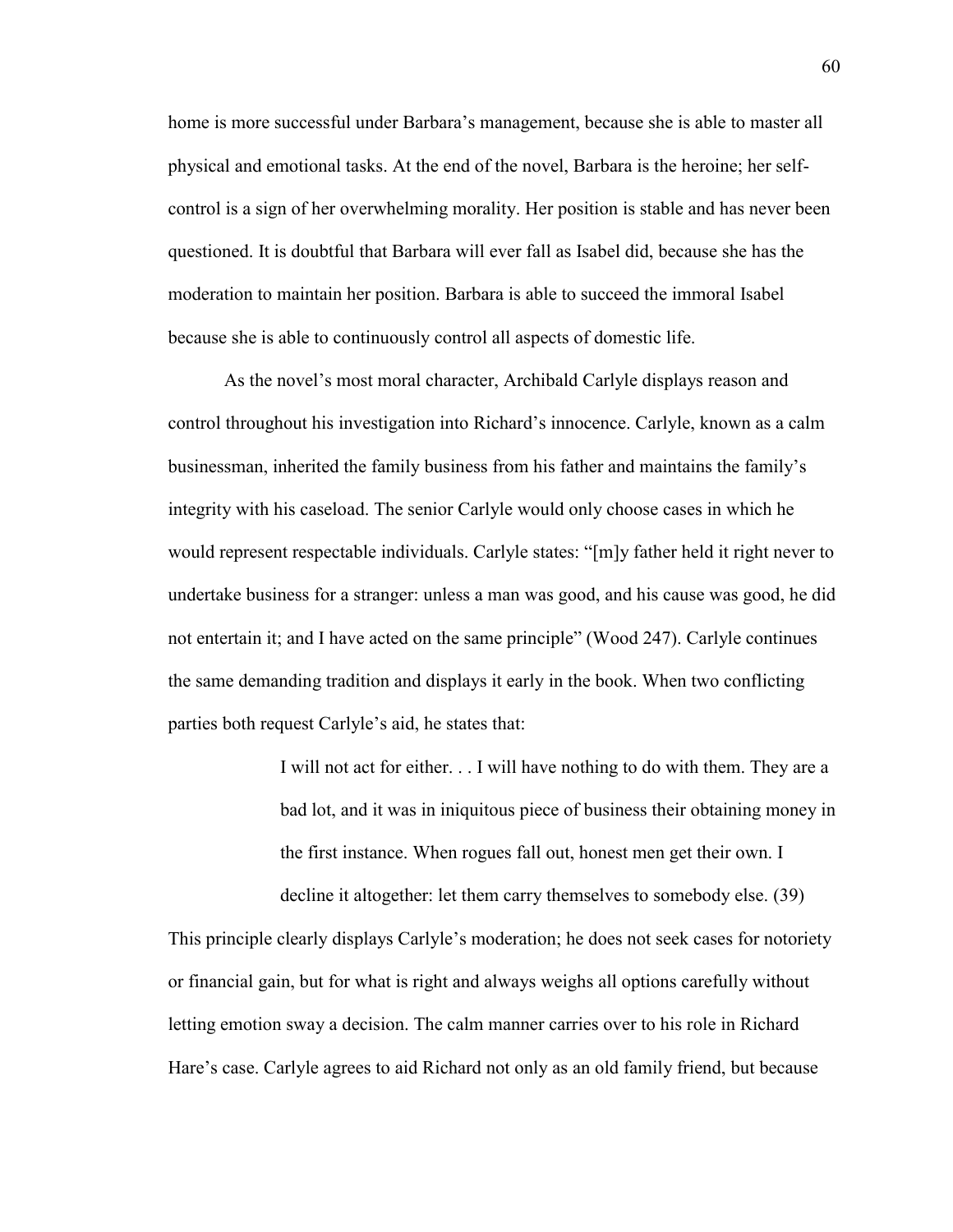home is more successful under Barbara"s management, because she is able to master all physical and emotional tasks. At the end of the novel, Barbara is the heroine; her selfcontrol is a sign of her overwhelming morality. Her position is stable and has never been questioned. It is doubtful that Barbara will ever fall as Isabel did, because she has the moderation to maintain her position. Barbara is able to succeed the immoral Isabel because she is able to continuously control all aspects of domestic life.

As the novel's most moral character, Archibald Carlyle displays reason and control throughout his investigation into Richard"s innocence. Carlyle, known as a calm businessman, inherited the family business from his father and maintains the family"s integrity with his caseload. The senior Carlyle would only choose cases in which he would represent respectable individuals. Carlyle states: "[m]y father held it right never to undertake business for a stranger: unless a man was good, and his cause was good, he did not entertain it; and I have acted on the same principle" (Wood 247). Carlyle continues the same demanding tradition and displays it early in the book. When two conflicting parties both request Carlyle"s aid, he states that:

> I will not act for either. . . I will have nothing to do with them. They are a bad lot, and it was in iniquitous piece of business their obtaining money in the first instance. When rogues fall out, honest men get their own. I

decline it altogether: let them carry themselves to somebody else. (39)

This principle clearly displays Carlyle"s moderation; he does not seek cases for notoriety or financial gain, but for what is right and always weighs all options carefully without letting emotion sway a decision. The calm manner carries over to his role in Richard Hare's case. Carlyle agrees to aid Richard not only as an old family friend, but because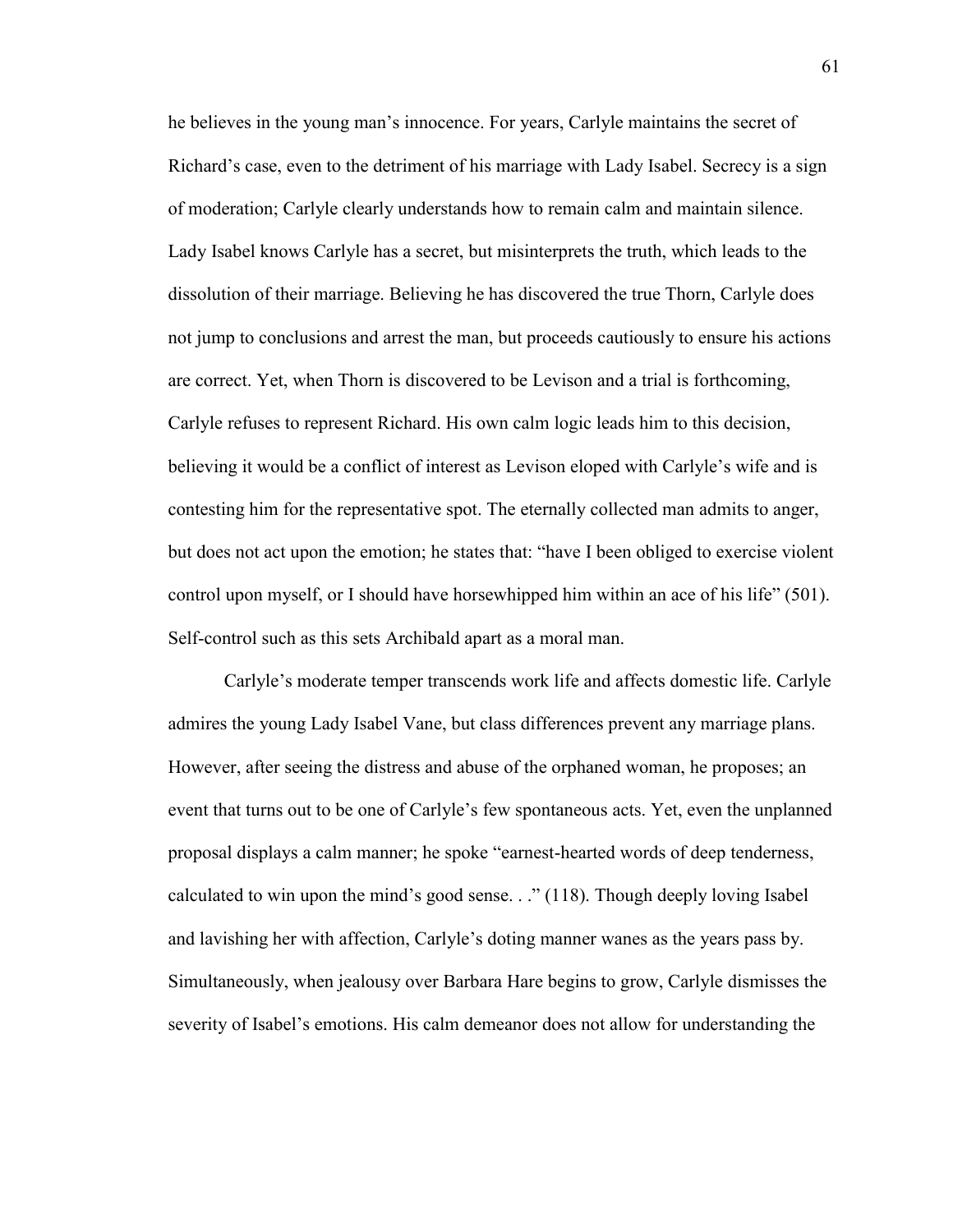he believes in the young man"s innocence. For years, Carlyle maintains the secret of Richard"s case, even to the detriment of his marriage with Lady Isabel. Secrecy is a sign of moderation; Carlyle clearly understands how to remain calm and maintain silence. Lady Isabel knows Carlyle has a secret, but misinterprets the truth, which leads to the dissolution of their marriage. Believing he has discovered the true Thorn, Carlyle does not jump to conclusions and arrest the man, but proceeds cautiously to ensure his actions are correct. Yet, when Thorn is discovered to be Levison and a trial is forthcoming, Carlyle refuses to represent Richard. His own calm logic leads him to this decision, believing it would be a conflict of interest as Levison eloped with Carlyle"s wife and is contesting him for the representative spot. The eternally collected man admits to anger, but does not act upon the emotion; he states that: "have I been obliged to exercise violent control upon myself, or I should have horsewhipped him within an ace of his life" (501). Self-control such as this sets Archibald apart as a moral man.

Carlyle"s moderate temper transcends work life and affects domestic life. Carlyle admires the young Lady Isabel Vane, but class differences prevent any marriage plans. However, after seeing the distress and abuse of the orphaned woman, he proposes; an event that turns out to be one of Carlyle"s few spontaneous acts. Yet, even the unplanned proposal displays a calm manner; he spoke "earnest-hearted words of deep tenderness, calculated to win upon the mind"s good sense. . ." (118). Though deeply loving Isabel and lavishing her with affection, Carlyle"s doting manner wanes as the years pass by. Simultaneously, when jealousy over Barbara Hare begins to grow, Carlyle dismisses the severity of Isabel"s emotions. His calm demeanor does not allow for understanding the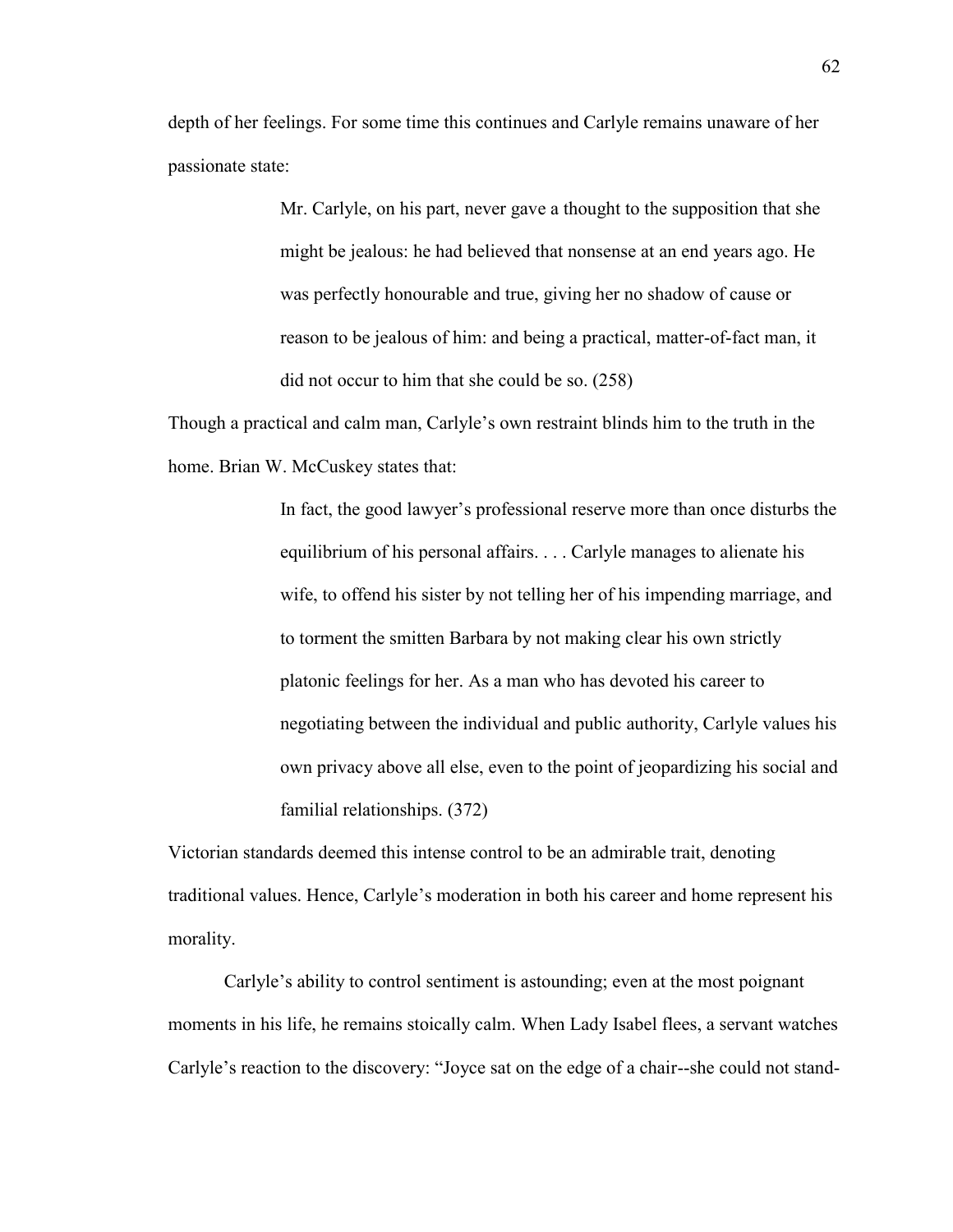depth of her feelings. For some time this continues and Carlyle remains unaware of her passionate state:

> Mr. Carlyle, on his part, never gave a thought to the supposition that she might be jealous: he had believed that nonsense at an end years ago. He was perfectly honourable and true, giving her no shadow of cause or reason to be jealous of him: and being a practical, matter-of-fact man, it did not occur to him that she could be so. (258)

Though a practical and calm man, Carlyle"s own restraint blinds him to the truth in the home. Brian W. McCuskey states that:

> In fact, the good lawyer"s professional reserve more than once disturbs the equilibrium of his personal affairs. . . . Carlyle manages to alienate his wife, to offend his sister by not telling her of his impending marriage, and to torment the smitten Barbara by not making clear his own strictly platonic feelings for her. As a man who has devoted his career to negotiating between the individual and public authority, Carlyle values his own privacy above all else, even to the point of jeopardizing his social and familial relationships. (372)

Victorian standards deemed this intense control to be an admirable trait, denoting traditional values. Hence, Carlyle"s moderation in both his career and home represent his morality.

Carlyle"s ability to control sentiment is astounding; even at the most poignant moments in his life, he remains stoically calm. When Lady Isabel flees, a servant watches Carlyle"s reaction to the discovery: "Joyce sat on the edge of a chair--she could not stand-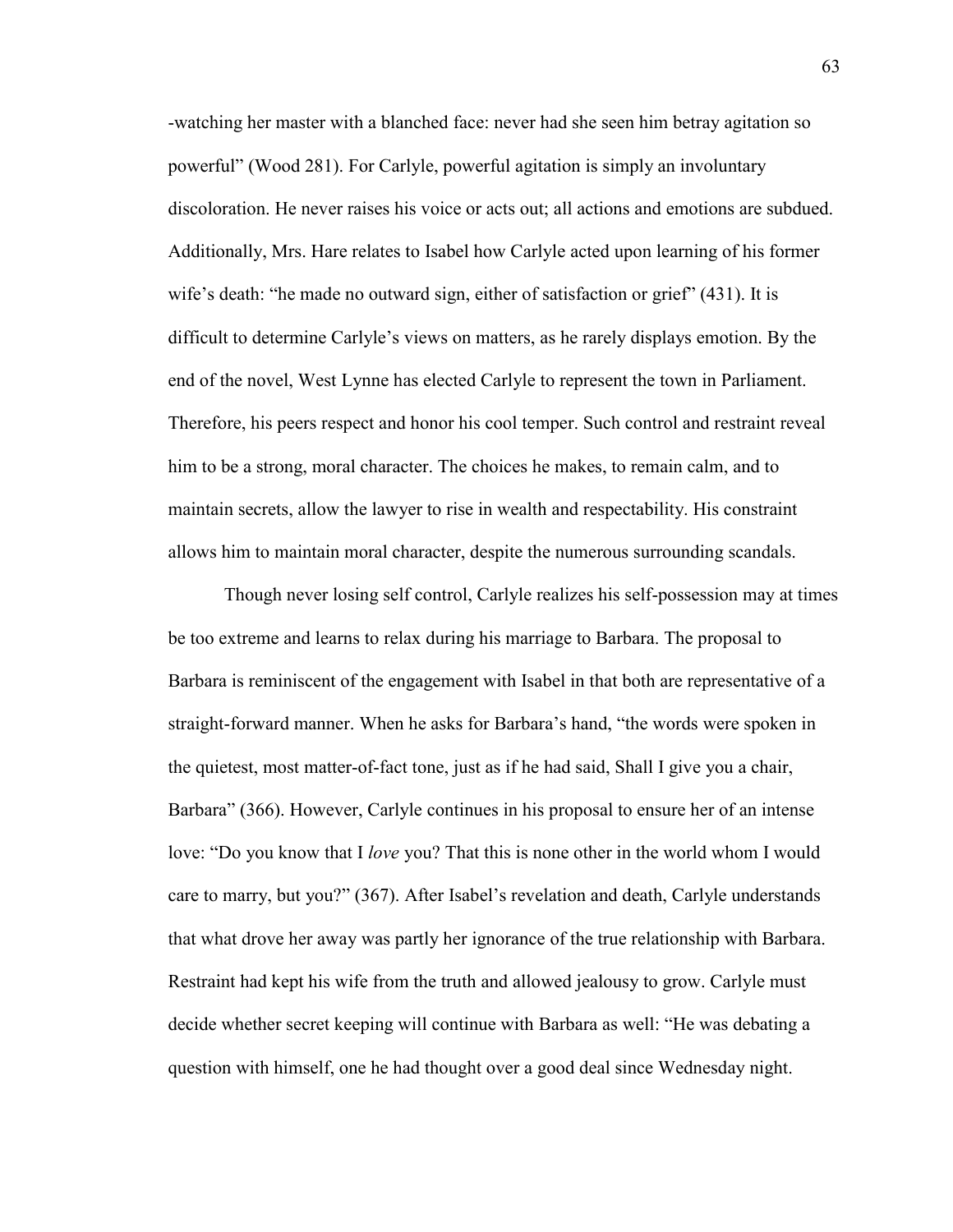-watching her master with a blanched face: never had she seen him betray agitation so powerful" (Wood 281). For Carlyle, powerful agitation is simply an involuntary discoloration. He never raises his voice or acts out; all actions and emotions are subdued. Additionally, Mrs. Hare relates to Isabel how Carlyle acted upon learning of his former wife's death: "he made no outward sign, either of satisfaction or grief" (431). It is difficult to determine Carlyle"s views on matters, as he rarely displays emotion. By the end of the novel, West Lynne has elected Carlyle to represent the town in Parliament. Therefore, his peers respect and honor his cool temper. Such control and restraint reveal him to be a strong, moral character. The choices he makes, to remain calm, and to maintain secrets, allow the lawyer to rise in wealth and respectability. His constraint allows him to maintain moral character, despite the numerous surrounding scandals.

Though never losing self control, Carlyle realizes his self-possession may at times be too extreme and learns to relax during his marriage to Barbara. The proposal to Barbara is reminiscent of the engagement with Isabel in that both are representative of a straight-forward manner. When he asks for Barbara"s hand, "the words were spoken in the quietest, most matter-of-fact tone, just as if he had said, Shall I give you a chair, Barbara" (366). However, Carlyle continues in his proposal to ensure her of an intense love: "Do you know that I *love* you? That this is none other in the world whom I would care to marry, but you?" (367). After Isabel"s revelation and death, Carlyle understands that what drove her away was partly her ignorance of the true relationship with Barbara. Restraint had kept his wife from the truth and allowed jealousy to grow. Carlyle must decide whether secret keeping will continue with Barbara as well: "He was debating a question with himself, one he had thought over a good deal since Wednesday night.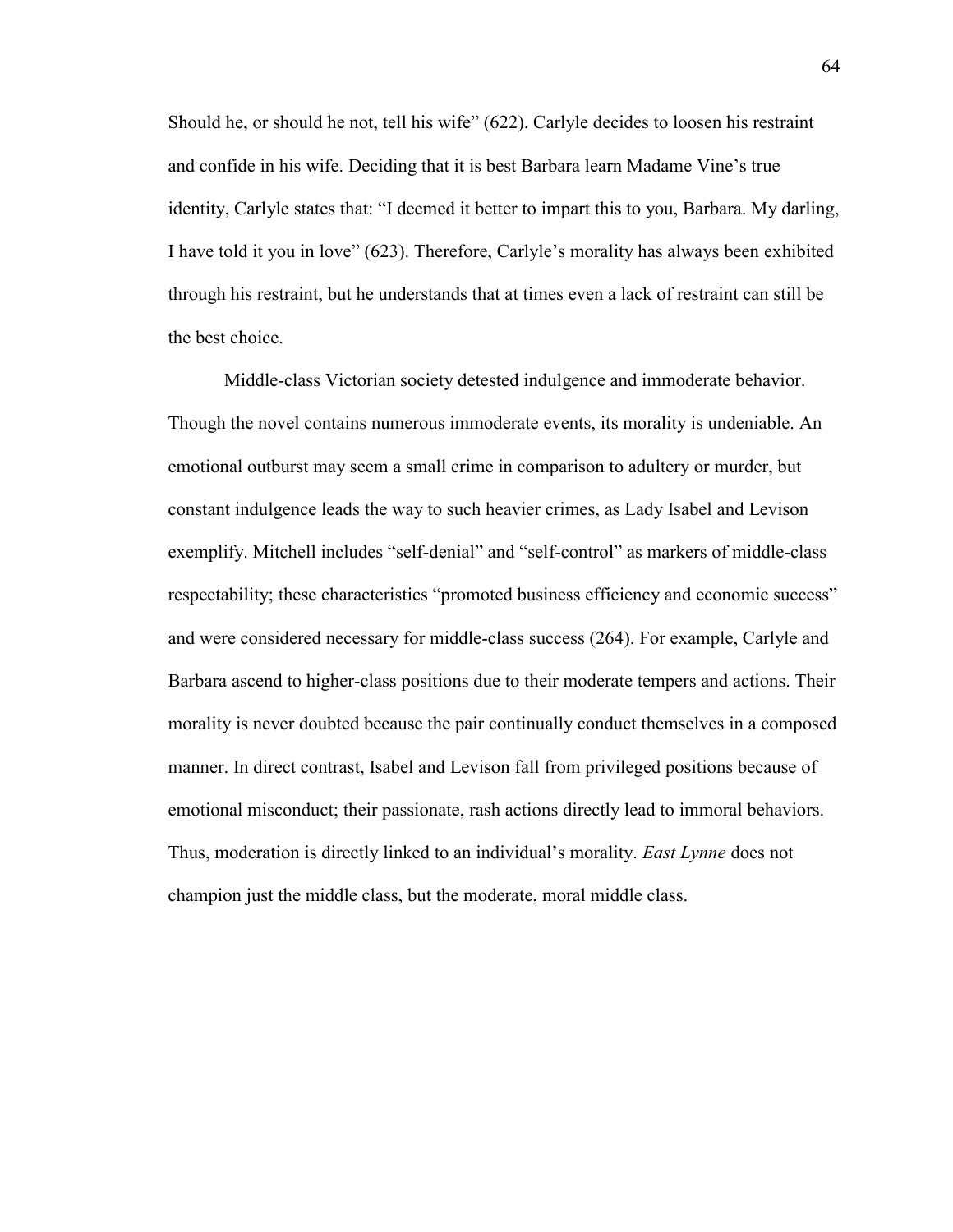Should he, or should he not, tell his wife" (622). Carlyle decides to loosen his restraint and confide in his wife. Deciding that it is best Barbara learn Madame Vine"s true identity, Carlyle states that: "I deemed it better to impart this to you, Barbara. My darling, I have told it you in love" (623). Therefore, Carlyle"s morality has always been exhibited through his restraint, but he understands that at times even a lack of restraint can still be the best choice.

Middle-class Victorian society detested indulgence and immoderate behavior. Though the novel contains numerous immoderate events, its morality is undeniable. An emotional outburst may seem a small crime in comparison to adultery or murder, but constant indulgence leads the way to such heavier crimes, as Lady Isabel and Levison exemplify. Mitchell includes "self-denial" and "self-control" as markers of middle-class respectability; these characteristics "promoted business efficiency and economic success" and were considered necessary for middle-class success (264). For example, Carlyle and Barbara ascend to higher-class positions due to their moderate tempers and actions. Their morality is never doubted because the pair continually conduct themselves in a composed manner. In direct contrast, Isabel and Levison fall from privileged positions because of emotional misconduct; their passionate, rash actions directly lead to immoral behaviors. Thus, moderation is directly linked to an individual"s morality. *East Lynne* does not champion just the middle class, but the moderate, moral middle class.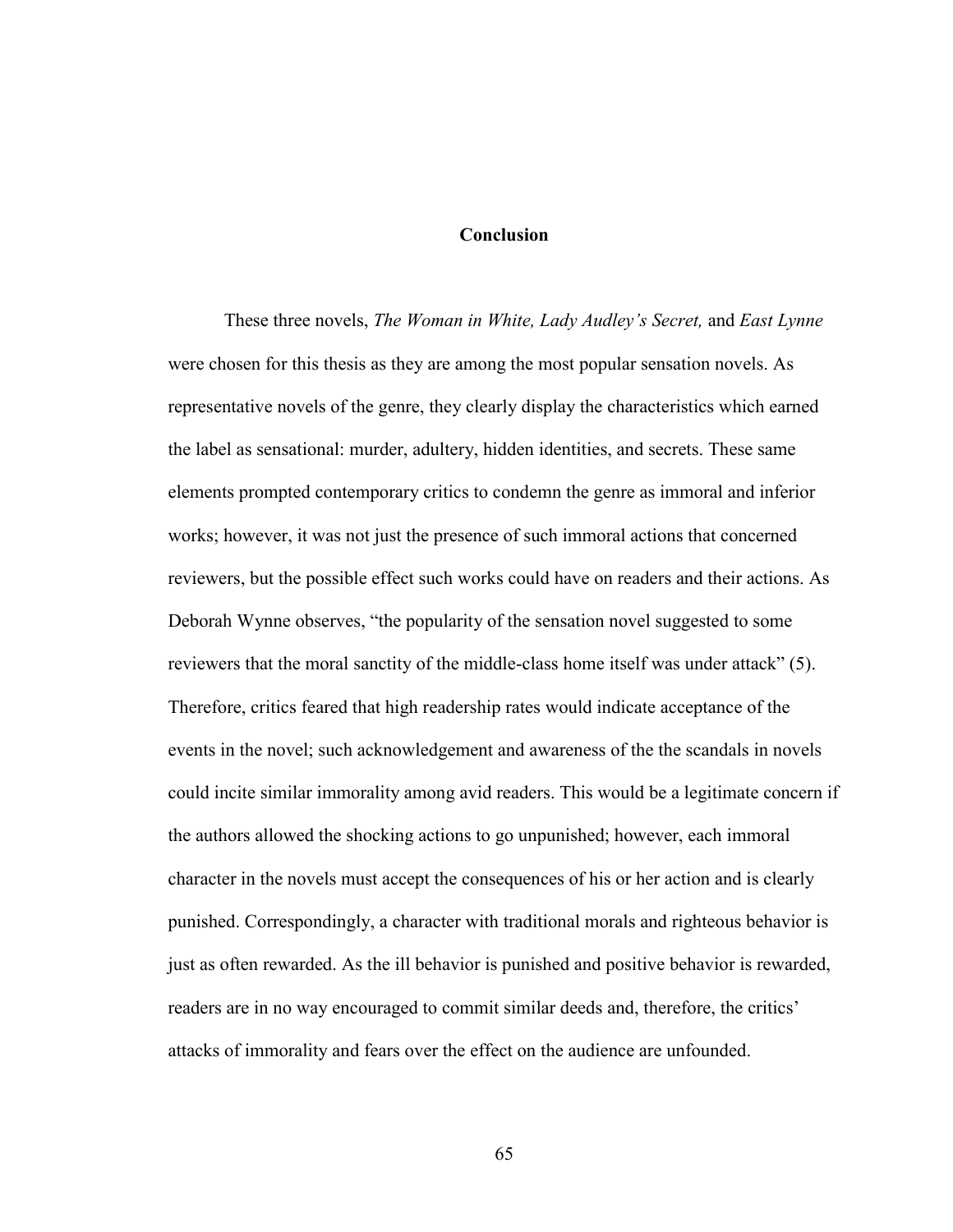## **Conclusion**

These three novels, *The Woman in White, Lady Audley's Secret,* and *East Lynne* were chosen for this thesis as they are among the most popular sensation novels. As representative novels of the genre, they clearly display the characteristics which earned the label as sensational: murder, adultery, hidden identities, and secrets. These same elements prompted contemporary critics to condemn the genre as immoral and inferior works; however, it was not just the presence of such immoral actions that concerned reviewers, but the possible effect such works could have on readers and their actions. As Deborah Wynne observes, "the popularity of the sensation novel suggested to some reviewers that the moral sanctity of the middle-class home itself was under attack" (5). Therefore, critics feared that high readership rates would indicate acceptance of the events in the novel; such acknowledgement and awareness of the the scandals in novels could incite similar immorality among avid readers. This would be a legitimate concern if the authors allowed the shocking actions to go unpunished; however, each immoral character in the novels must accept the consequences of his or her action and is clearly punished. Correspondingly, a character with traditional morals and righteous behavior is just as often rewarded. As the ill behavior is punished and positive behavior is rewarded, readers are in no way encouraged to commit similar deeds and, therefore, the critics' attacks of immorality and fears over the effect on the audience are unfounded.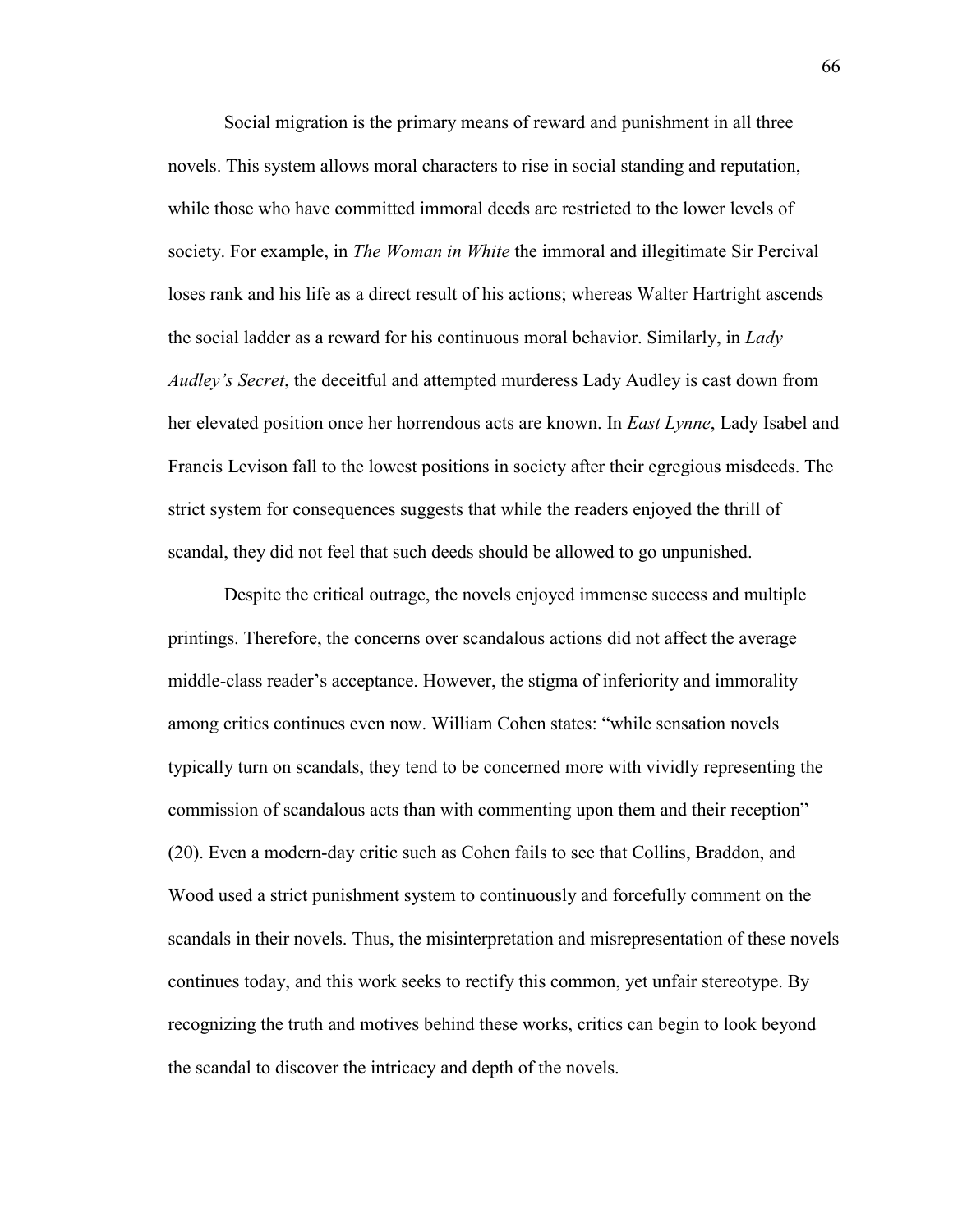Social migration is the primary means of reward and punishment in all three novels. This system allows moral characters to rise in social standing and reputation, while those who have committed immoral deeds are restricted to the lower levels of society. For example, in *The Woman in White* the immoral and illegitimate Sir Percival loses rank and his life as a direct result of his actions; whereas Walter Hartright ascends the social ladder as a reward for his continuous moral behavior. Similarly, in *Lady Audley's Secret*, the deceitful and attempted murderess Lady Audley is cast down from her elevated position once her horrendous acts are known. In *East Lynne*, Lady Isabel and Francis Levison fall to the lowest positions in society after their egregious misdeeds. The strict system for consequences suggests that while the readers enjoyed the thrill of scandal, they did not feel that such deeds should be allowed to go unpunished.

Despite the critical outrage, the novels enjoyed immense success and multiple printings. Therefore, the concerns over scandalous actions did not affect the average middle-class reader"s acceptance. However, the stigma of inferiority and immorality among critics continues even now. William Cohen states: "while sensation novels typically turn on scandals, they tend to be concerned more with vividly representing the commission of scandalous acts than with commenting upon them and their reception" (20). Even a modern-day critic such as Cohen fails to see that Collins, Braddon, and Wood used a strict punishment system to continuously and forcefully comment on the scandals in their novels. Thus, the misinterpretation and misrepresentation of these novels continues today, and this work seeks to rectify this common, yet unfair stereotype. By recognizing the truth and motives behind these works, critics can begin to look beyond the scandal to discover the intricacy and depth of the novels.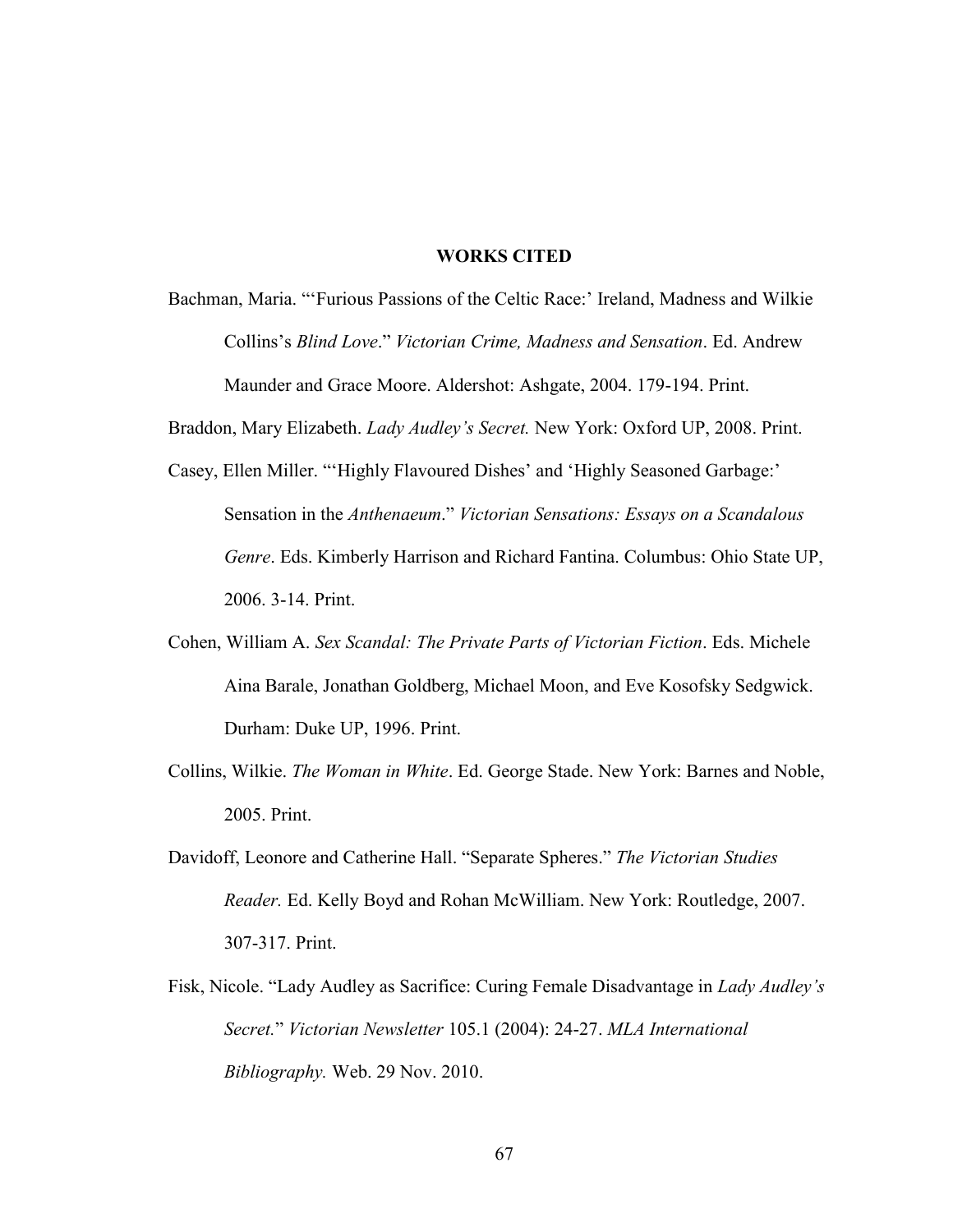## **WORKS CITED**

- Bachman, Maria. "'Furious Passions of the Celtic Race:' Ireland, Madness and Wilkie Collins"s *Blind Love*." *Victorian Crime, Madness and Sensation*. Ed. Andrew Maunder and Grace Moore. Aldershot: Ashgate, 2004. 179-194. Print.
- Braddon, Mary Elizabeth. *Lady Audley's Secret.* New York: Oxford UP, 2008. Print.
- Casey, Ellen Miller. ""Highly Flavoured Dishes' and 'Highly Seasoned Garbage:" Sensation in the *Anthenaeum*." *Victorian Sensations: Essays on a Scandalous Genre*. Eds. Kimberly Harrison and Richard Fantina. Columbus: Ohio State UP, 2006. 3-14. Print.
- Cohen, William A. *Sex Scandal: The Private Parts of Victorian Fiction*. Eds. Michele Aina Barale, Jonathan Goldberg, Michael Moon, and Eve Kosofsky Sedgwick. Durham: Duke UP, 1996. Print.
- Collins, Wilkie. *The Woman in White*. Ed. George Stade. New York: Barnes and Noble, 2005. Print.
- Davidoff, Leonore and Catherine Hall. "Separate Spheres." *The Victorian Studies Reader.* Ed. Kelly Boyd and Rohan McWilliam. New York: Routledge, 2007. 307-317. Print.
- Fisk, Nicole. "Lady Audley as Sacrifice: Curing Female Disadvantage in *Lady Audley's Secret.*" *Victorian Newsletter* 105.1 (2004): 24-27. *MLA International Bibliography.* Web. 29 Nov. 2010.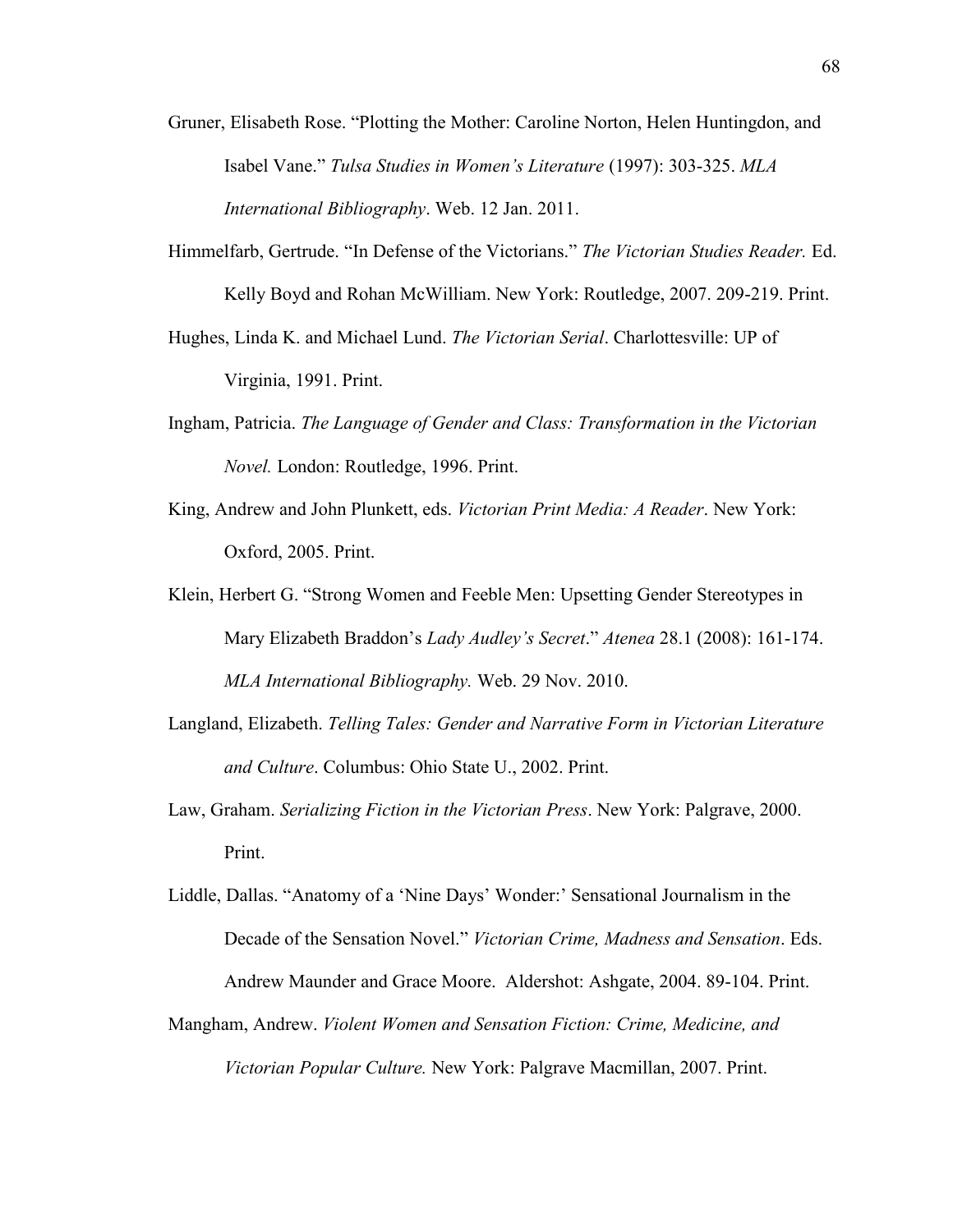- Gruner, Elisabeth Rose. "Plotting the Mother: Caroline Norton, Helen Huntingdon, and Isabel Vane." *Tulsa Studies in Women's Literature* (1997): 303-325. *MLA International Bibliography*. Web. 12 Jan. 2011.
- Himmelfarb, Gertrude. "In Defense of the Victorians." *The Victorian Studies Reader.* Ed. Kelly Boyd and Rohan McWilliam. New York: Routledge, 2007. 209-219. Print.
- Hughes, Linda K. and Michael Lund. *The Victorian Serial*. Charlottesville: UP of Virginia, 1991. Print.
- Ingham, Patricia. *The Language of Gender and Class: Transformation in the Victorian Novel.* London: Routledge, 1996. Print.
- King, Andrew and John Plunkett, eds. *Victorian Print Media: A Reader*. New York: Oxford, 2005. Print.
- Klein, Herbert G. "Strong Women and Feeble Men: Upsetting Gender Stereotypes in Mary Elizabeth Braddon"s *Lady Audley's Secret*." *Atenea* 28.1 (2008): 161-174. *MLA International Bibliography.* Web. 29 Nov. 2010.
- Langland, Elizabeth. *Telling Tales: Gender and Narrative Form in Victorian Literature and Culture*. Columbus: Ohio State U., 2002. Print.
- Law, Graham. *Serializing Fiction in the Victorian Press*. New York: Palgrave, 2000. Print.
- Liddle, Dallas. "Anatomy of a "Nine Days" Wonder:" Sensational Journalism in the Decade of the Sensation Novel." *Victorian Crime, Madness and Sensation*. Eds. Andrew Maunder and Grace Moore. Aldershot: Ashgate, 2004. 89-104. Print.
- Mangham, Andrew. *Violent Women and Sensation Fiction: Crime, Medicine, and Victorian Popular Culture.* New York: Palgrave Macmillan, 2007. Print.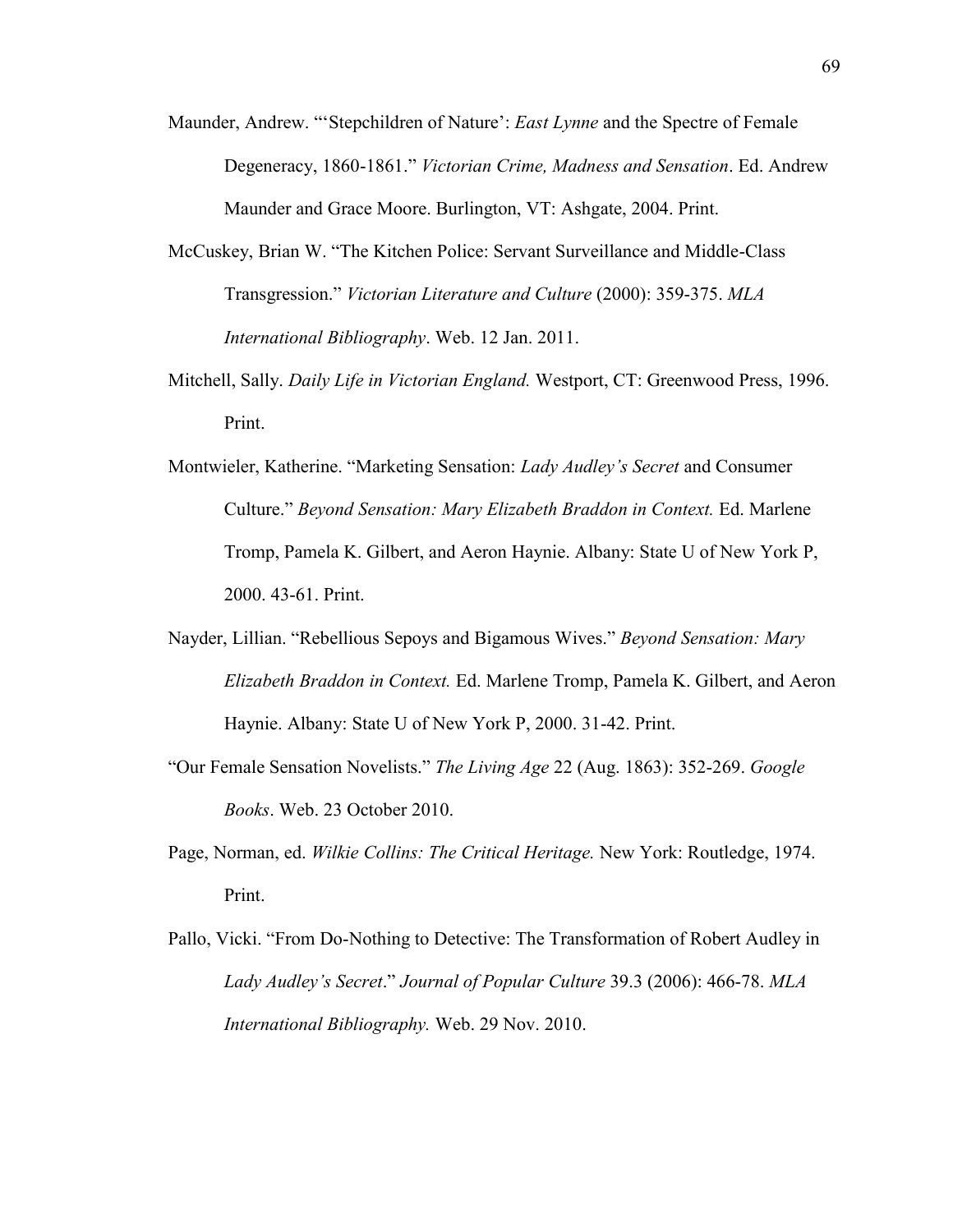- Maunder, Andrew. ""Stepchildren of Nature": *East Lynne* and the Spectre of Female Degeneracy, 1860-1861." *Victorian Crime, Madness and Sensation*. Ed. Andrew Maunder and Grace Moore. Burlington, VT: Ashgate, 2004. Print.
- McCuskey, Brian W. "The Kitchen Police: Servant Surveillance and Middle-Class Transgression." *Victorian Literature and Culture* (2000): 359-375. *MLA International Bibliography*. Web. 12 Jan. 2011.
- Mitchell, Sally. *Daily Life in Victorian England.* Westport, CT: Greenwood Press, 1996. Print.
- Montwieler, Katherine. "Marketing Sensation: *Lady Audley's Secret* and Consumer Culture." *Beyond Sensation: Mary Elizabeth Braddon in Context.* Ed. Marlene Tromp, Pamela K. Gilbert, and Aeron Haynie. Albany: State U of New York P, 2000. 43-61. Print.
- Nayder, Lillian. "Rebellious Sepoys and Bigamous Wives." *Beyond Sensation: Mary Elizabeth Braddon in Context.* Ed. Marlene Tromp, Pamela K. Gilbert, and Aeron Haynie. Albany: State U of New York P, 2000. 31-42. Print.
- "Our Female Sensation Novelists." *The Living Age* 22 (Aug. 1863): 352-269. *Google Books*. Web. 23 October 2010.
- Page, Norman, ed. *Wilkie Collins: The Critical Heritage.* New York: Routledge, 1974. Print.
- Pallo, Vicki. "From Do-Nothing to Detective: The Transformation of Robert Audley in *Lady Audley's Secret*." *Journal of Popular Culture* 39.3 (2006): 466-78. *MLA International Bibliography.* Web. 29 Nov. 2010.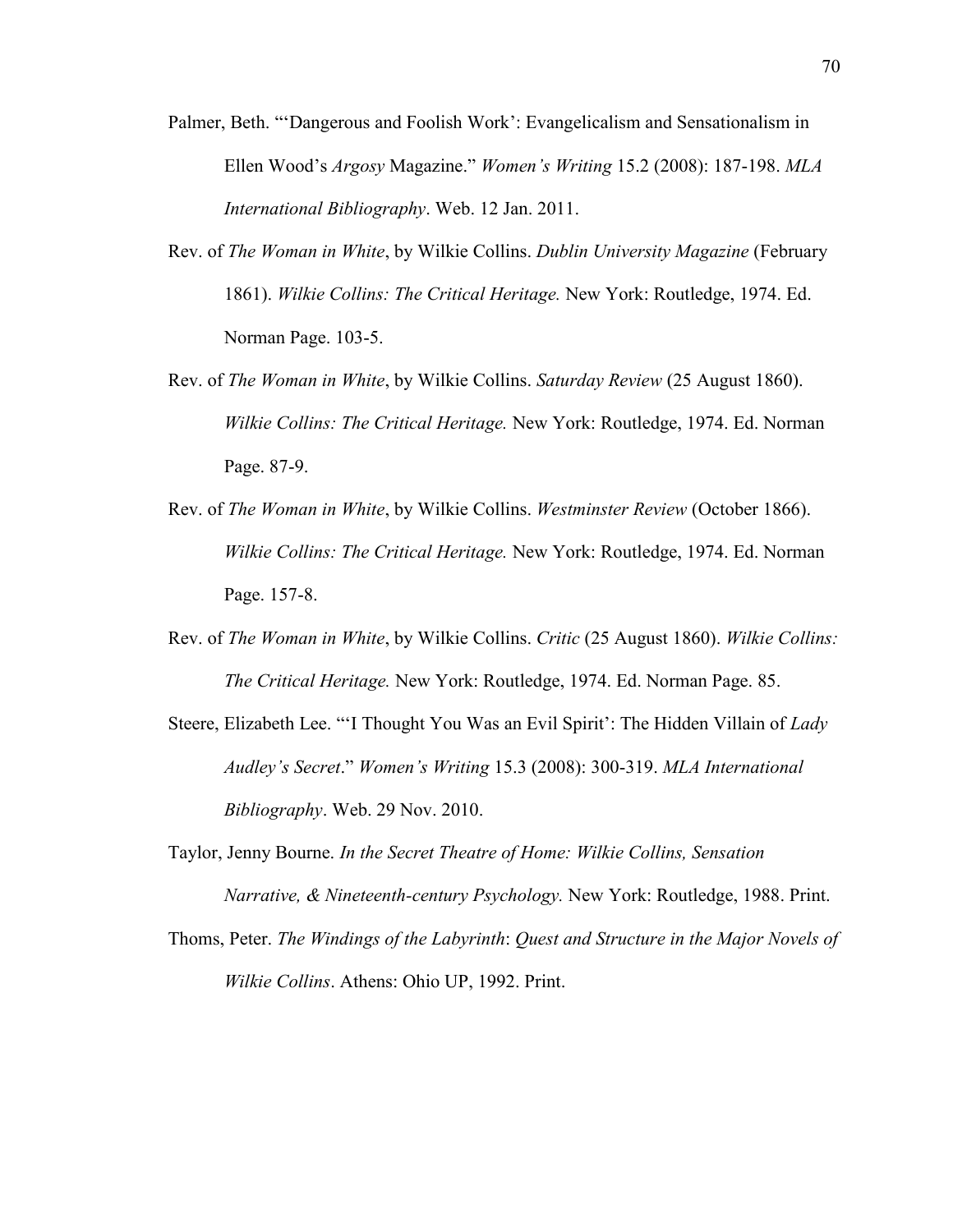- Palmer, Beth. ""Dangerous and Foolish Work": Evangelicalism and Sensationalism in Ellen Wood"s *Argosy* Magazine." *Women's Writing* 15.2 (2008): 187-198. *MLA International Bibliography*. Web. 12 Jan. 2011.
- Rev. of *The Woman in White*, by Wilkie Collins. *Dublin University Magazine* (February 1861). *Wilkie Collins: The Critical Heritage.* New York: Routledge, 1974. Ed. Norman Page. 103-5.
- Rev. of *The Woman in White*, by Wilkie Collins. *Saturday Review* (25 August 1860). *Wilkie Collins: The Critical Heritage.* New York: Routledge, 1974. Ed. Norman Page. 87-9.
- Rev. of *The Woman in White*, by Wilkie Collins. *Westminster Review* (October 1866). *Wilkie Collins: The Critical Heritage.* New York: Routledge, 1974. Ed. Norman Page. 157-8.
- Rev. of *The Woman in White*, by Wilkie Collins. *Critic* (25 August 1860). *Wilkie Collins: The Critical Heritage.* New York: Routledge, 1974. Ed. Norman Page. 85.
- Steere, Elizabeth Lee. ""I Thought You Was an Evil Spirit": The Hidden Villain of *Lady Audley's Secret*." *Women's Writing* 15.3 (2008): 300-319. *MLA International Bibliography*. Web. 29 Nov. 2010.
- Taylor, Jenny Bourne. *In the Secret Theatre of Home: Wilkie Collins, Sensation Narrative, & Nineteenth-century Psychology.* New York: Routledge, 1988. Print.
- Thoms, Peter. *The Windings of the Labyrinth*: *Quest and Structure in the Major Novels of Wilkie Collins*. Athens: Ohio UP, 1992. Print.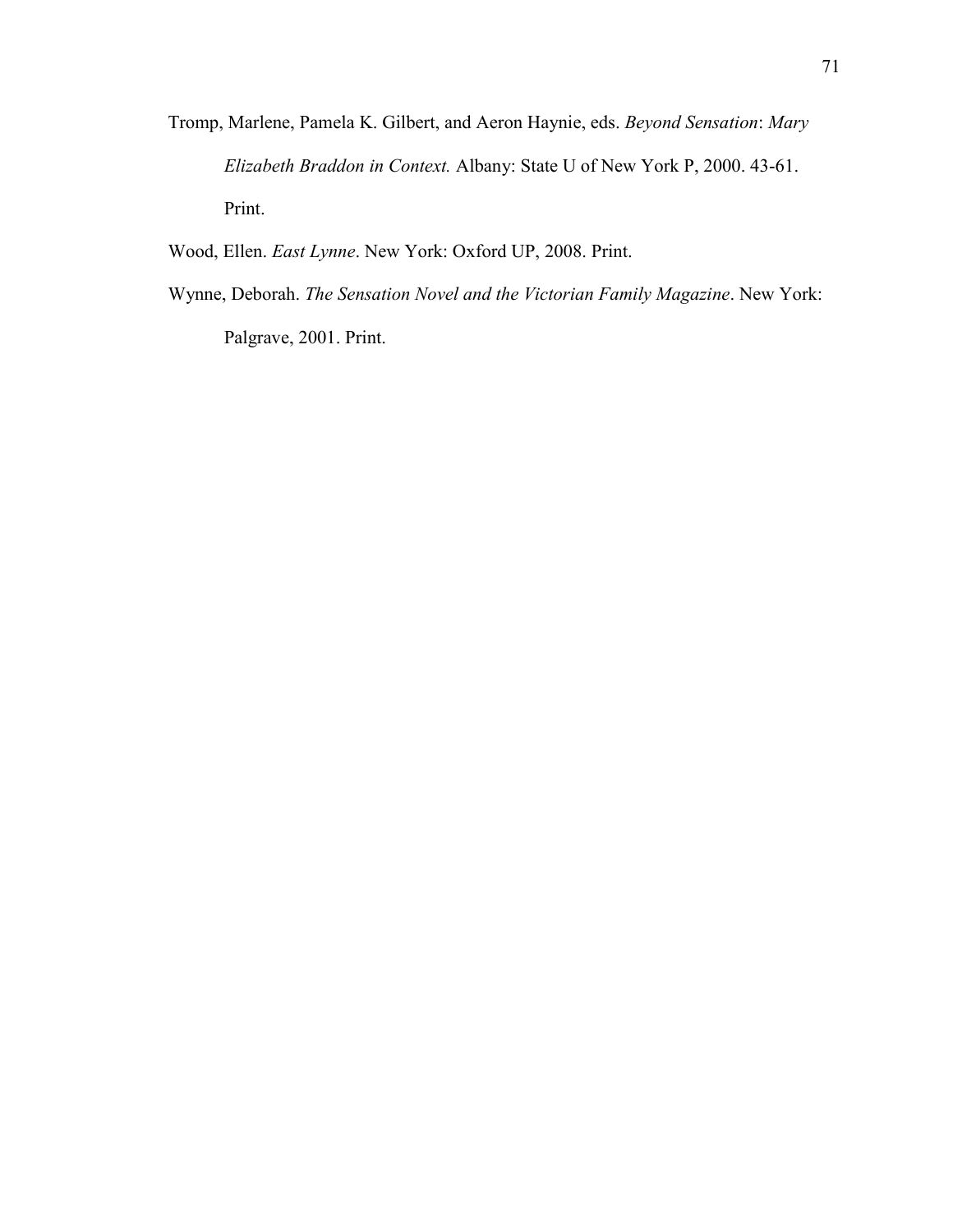- Tromp, Marlene, Pamela K. Gilbert, and Aeron Haynie, eds. *Beyond Sensation*: *Mary Elizabeth Braddon in Context.* Albany: State U of New York P, 2000. 43-61. Print.
- Wood, Ellen. *East Lynne*. New York: Oxford UP, 2008. Print.
- Wynne, Deborah. *The Sensation Novel and the Victorian Family Magazine*. New York: Palgrave, 2001. Print.